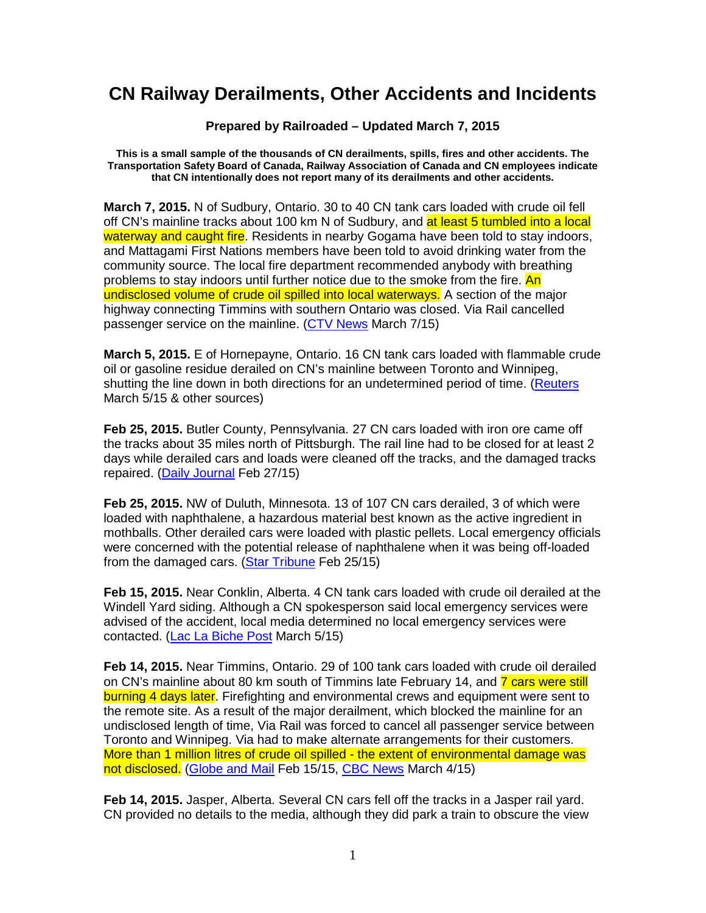## **CN Railway Derailments, Other Accidents and Incidents**

**Prepared by Railroaded – Updated March 7, 2015** 

**This is a small sample of the thousands of CN derailments, spills, fires and other accidents. The Transportation Safety Board of Canada, Railway Association of Canada and CN employees indicate that CN intentionally does not report many of its derailments and other accidents.** 

**March 7, 2015.** N of Sudbury, Ontario. 30 to 40 CN tank cars loaded with crude oil fell off CN's mainline tracks about 100 km N of Sudbury, and at least 5 tumbled into a local waterway and caught fire. Residents in nearby Gogama have been told to stay indoors, and Mattagami First Nations members have been told to avoid drinking water from the community source. The local fire department recommended anybody with breathing problems to stay indoors until further notice due to the smoke from the fire. An undisclosed volume of crude oil spilled into local waterways. A section of the major highway connecting Timmins with southern Ontario was closed. Via Rail cancelled passenger service on the mainline. (CTV News March 7/15)

**March 5, 2015.** E of Hornepayne, Ontario. 16 CN tank cars loaded with flammable crude oil or gasoline residue derailed on CN's mainline between Toronto and Winnipeg, shutting the line down in both directions for an undetermined period of time. (Reuters March 5/15 & other sources)

**Feb 25, 2015.** Butler County, Pennsylvania. 27 CN cars loaded with iron ore came off the tracks about 35 miles north of Pittsburgh. The rail line had to be closed for at least 2 days while derailed cars and loads were cleaned off the tracks, and the damaged tracks repaired. (Daily Journal Feb 27/15)

**Feb 25, 2015.** NW of Duluth, Minnesota. 13 of 107 CN cars derailed, 3 of which were loaded with naphthalene, a hazardous material best known as the active ingredient in mothballs. Other derailed cars were loaded with plastic pellets. Local emergency officials were concerned with the potential release of naphthalene when it was being off-loaded from the damaged cars. (Star Tribune Feb 25/15)

**Feb 15, 2015.** Near Conklin, Alberta. 4 CN tank cars loaded with crude oil derailed at the Windell Yard siding. Although a CN spokesperson said local emergency services were advised of the accident, local media determined no local emergency services were contacted. (Lac La Biche Post March 5/15)

**Feb 14, 2015.** Near Timmins, Ontario. 29 of 100 tank cars loaded with crude oil derailed on CN's mainline about 80 km south of Timmins late February 14, and **7 cars were still** burning 4 days later. Firefighting and environmental crews and equipment were sent to the remote site. As a result of the major derailment, which blocked the mainline for an undisclosed length of time, Via Rail was forced to cancel all passenger service between Toronto and Winnipeg. Via had to make alternate arrangements for their customers. More than 1 million litres of crude oil spilled - the extent of environmental damage was not disclosed. (Globe and Mail Feb 15/15, CBC News March 4/15)

**Feb 14, 2015.** Jasper, Alberta. Several CN cars fell off the tracks in a Jasper rail yard. CN provided no details to the media, although they did park a train to obscure the view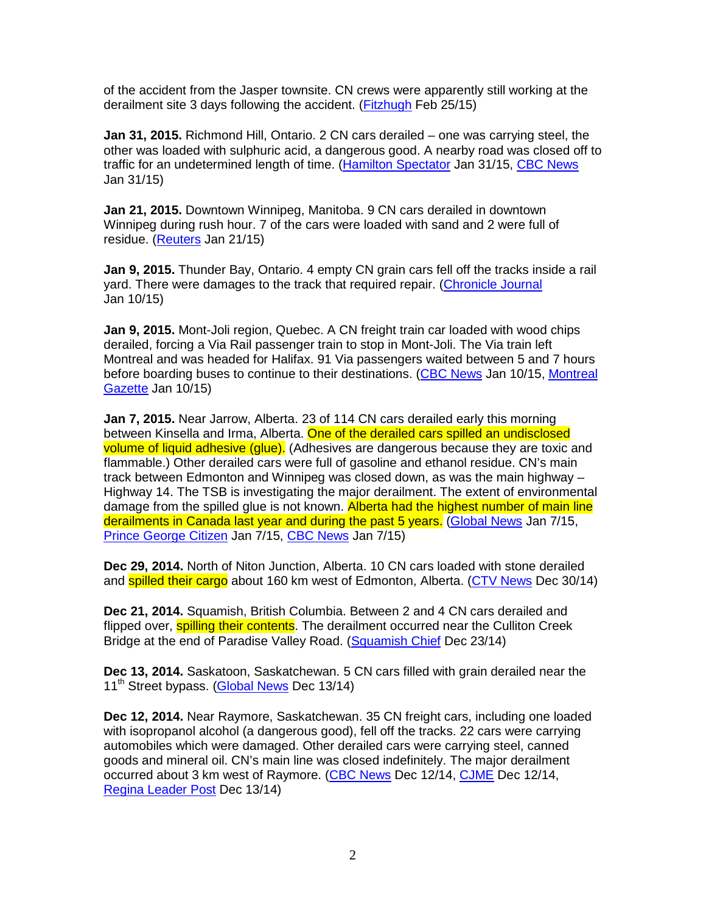of the accident from the Jasper townsite. CN crews were apparently still working at the derailment site 3 days following the accident. (Fitzhugh Feb 25/15)

**Jan 31, 2015.** Richmond Hill, Ontario. 2 CN cars derailed – one was carrying steel, the other was loaded with sulphuric acid, a dangerous good. A nearby road was closed off to traffic for an undetermined length of time. (Hamilton Spectator Jan 31/15, CBC News Jan 31/15)

**Jan 21, 2015.** Downtown Winnipeg, Manitoba. 9 CN cars derailed in downtown Winnipeg during rush hour. 7 of the cars were loaded with sand and 2 were full of residue. (Reuters Jan 21/15)

**Jan 9, 2015.** Thunder Bay, Ontario. 4 empty CN grain cars fell off the tracks inside a rail yard. There were damages to the track that required repair. (Chronicle Journal Jan 10/15)

**Jan 9, 2015.** Mont-Joli region, Quebec. A CN freight train car loaded with wood chips derailed, forcing a Via Rail passenger train to stop in Mont-Joli. The Via train left Montreal and was headed for Halifax. 91 Via passengers waited between 5 and 7 hours before boarding buses to continue to their destinations. (CBC News Jan 10/15, Montreal Gazette Jan 10/15)

**Jan 7, 2015.** Near Jarrow, Alberta. 23 of 114 CN cars derailed early this morning between Kinsella and Irma, Alberta. One of the derailed cars spilled an undisclosed volume of liquid adhesive (glue). (Adhesives are dangerous because they are toxic and flammable.) Other derailed cars were full of gasoline and ethanol residue. CN's main track between Edmonton and Winnipeg was closed down, as was the main highway – Highway 14. The TSB is investigating the major derailment. The extent of environmental damage from the spilled glue is not known. Alberta had the highest number of main line derailments in Canada last year and during the past 5 years. (Global News Jan 7/15, Prince George Citizen Jan 7/15, CBC News Jan 7/15)

**Dec 29, 2014.** North of Niton Junction, Alberta. 10 CN cars loaded with stone derailed and **spilled their cargo** about 160 km west of Edmonton, Alberta. (CTV News Dec 30/14)

**Dec 21, 2014.** Squamish, British Columbia. Between 2 and 4 CN cars derailed and flipped over, **spilling their contents**. The derailment occurred near the Culliton Creek Bridge at the end of Paradise Valley Road. (Squamish Chief Dec 23/14)

**Dec 13, 2014.** Saskatoon, Saskatchewan. 5 CN cars filled with grain derailed near the 11<sup>th</sup> Street bypass. (Global News Dec 13/14)

**Dec 12, 2014.** Near Raymore, Saskatchewan. 35 CN freight cars, including one loaded with isopropanol alcohol (a dangerous good), fell off the tracks. 22 cars were carrying automobiles which were damaged. Other derailed cars were carrying steel, canned goods and mineral oil. CN's main line was closed indefinitely. The major derailment occurred about 3 km west of Raymore. (CBC News Dec 12/14, CJME Dec 12/14, Regina Leader Post Dec 13/14)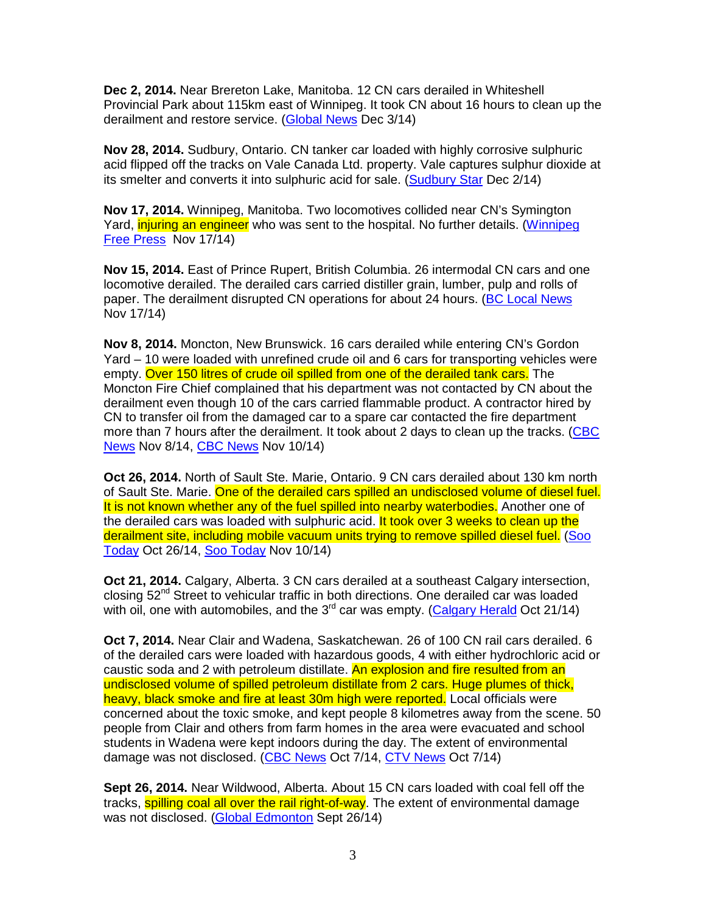**Dec 2, 2014.** Near Brereton Lake, Manitoba. 12 CN cars derailed in Whiteshell Provincial Park about 115km east of Winnipeg. It took CN about 16 hours to clean up the derailment and restore service. (Global News Dec 3/14)

**Nov 28, 2014.** Sudbury, Ontario. CN tanker car loaded with highly corrosive sulphuric acid flipped off the tracks on Vale Canada Ltd. property. Vale captures sulphur dioxide at its smelter and converts it into sulphuric acid for sale. (Sudbury Star Dec 2/14)

**Nov 17, 2014.** Winnipeg, Manitoba. Two locomotives collided near CN's Symington Yard, injuring an engineer who was sent to the hospital. No further details, (Winnipeg Free Press Nov 17/14)

**Nov 15, 2014.** East of Prince Rupert, British Columbia. 26 intermodal CN cars and one locomotive derailed. The derailed cars carried distiller grain, lumber, pulp and rolls of paper. The derailment disrupted CN operations for about 24 hours. (BC Local News Nov 17/14)

**Nov 8, 2014.** Moncton, New Brunswick. 16 cars derailed while entering CN's Gordon Yard – 10 were loaded with unrefined crude oil and 6 cars for transporting vehicles were empty. Over 150 litres of crude oil spilled from one of the derailed tank cars. The Moncton Fire Chief complained that his department was not contacted by CN about the derailment even though 10 of the cars carried flammable product. A contractor hired by CN to transfer oil from the damaged car to a spare car contacted the fire department more than 7 hours after the derailment. It took about 2 days to clean up the tracks. (CBC News Nov 8/14, CBC News Nov 10/14)

**Oct 26, 2014.** North of Sault Ste. Marie, Ontario. 9 CN cars derailed about 130 km north of Sault Ste. Marie. One of the derailed cars spilled an undisclosed volume of diesel fuel. It is not known whether any of the fuel spilled into nearby waterbodies. Another one of the derailed cars was loaded with sulphuric acid. It took over 3 weeks to clean up the derailment site, including mobile vacuum units trying to remove spilled diesel fuel. (Soo Today Oct 26/14, Soo Today Nov 10/14)

**Oct 21, 2014.** Calgary, Alberta. 3 CN cars derailed at a southeast Calgary intersection, closing  $52<sup>nd</sup>$  Street to vehicular traffic in both directions. One derailed car was loaded with oil, one with automobiles, and the  $3<sup>rd</sup>$  car was empty. (Calgary Herald Oct 21/14)

**Oct 7, 2014.** Near Clair and Wadena, Saskatchewan. 26 of 100 CN rail cars derailed. 6 of the derailed cars were loaded with hazardous goods, 4 with either hydrochloric acid or caustic soda and 2 with petroleum distillate. An explosion and fire resulted from an undisclosed volume of spilled petroleum distillate from 2 cars. Huge plumes of thick, heavy, black smoke and fire at least 30m high were reported. Local officials were concerned about the toxic smoke, and kept people 8 kilometres away from the scene. 50 people from Clair and others from farm homes in the area were evacuated and school students in Wadena were kept indoors during the day. The extent of environmental damage was not disclosed. (CBC News Oct 7/14, CTV News Oct 7/14)

**Sept 26, 2014.** Near Wildwood, Alberta. About 15 CN cars loaded with coal fell off the tracks, **spilling coal all over the rail right-of-way**. The extent of environmental damage was not disclosed. (Global Edmonton Sept 26/14)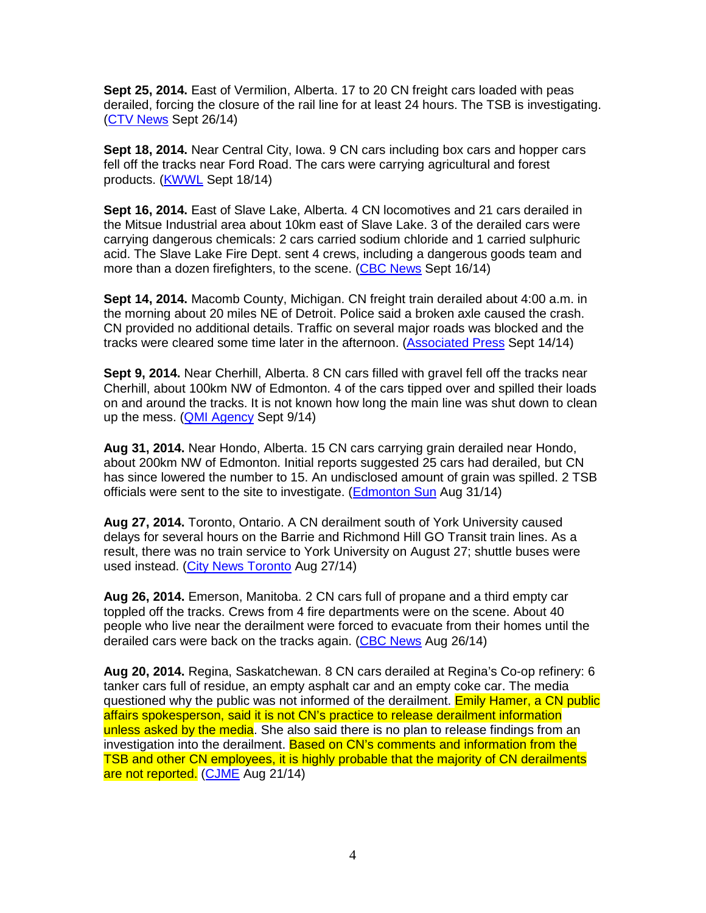**Sept 25, 2014.** East of Vermilion, Alberta. 17 to 20 CN freight cars loaded with peas derailed, forcing the closure of the rail line for at least 24 hours. The TSB is investigating. (CTV News Sept 26/14)

**Sept 18, 2014.** Near Central City, Iowa. 9 CN cars including box cars and hopper cars fell off the tracks near Ford Road. The cars were carrying agricultural and forest products. (KWWL Sept 18/14)

**Sept 16, 2014.** East of Slave Lake, Alberta. 4 CN locomotives and 21 cars derailed in the Mitsue Industrial area about 10km east of Slave Lake. 3 of the derailed cars were carrying dangerous chemicals: 2 cars carried sodium chloride and 1 carried sulphuric acid. The Slave Lake Fire Dept. sent 4 crews, including a dangerous goods team and more than a dozen firefighters, to the scene. (CBC News Sept 16/14)

**Sept 14, 2014.** Macomb County, Michigan. CN freight train derailed about 4:00 a.m. in the morning about 20 miles NE of Detroit. Police said a broken axle caused the crash. CN provided no additional details. Traffic on several major roads was blocked and the tracks were cleared some time later in the afternoon. (Associated Press Sept 14/14)

**Sept 9, 2014.** Near Cherhill, Alberta. 8 CN cars filled with gravel fell off the tracks near Cherhill, about 100km NW of Edmonton. 4 of the cars tipped over and spilled their loads on and around the tracks. It is not known how long the main line was shut down to clean up the mess. (QMI Agency Sept 9/14)

**Aug 31, 2014.** Near Hondo, Alberta. 15 CN cars carrying grain derailed near Hondo, about 200km NW of Edmonton. Initial reports suggested 25 cars had derailed, but CN has since lowered the number to 15. An undisclosed amount of grain was spilled. 2 TSB officials were sent to the site to investigate. (Edmonton Sun Aug 31/14)

**Aug 27, 2014.** Toronto, Ontario. A CN derailment south of York University caused delays for several hours on the Barrie and Richmond Hill GO Transit train lines. As a result, there was no train service to York University on August 27; shuttle buses were used instead. (City News Toronto Aug 27/14)

**Aug 26, 2014.** Emerson, Manitoba. 2 CN cars full of propane and a third empty car toppled off the tracks. Crews from 4 fire departments were on the scene. About 40 people who live near the derailment were forced to evacuate from their homes until the derailed cars were back on the tracks again. (CBC News Aug 26/14)

**Aug 20, 2014.** Regina, Saskatchewan. 8 CN cars derailed at Regina's Co-op refinery: 6 tanker cars full of residue, an empty asphalt car and an empty coke car. The media questioned why the public was not informed of the derailment. Emily Hamer, a CN public affairs spokesperson, said it is not CN's practice to release derailment information unless asked by the media. She also said there is no plan to release findings from an investigation into the derailment. Based on CN's comments and information from the TSB and other CN employees, it is highly probable that the majority of CN derailments are not reported. (CJME Aug 21/14)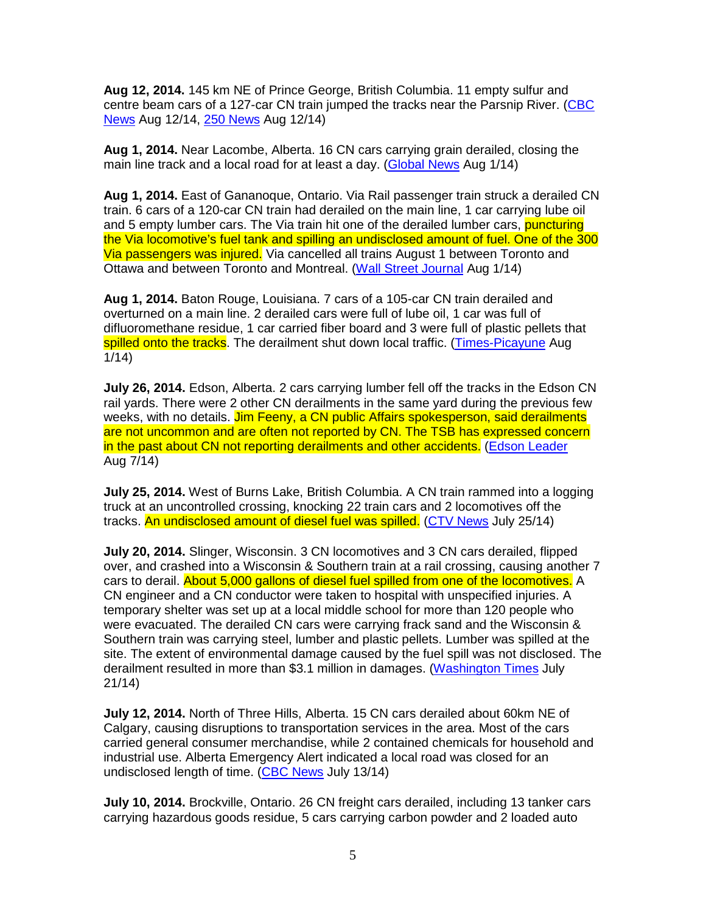**Aug 12, 2014.** 145 km NE of Prince George, British Columbia. 11 empty sulfur and centre beam cars of a 127-car CN train jumped the tracks near the Parsnip River. (CBC News Aug 12/14, 250 News Aug 12/14)

**Aug 1, 2014.** Near Lacombe, Alberta. 16 CN cars carrying grain derailed, closing the main line track and a local road for at least a day. (Global News Aug 1/14)

**Aug 1, 2014.** East of Gananoque, Ontario. Via Rail passenger train struck a derailed CN train. 6 cars of a 120-car CN train had derailed on the main line, 1 car carrying lube oil and 5 empty lumber cars. The Via train hit one of the derailed lumber cars, **puncturing** the Via locomotive's fuel tank and spilling an undisclosed amount of fuel. One of the 300 Via passengers was injured. Via cancelled all trains August 1 between Toronto and Ottawa and between Toronto and Montreal. (Wall Street Journal Aug 1/14)

**Aug 1, 2014.** Baton Rouge, Louisiana. 7 cars of a 105-car CN train derailed and overturned on a main line. 2 derailed cars were full of lube oil, 1 car was full of difluoromethane residue, 1 car carried fiber board and 3 were full of plastic pellets that spilled onto the tracks. The derailment shut down local traffic. (Times-Picayune Aug 1/14)

**July 26, 2014.** Edson, Alberta. 2 cars carrying lumber fell off the tracks in the Edson CN rail yards. There were 2 other CN derailments in the same yard during the previous few weeks, with no details. Jim Feeny, a CN public Affairs spokesperson, said derailments are not uncommon and are often not reported by CN. The TSB has expressed concern in the past about CN not reporting derailments and other accidents. (Edson Leader Aug 7/14)

**July 25, 2014.** West of Burns Lake, British Columbia. A CN train rammed into a logging truck at an uncontrolled crossing, knocking 22 train cars and 2 locomotives off the tracks. An undisclosed amount of diesel fuel was spilled. (CTV News July 25/14)

**July 20, 2014.** Slinger, Wisconsin. 3 CN locomotives and 3 CN cars derailed, flipped over, and crashed into a Wisconsin & Southern train at a rail crossing, causing another 7 cars to derail. About 5,000 gallons of diesel fuel spilled from one of the locomotives. A CN engineer and a CN conductor were taken to hospital with unspecified injuries. A temporary shelter was set up at a local middle school for more than 120 people who were evacuated. The derailed CN cars were carrying frack sand and the Wisconsin & Southern train was carrying steel, lumber and plastic pellets. Lumber was spilled at the site. The extent of environmental damage caused by the fuel spill was not disclosed. The derailment resulted in more than \$3.1 million in damages. (Washington Times July 21/14)

**July 12, 2014.** North of Three Hills, Alberta. 15 CN cars derailed about 60km NE of Calgary, causing disruptions to transportation services in the area. Most of the cars carried general consumer merchandise, while 2 contained chemicals for household and industrial use. Alberta Emergency Alert indicated a local road was closed for an undisclosed length of time. (CBC News July 13/14)

**July 10, 2014.** Brockville, Ontario. 26 CN freight cars derailed, including 13 tanker cars carrying hazardous goods residue, 5 cars carrying carbon powder and 2 loaded auto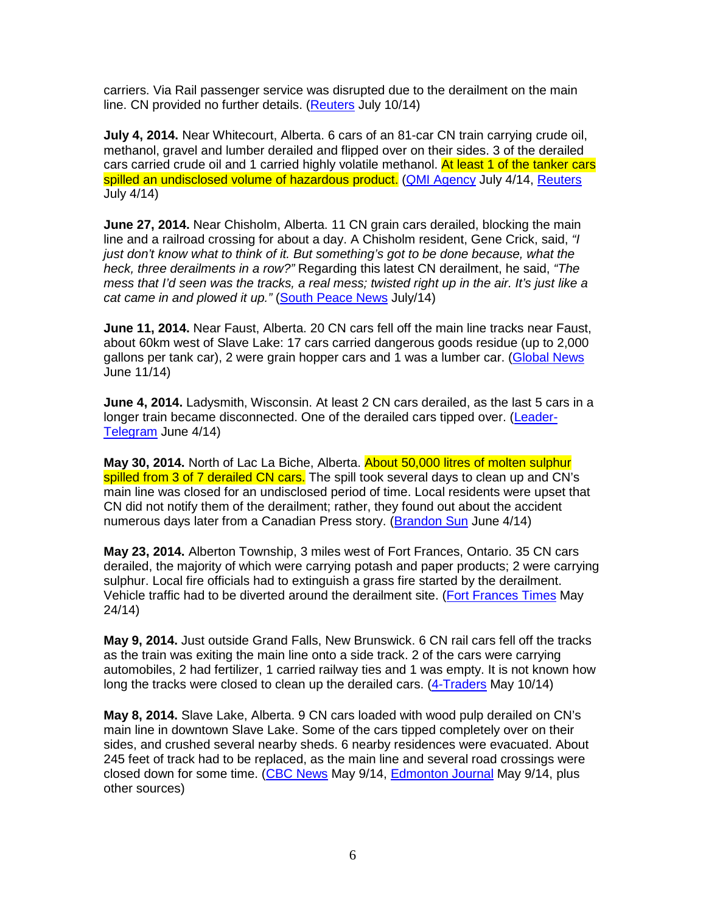carriers. Via Rail passenger service was disrupted due to the derailment on the main line. CN provided no further details. (Reuters July 10/14)

**July 4, 2014.** Near Whitecourt, Alberta. 6 cars of an 81-car CN train carrying crude oil, methanol, gravel and lumber derailed and flipped over on their sides. 3 of the derailed cars carried crude oil and 1 carried highly volatile methanol. At least 1 of the tanker cars spilled an undisclosed volume of hazardous product. (QMI Agency July 4/14, Reuters July 4/14)

**June 27, 2014.** Near Chisholm, Alberta. 11 CN grain cars derailed, blocking the main line and a railroad crossing for about a day. A Chisholm resident, Gene Crick, said, "I just don't know what to think of it. But something's got to be done because, what the heck, three derailments in a row?" Regarding this latest CN derailment, he said, "The mess that I'd seen was the tracks, a real mess; twisted right up in the air. It's just like a cat came in and plowed it up." (South Peace News July/14)

**June 11, 2014.** Near Faust, Alberta. 20 CN cars fell off the main line tracks near Faust, about 60km west of Slave Lake: 17 cars carried dangerous goods residue (up to 2,000 gallons per tank car), 2 were grain hopper cars and 1 was a lumber car. (Global News June 11/14)

**June 4, 2014.** Ladysmith, Wisconsin. At least 2 CN cars derailed, as the last 5 cars in a longer train became disconnected. One of the derailed cars tipped over. (Leader-Telegram June 4/14)

**May 30, 2014.** North of Lac La Biche, Alberta. About 50,000 litres of molten sulphur spilled from 3 of 7 derailed CN cars. The spill took several days to clean up and CN's main line was closed for an undisclosed period of time. Local residents were upset that CN did not notify them of the derailment; rather, they found out about the accident numerous days later from a Canadian Press story. (Brandon Sun June 4/14)

**May 23, 2014.** Alberton Township, 3 miles west of Fort Frances, Ontario. 35 CN cars derailed, the majority of which were carrying potash and paper products; 2 were carrying sulphur. Local fire officials had to extinguish a grass fire started by the derailment. Vehicle traffic had to be diverted around the derailment site. (Fort Frances Times May 24/14)

**May 9, 2014.** Just outside Grand Falls, New Brunswick. 6 CN rail cars fell off the tracks as the train was exiting the main line onto a side track. 2 of the cars were carrying automobiles, 2 had fertilizer, 1 carried railway ties and 1 was empty. It is not known how long the tracks were closed to clean up the derailed cars. (4-Traders May 10/14)

**May 8, 2014.** Slave Lake, Alberta. 9 CN cars loaded with wood pulp derailed on CN's main line in downtown Slave Lake. Some of the cars tipped completely over on their sides, and crushed several nearby sheds. 6 nearby residences were evacuated. About 245 feet of track had to be replaced, as the main line and several road crossings were closed down for some time. (CBC News May 9/14, Edmonton Journal May 9/14, plus other sources)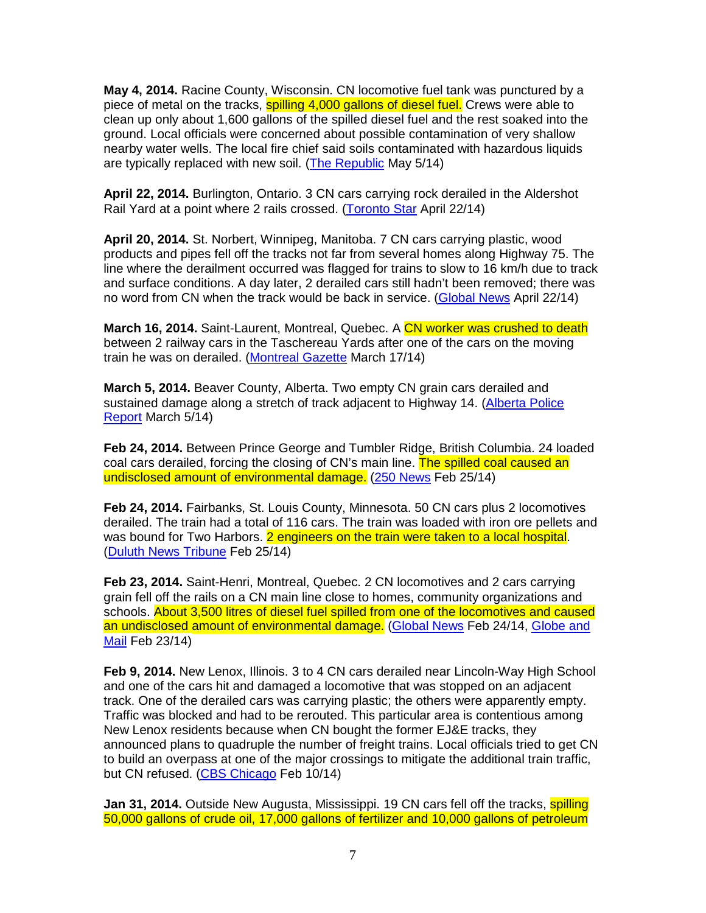**May 4, 2014.** Racine County, Wisconsin. CN locomotive fuel tank was punctured by a piece of metal on the tracks, spilling 4,000 gallons of diesel fuel. Crews were able to clean up only about 1,600 gallons of the spilled diesel fuel and the rest soaked into the ground. Local officials were concerned about possible contamination of very shallow nearby water wells. The local fire chief said soils contaminated with hazardous liquids are typically replaced with new soil. (The Republic May 5/14)

**April 22, 2014.** Burlington, Ontario. 3 CN cars carrying rock derailed in the Aldershot Rail Yard at a point where 2 rails crossed. (Toronto Star April 22/14)

**April 20, 2014.** St. Norbert, Winnipeg, Manitoba. 7 CN cars carrying plastic, wood products and pipes fell off the tracks not far from several homes along Highway 75. The line where the derailment occurred was flagged for trains to slow to 16 km/h due to track and surface conditions. A day later, 2 derailed cars still hadn't been removed; there was no word from CN when the track would be back in service. (Global News April 22/14)

**March 16, 2014.** Saint-Laurent, Montreal, Quebec. A CN worker was crushed to death between 2 railway cars in the Taschereau Yards after one of the cars on the moving train he was on derailed. (Montreal Gazette March 17/14)

**March 5, 2014.** Beaver County, Alberta. Two empty CN grain cars derailed and sustained damage along a stretch of track adjacent to Highway 14. (Alberta Police Report March 5/14)

**Feb 24, 2014.** Between Prince George and Tumbler Ridge, British Columbia. 24 loaded coal cars derailed, forcing the closing of CN's main line. The spilled coal caused an undisclosed amount of environmental damage. (250 News Feb 25/14)

**Feb 24, 2014.** Fairbanks, St. Louis County, Minnesota. 50 CN cars plus 2 locomotives derailed. The train had a total of 116 cars. The train was loaded with iron ore pellets and was bound for Two Harbors. 2 engineers on the train were taken to a local hospital. (Duluth News Tribune Feb 25/14)

**Feb 23, 2014.** Saint-Henri, Montreal, Quebec. 2 CN locomotives and 2 cars carrying grain fell off the rails on a CN main line close to homes, community organizations and schools. About 3,500 litres of diesel fuel spilled from one of the locomotives and caused an undisclosed amount of environmental damage. (Global News Feb 24/14, Globe and Mail Feb 23/14)

**Feb 9, 2014.** New Lenox, Illinois. 3 to 4 CN cars derailed near Lincoln-Way High School and one of the cars hit and damaged a locomotive that was stopped on an adjacent track. One of the derailed cars was carrying plastic; the others were apparently empty. Traffic was blocked and had to be rerouted. This particular area is contentious among New Lenox residents because when CN bought the former EJ&E tracks, they announced plans to quadruple the number of freight trains. Local officials tried to get CN to build an overpass at one of the major crossings to mitigate the additional train traffic, but CN refused. (CBS Chicago Feb 10/14)

**Jan 31, 2014.** Outside New Augusta, Mississippi. 19 CN cars fell off the tracks, **spilling** 50,000 gallons of crude oil, 17,000 gallons of fertilizer and 10,000 gallons of petroleum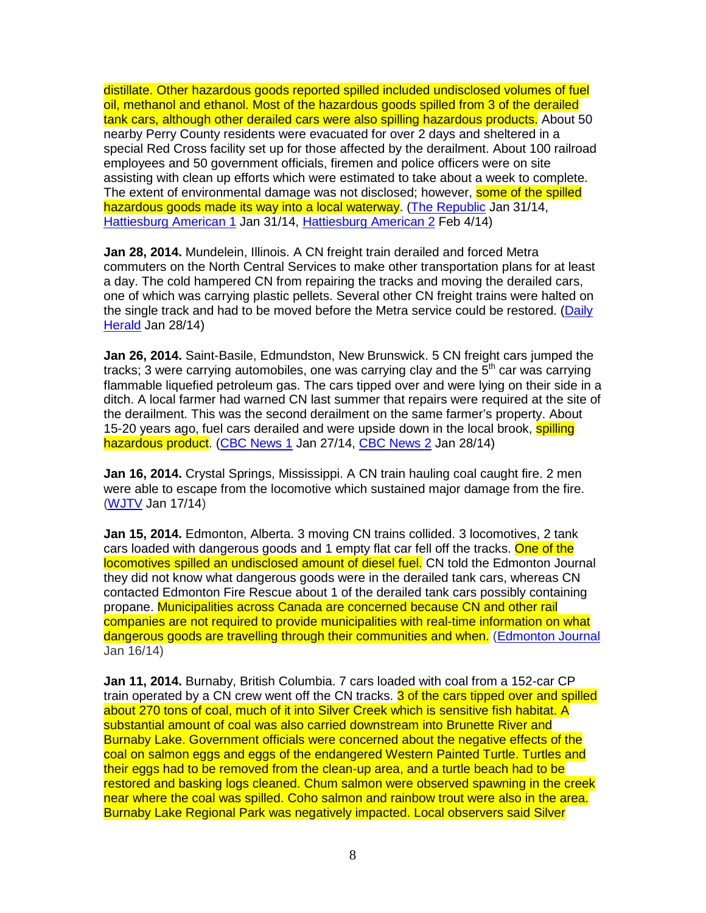distillate. Other hazardous goods reported spilled included undisclosed volumes of fuel oil, methanol and ethanol. Most of the hazardous goods spilled from 3 of the derailed tank cars, although other derailed cars were also spilling hazardous products. About 50 nearby Perry County residents were evacuated for over 2 days and sheltered in a special Red Cross facility set up for those affected by the derailment. About 100 railroad employees and 50 government officials, firemen and police officers were on site assisting with clean up efforts which were estimated to take about a week to complete. The extent of environmental damage was not disclosed; however, **some of the spilled** hazardous goods made its way into a local waterway. (The Republic Jan 31/14, Hattiesburg American 1 Jan 31/14, Hattiesburg American 2 Feb 4/14)

**Jan 28, 2014.** Mundelein, Illinois. A CN freight train derailed and forced Metra commuters on the North Central Services to make other transportation plans for at least a day. The cold hampered CN from repairing the tracks and moving the derailed cars, one of which was carrying plastic pellets. Several other CN freight trains were halted on the single track and had to be moved before the Metra service could be restored. (Daily Herald Jan 28/14)

**Jan 26, 2014.** Saint-Basile, Edmundston, New Brunswick. 5 CN freight cars jumped the tracks; 3 were carrying automobiles, one was carrying clay and the  $5<sup>th</sup>$  car was carrying flammable liquefied petroleum gas. The cars tipped over and were lying on their side in a ditch. A local farmer had warned CN last summer that repairs were required at the site of the derailment. This was the second derailment on the same farmer's property. About 15-20 years ago, fuel cars derailed and were upside down in the local brook, spilling hazardous product. (CBC News 1 Jan 27/14, CBC News 2 Jan 28/14)

**Jan 16, 2014.** Crystal Springs, Mississippi. A CN train hauling coal caught fire. 2 men were able to escape from the locomotive which sustained major damage from the fire. (WJTV Jan 17/14)

**Jan 15, 2014.** Edmonton, Alberta. 3 moving CN trains collided. 3 locomotives, 2 tank cars loaded with dangerous goods and 1 empty flat car fell off the tracks. One of the locomotives spilled an undisclosed amount of diesel fuel. CN told the Edmonton Journal they did not know what dangerous goods were in the derailed tank cars, whereas CN contacted Edmonton Fire Rescue about 1 of the derailed tank cars possibly containing propane. Municipalities across Canada are concerned because CN and other rail companies are not required to provide municipalities with real-time information on what dangerous goods are travelling through their communities and when. (Edmonton Journal Jan 16/14)

**Jan 11, 2014.** Burnaby, British Columbia. 7 cars loaded with coal from a 152-car CP train operated by a CN crew went off the CN tracks. 3 of the cars tipped over and spilled about 270 tons of coal, much of it into Silver Creek which is sensitive fish habitat. A substantial amount of coal was also carried downstream into Brunette River and Burnaby Lake. Government officials were concerned about the negative effects of the coal on salmon eggs and eggs of the endangered Western Painted Turtle. Turtles and their eggs had to be removed from the clean-up area, and a turtle beach had to be restored and basking logs cleaned. Chum salmon were observed spawning in the creek near where the coal was spilled. Coho salmon and rainbow trout were also in the area. Burnaby Lake Regional Park was negatively impacted. Local observers said Silver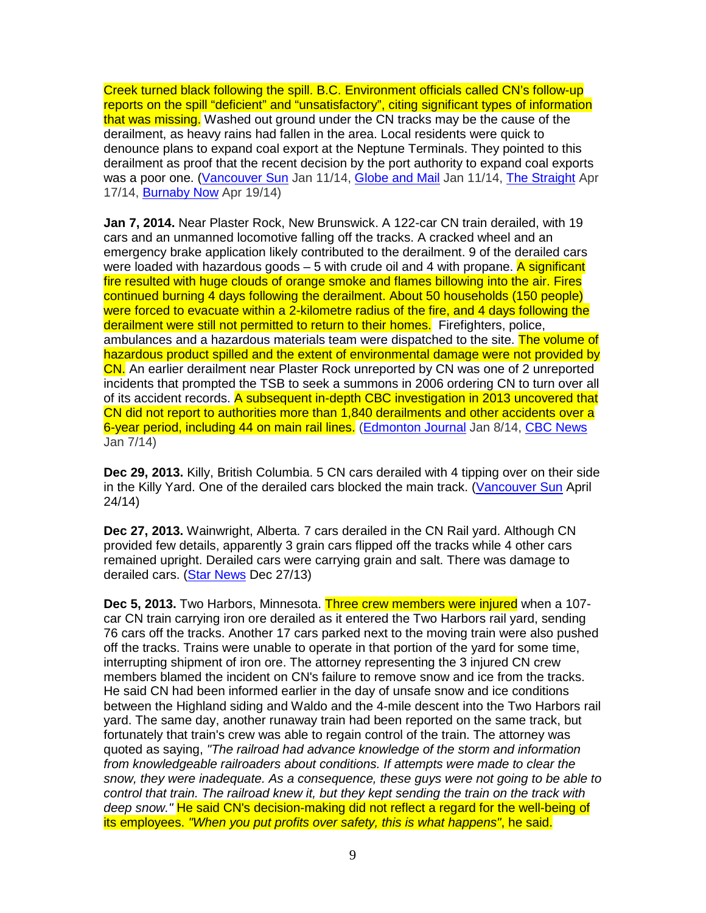Creek turned black following the spill. B.C. Environment officials called CN's follow-up reports on the spill "deficient" and "unsatisfactory", citing significant types of information that was missing. Washed out ground under the CN tracks may be the cause of the derailment, as heavy rains had fallen in the area. Local residents were quick to denounce plans to expand coal export at the Neptune Terminals. They pointed to this derailment as proof that the recent decision by the port authority to expand coal exports was a poor one. (Vancouver Sun Jan 11/14, Globe and Mail Jan 11/14, The Straight Apr 17/14, Burnaby Now Apr 19/14)

**Jan 7, 2014.** Near Plaster Rock, New Brunswick. A 122-car CN train derailed, with 19 cars and an unmanned locomotive falling off the tracks. A cracked wheel and an emergency brake application likely contributed to the derailment. 9 of the derailed cars were loaded with hazardous goods  $-5$  with crude oil and 4 with propane. A significant fire resulted with huge clouds of orange smoke and flames billowing into the air. Fires continued burning 4 days following the derailment. About 50 households (150 people) were forced to evacuate within a 2-kilometre radius of the fire, and 4 days following the derailment were still not permitted to return to their homes. Firefighters, police, ambulances and a hazardous materials team were dispatched to the site. The volume of hazardous product spilled and the extent of environmental damage were not provided by CN. An earlier derailment near Plaster Rock unreported by CN was one of 2 unreported incidents that prompted the TSB to seek a summons in 2006 ordering CN to turn over all of its accident records. A subsequent in-depth CBC investigation in 2013 uncovered that CN did not report to authorities more than 1,840 derailments and other accidents over a 6-year period, including 44 on main rail lines. (Edmonton Journal Jan 8/14, CBC News Jan 7/14)

**Dec 29, 2013.** Killy, British Columbia. 5 CN cars derailed with 4 tipping over on their side in the Killy Yard. One of the derailed cars blocked the main track. (Vancouver Sun April 24/14)

**Dec 27, 2013.** Wainwright, Alberta. 7 cars derailed in the CN Rail yard. Although CN provided few details, apparently 3 grain cars flipped off the tracks while 4 other cars remained upright. Derailed cars were carrying grain and salt. There was damage to derailed cars. (Star News Dec 27/13)

**Dec 5, 2013.** Two Harbors, Minnesota. Three crew members were injured when a 107 car CN train carrying iron ore derailed as it entered the Two Harbors rail yard, sending 76 cars off the tracks. Another 17 cars parked next to the moving train were also pushed off the tracks. Trains were unable to operate in that portion of the yard for some time, interrupting shipment of iron ore. The attorney representing the 3 injured CN crew members blamed the incident on CN's failure to remove snow and ice from the tracks. He said CN had been informed earlier in the day of unsafe snow and ice conditions between the Highland siding and Waldo and the 4-mile descent into the Two Harbors rail yard. The same day, another runaway train had been reported on the same track, but fortunately that train's crew was able to regain control of the train. The attorney was quoted as saying, "The railroad had advance knowledge of the storm and information from knowledgeable railroaders about conditions. If attempts were made to clear the snow, they were inadequate. As a consequence, these guys were not going to be able to control that train. The railroad knew it, but they kept sending the train on the track with deep snow." He said CN's decision-making did not reflect a regard for the well-being of its employees. "When you put profits over safety, this is what happens", he said.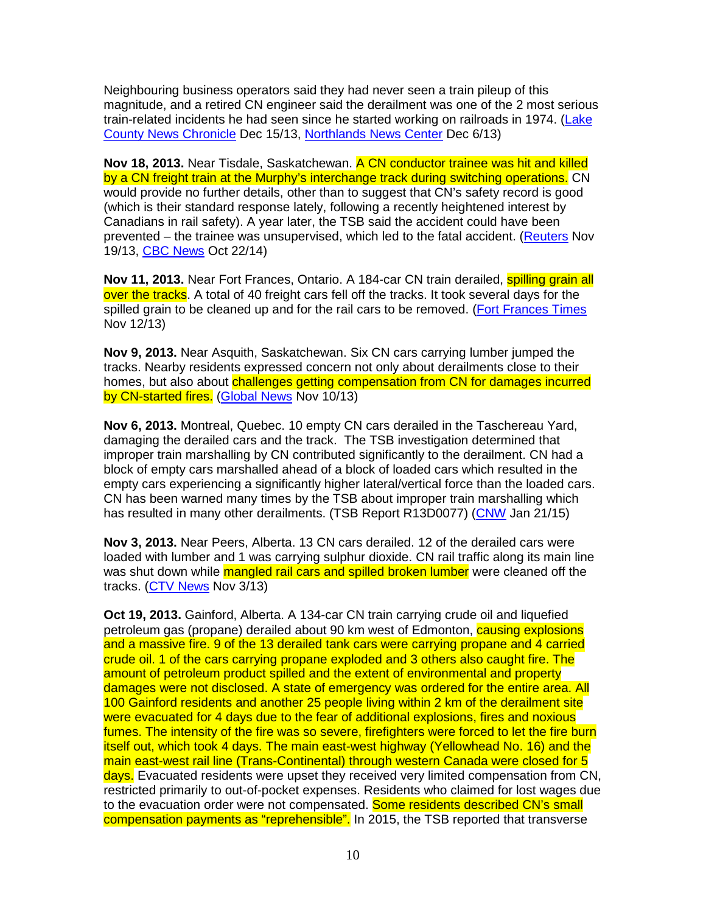Neighbouring business operators said they had never seen a train pileup of this magnitude, and a retired CN engineer said the derailment was one of the 2 most serious train-related incidents he had seen since he started working on railroads in 1974. (Lake County News Chronicle Dec 15/13, Northlands News Center Dec 6/13)

**Nov 18, 2013.** Near Tisdale, Saskatchewan. A CN conductor trainee was hit and killed by a CN freight train at the Murphy's interchange track during switching operations. CN would provide no further details, other than to suggest that CN's safety record is good (which is their standard response lately, following a recently heightened interest by Canadians in rail safety). A year later, the TSB said the accident could have been prevented – the trainee was unsupervised, which led to the fatal accident. (Reuters Nov 19/13, CBC News Oct 22/14)

**Nov 11, 2013.** Near Fort Frances, Ontario. A 184-car CN train derailed, **spilling grain all** over the tracks. A total of 40 freight cars fell off the tracks. It took several days for the spilled grain to be cleaned up and for the rail cars to be removed. (Fort Frances Times Nov 12/13)

**Nov 9, 2013.** Near Asquith, Saskatchewan. Six CN cars carrying lumber jumped the tracks. Nearby residents expressed concern not only about derailments close to their homes, but also about challenges getting compensation from CN for damages incurred by CN-started fires. (Global News Nov 10/13)

**Nov 6, 2013.** Montreal, Quebec. 10 empty CN cars derailed in the Taschereau Yard, damaging the derailed cars and the track. The TSB investigation determined that improper train marshalling by CN contributed significantly to the derailment. CN had a block of empty cars marshalled ahead of a block of loaded cars which resulted in the empty cars experiencing a significantly higher lateral/vertical force than the loaded cars. CN has been warned many times by the TSB about improper train marshalling which has resulted in many other derailments. (TSB Report R13D0077) (CNW Jan 21/15)

**Nov 3, 2013.** Near Peers, Alberta. 13 CN cars derailed. 12 of the derailed cars were loaded with lumber and 1 was carrying sulphur dioxide. CN rail traffic along its main line was shut down while mangled rail cars and spilled broken lumber were cleaned off the tracks. (CTV News Nov 3/13)

**Oct 19, 2013.** Gainford, Alberta. A 134-car CN train carrying crude oil and liquefied petroleum gas (propane) derailed about 90 km west of Edmonton, causing explosions and a massive fire. 9 of the 13 derailed tank cars were carrying propane and 4 carried crude oil. 1 of the cars carrying propane exploded and 3 others also caught fire. The amount of petroleum product spilled and the extent of environmental and property damages were not disclosed. A state of emergency was ordered for the entire area. All 100 Gainford residents and another 25 people living within 2 km of the derailment site were evacuated for 4 days due to the fear of additional explosions, fires and noxious fumes. The intensity of the fire was so severe, firefighters were forced to let the fire burn itself out, which took 4 days. The main east-west highway (Yellowhead No. 16) and the main east-west rail line (Trans-Continental) through western Canada were closed for 5 days. Evacuated residents were upset they received very limited compensation from CN, restricted primarily to out-of-pocket expenses. Residents who claimed for lost wages due to the evacuation order were not compensated. Some residents described CN's small compensation payments as "reprehensible". In 2015, the TSB reported that transverse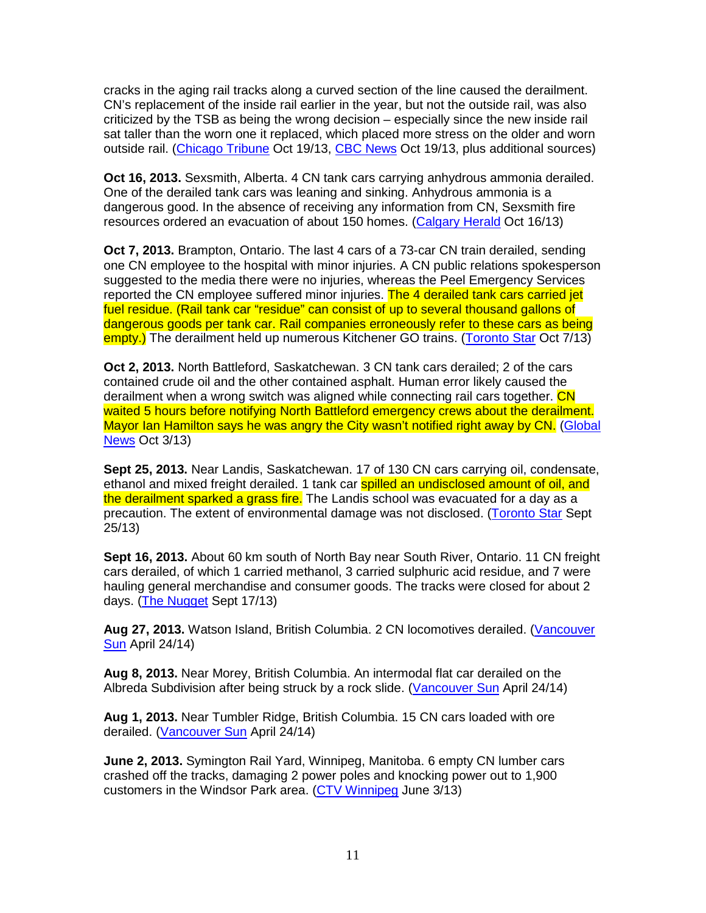cracks in the aging rail tracks along a curved section of the line caused the derailment. CN's replacement of the inside rail earlier in the year, but not the outside rail, was also criticized by the TSB as being the wrong decision – especially since the new inside rail sat taller than the worn one it replaced, which placed more stress on the older and worn outside rail. (Chicago Tribune Oct 19/13, CBC News Oct 19/13, plus additional sources)

**Oct 16, 2013.** Sexsmith, Alberta. 4 CN tank cars carrying anhydrous ammonia derailed. One of the derailed tank cars was leaning and sinking. Anhydrous ammonia is a dangerous good. In the absence of receiving any information from CN, Sexsmith fire resources ordered an evacuation of about 150 homes. (Calgary Herald Oct 16/13)

**Oct 7, 2013.** Brampton, Ontario. The last 4 cars of a 73-car CN train derailed, sending one CN employee to the hospital with minor injuries. A CN public relations spokesperson suggested to the media there were no injuries, whereas the Peel Emergency Services reported the CN employee suffered minor injuries. The 4 derailed tank cars carried jet fuel residue. (Rail tank car "residue" can consist of up to several thousand gallons of dangerous goods per tank car. Rail companies erroneously refer to these cars as being empty.) The derailment held up numerous Kitchener GO trains. (Toronto Star Oct 7/13)

**Oct 2, 2013.** North Battleford, Saskatchewan. 3 CN tank cars derailed; 2 of the cars contained crude oil and the other contained asphalt. Human error likely caused the derailment when a wrong switch was aligned while connecting rail cars together. CN waited 5 hours before notifying North Battleford emergency crews about the derailment. Mayor Ian Hamilton says he was angry the City wasn't notified right away by CN. (Global News Oct 3/13)

**Sept 25, 2013.** Near Landis, Saskatchewan. 17 of 130 CN cars carrying oil, condensate, ethanol and mixed freight derailed. 1 tank car spilled an undisclosed amount of oil, and the derailment sparked a grass fire. The Landis school was evacuated for a day as a precaution. The extent of environmental damage was not disclosed. (Toronto Star Sept 25/13)

**Sept 16, 2013.** About 60 km south of North Bay near South River, Ontario. 11 CN freight cars derailed, of which 1 carried methanol, 3 carried sulphuric acid residue, and 7 were hauling general merchandise and consumer goods. The tracks were closed for about 2 days. (The Nugget Sept 17/13)

**Aug 27, 2013.** Watson Island, British Columbia. 2 CN locomotives derailed. (Vancouver Sun April 24/14)

**Aug 8, 2013.** Near Morey, British Columbia. An intermodal flat car derailed on the Albreda Subdivision after being struck by a rock slide. (Vancouver Sun April 24/14)

**Aug 1, 2013.** Near Tumbler Ridge, British Columbia. 15 CN cars loaded with ore derailed. (Vancouver Sun April 24/14)

**June 2, 2013.** Symington Rail Yard, Winnipeg, Manitoba. 6 empty CN lumber cars crashed off the tracks, damaging 2 power poles and knocking power out to 1,900 customers in the Windsor Park area. (CTV Winnipeg June 3/13)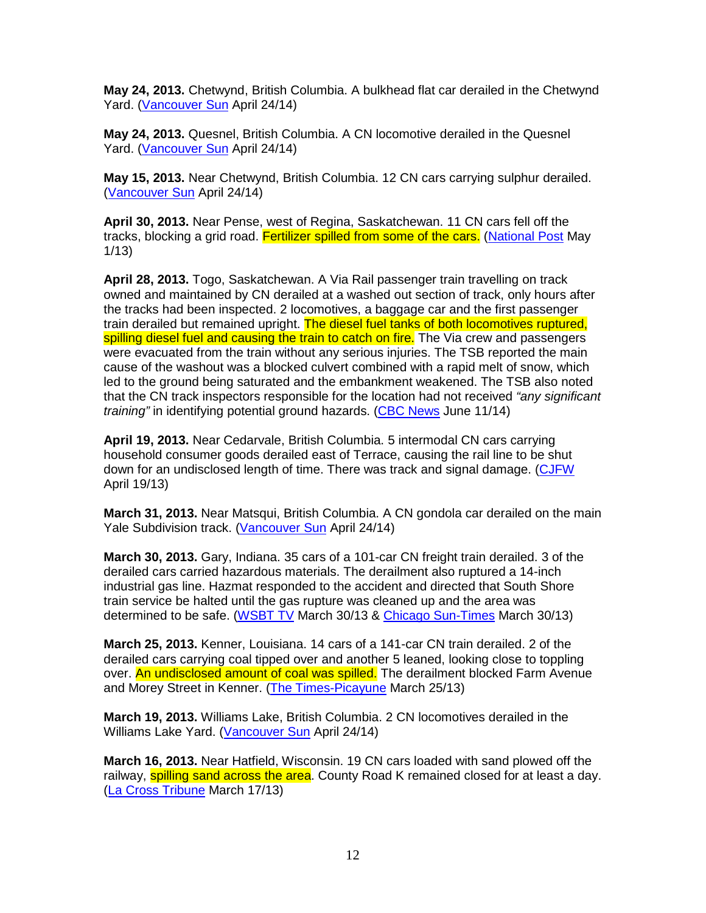**May 24, 2013.** Chetwynd, British Columbia. A bulkhead flat car derailed in the Chetwynd Yard. (Vancouver Sun April 24/14)

**May 24, 2013.** Quesnel, British Columbia. A CN locomotive derailed in the Quesnel Yard. (Vancouver Sun April 24/14)

**May 15, 2013.** Near Chetwynd, British Columbia. 12 CN cars carrying sulphur derailed. (Vancouver Sun April 24/14)

**April 30, 2013.** Near Pense, west of Regina, Saskatchewan. 11 CN cars fell off the tracks, blocking a grid road. Fertilizer spilled from some of the cars. (National Post May 1/13)

**April 28, 2013.** Togo, Saskatchewan. A Via Rail passenger train travelling on track owned and maintained by CN derailed at a washed out section of track, only hours after the tracks had been inspected. 2 locomotives, a baggage car and the first passenger train derailed but remained upright. The diesel fuel tanks of both locomotives ruptured, spilling diesel fuel and causing the train to catch on fire. The Via crew and passengers were evacuated from the train without any serious injuries. The TSB reported the main cause of the washout was a blocked culvert combined with a rapid melt of snow, which led to the ground being saturated and the embankment weakened. The TSB also noted that the CN track inspectors responsible for the location had not received "any significant" training" in identifying potential ground hazards. (CBC News June 11/14)

**April 19, 2013.** Near Cedarvale, British Columbia. 5 intermodal CN cars carrying household consumer goods derailed east of Terrace, causing the rail line to be shut down for an undisclosed length of time. There was track and signal damage. (CJFW April 19/13)

**March 31, 2013.** Near Matsqui, British Columbia. A CN gondola car derailed on the main Yale Subdivision track. (Vancouver Sun April 24/14)

**March 30, 2013.** Gary, Indiana. 35 cars of a 101-car CN freight train derailed. 3 of the derailed cars carried hazardous materials. The derailment also ruptured a 14-inch industrial gas line. Hazmat responded to the accident and directed that South Shore train service be halted until the gas rupture was cleaned up and the area was determined to be safe. (WSBT TV March 30/13 & Chicago Sun-Times March 30/13)

**March 25, 2013.** Kenner, Louisiana. 14 cars of a 141-car CN train derailed. 2 of the derailed cars carrying coal tipped over and another 5 leaned, looking close to toppling over. An undisclosed amount of coal was spilled. The derailment blocked Farm Avenue and Morey Street in Kenner. (The Times-Picayune March 25/13)

**March 19, 2013.** Williams Lake, British Columbia. 2 CN locomotives derailed in the Williams Lake Yard. (Vancouver Sun April 24/14)

**March 16, 2013.** Near Hatfield, Wisconsin. 19 CN cars loaded with sand plowed off the railway, **spilling sand across the area**. County Road K remained closed for at least a day. (La Cross Tribune March 17/13)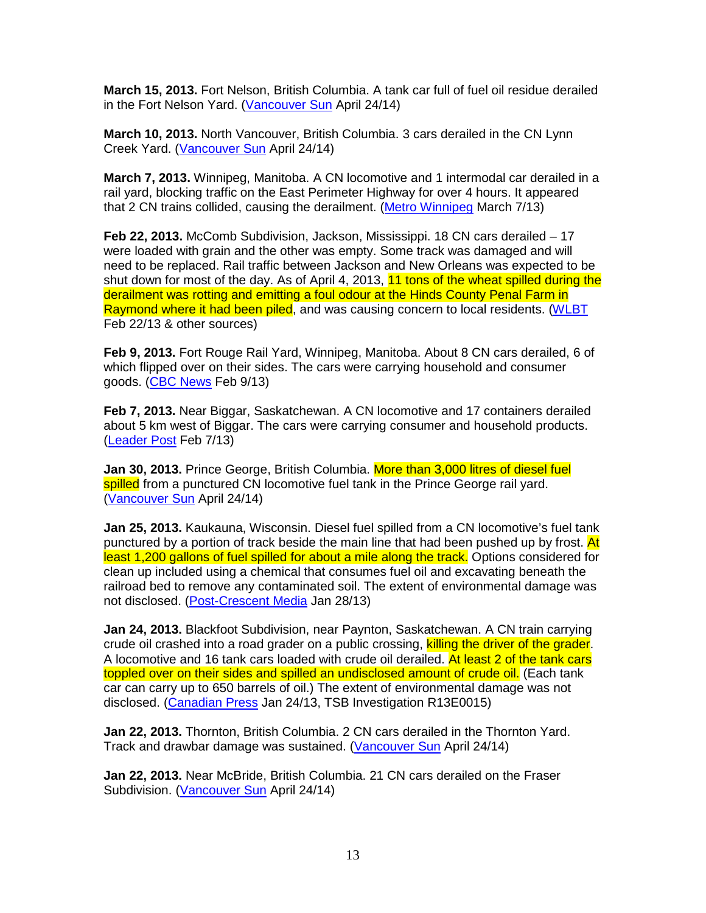**March 15, 2013.** Fort Nelson, British Columbia. A tank car full of fuel oil residue derailed in the Fort Nelson Yard. (Vancouver Sun April 24/14)

**March 10, 2013.** North Vancouver, British Columbia. 3 cars derailed in the CN Lynn Creek Yard. (Vancouver Sun April 24/14)

**March 7, 2013.** Winnipeg, Manitoba. A CN locomotive and 1 intermodal car derailed in a rail yard, blocking traffic on the East Perimeter Highway for over 4 hours. It appeared that 2 CN trains collided, causing the derailment. (Metro Winnipeg March 7/13)

**Feb 22, 2013.** McComb Subdivision, Jackson, Mississippi. 18 CN cars derailed – 17 were loaded with grain and the other was empty. Some track was damaged and will need to be replaced. Rail traffic between Jackson and New Orleans was expected to be shut down for most of the day. As of April 4, 2013, 11 tons of the wheat spilled during the derailment was rotting and emitting a foul odour at the Hinds County Penal Farm in Raymond where it had been piled, and was causing concern to local residents. (WLBT Feb 22/13 & other sources)

**Feb 9, 2013.** Fort Rouge Rail Yard, Winnipeg, Manitoba. About 8 CN cars derailed, 6 of which flipped over on their sides. The cars were carrying household and consumer goods. (CBC News Feb 9/13)

**Feb 7, 2013.** Near Biggar, Saskatchewan. A CN locomotive and 17 containers derailed about 5 km west of Biggar. The cars were carrying consumer and household products. (Leader Post Feb 7/13)

Jan 30, 2013. Prince George, British Columbia. More than 3,000 litres of diesel fuel spilled from a punctured CN locomotive fuel tank in the Prince George rail vard. (Vancouver Sun April 24/14)

**Jan 25, 2013.** Kaukauna, Wisconsin. Diesel fuel spilled from a CN locomotive's fuel tank punctured by a portion of track beside the main line that had been pushed up by frost. At least 1,200 gallons of fuel spilled for about a mile along the track. Options considered for clean up included using a chemical that consumes fuel oil and excavating beneath the railroad bed to remove any contaminated soil. The extent of environmental damage was not disclosed. (Post-Crescent Media Jan 28/13)

**Jan 24, 2013.** Blackfoot Subdivision, near Paynton, Saskatchewan. A CN train carrying crude oil crashed into a road grader on a public crossing, killing the driver of the grader. A locomotive and 16 tank cars loaded with crude oil derailed. At least 2 of the tank cars toppled over on their sides and spilled an undisclosed amount of crude oil. (Each tank car can carry up to 650 barrels of oil.) The extent of environmental damage was not disclosed. (Canadian Press Jan 24/13, TSB Investigation R13E0015)

**Jan 22, 2013.** Thornton, British Columbia. 2 CN cars derailed in the Thornton Yard. Track and drawbar damage was sustained. (Vancouver Sun April 24/14)

**Jan 22, 2013.** Near McBride, British Columbia. 21 CN cars derailed on the Fraser Subdivision. (Vancouver Sun April 24/14)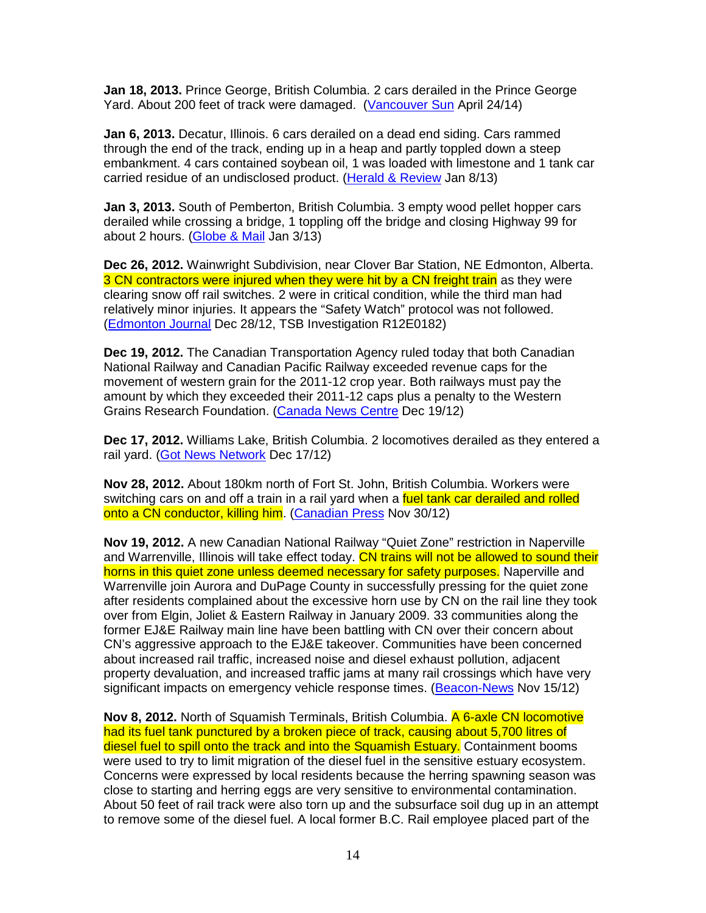**Jan 18, 2013.** Prince George, British Columbia. 2 cars derailed in the Prince George Yard. About 200 feet of track were damaged. (Vancouver Sun April 24/14)

**Jan 6, 2013.** Decatur, Illinois. 6 cars derailed on a dead end siding. Cars rammed through the end of the track, ending up in a heap and partly toppled down a steep embankment. 4 cars contained soybean oil, 1 was loaded with limestone and 1 tank car carried residue of an undisclosed product. (Herald & Review Jan 8/13)

**Jan 3, 2013.** South of Pemberton, British Columbia. 3 empty wood pellet hopper cars derailed while crossing a bridge, 1 toppling off the bridge and closing Highway 99 for about 2 hours. (Globe & Mail Jan 3/13)

**Dec 26, 2012.** Wainwright Subdivision, near Clover Bar Station, NE Edmonton, Alberta. 3 CN contractors were injured when they were hit by a CN freight train as they were clearing snow off rail switches. 2 were in critical condition, while the third man had relatively minor injuries. It appears the "Safety Watch" protocol was not followed. (Edmonton Journal Dec 28/12, TSB Investigation R12E0182)

**Dec 19, 2012.** The Canadian Transportation Agency ruled today that both Canadian National Railway and Canadian Pacific Railway exceeded revenue caps for the movement of western grain for the 2011-12 crop year. Both railways must pay the amount by which they exceeded their 2011-12 caps plus a penalty to the Western Grains Research Foundation. (Canada News Centre Dec 19/12)

**Dec 17, 2012.** Williams Lake, British Columbia. 2 locomotives derailed as they entered a rail yard. (Got News Network Dec 17/12)

**Nov 28, 2012.** About 180km north of Fort St. John, British Columbia. Workers were switching cars on and off a train in a rail yard when a fuel tank car derailed and rolled onto a CN conductor, killing him. (Canadian Press Nov 30/12)

**Nov 19, 2012.** A new Canadian National Railway "Quiet Zone" restriction in Naperville and Warrenville, Illinois will take effect today. CN trains will not be allowed to sound their horns in this quiet zone unless deemed necessary for safety purposes. Naperville and Warrenville join Aurora and DuPage County in successfully pressing for the quiet zone after residents complained about the excessive horn use by CN on the rail line they took over from Elgin, Joliet & Eastern Railway in January 2009. 33 communities along the former EJ&E Railway main line have been battling with CN over their concern about CN's aggressive approach to the EJ&E takeover. Communities have been concerned about increased rail traffic, increased noise and diesel exhaust pollution, adjacent property devaluation, and increased traffic jams at many rail crossings which have very significant impacts on emergency vehicle response times. (Beacon-News Nov 15/12)

**Nov 8, 2012.** North of Squamish Terminals, British Columbia. A 6-axle CN locomotive had its fuel tank punctured by a broken piece of track, causing about 5,700 litres of diesel fuel to spill onto the track and into the Squamish Estuary. Containment booms were used to try to limit migration of the diesel fuel in the sensitive estuary ecosystem. Concerns were expressed by local residents because the herring spawning season was close to starting and herring eggs are very sensitive to environmental contamination. About 50 feet of rail track were also torn up and the subsurface soil dug up in an attempt to remove some of the diesel fuel. A local former B.C. Rail employee placed part of the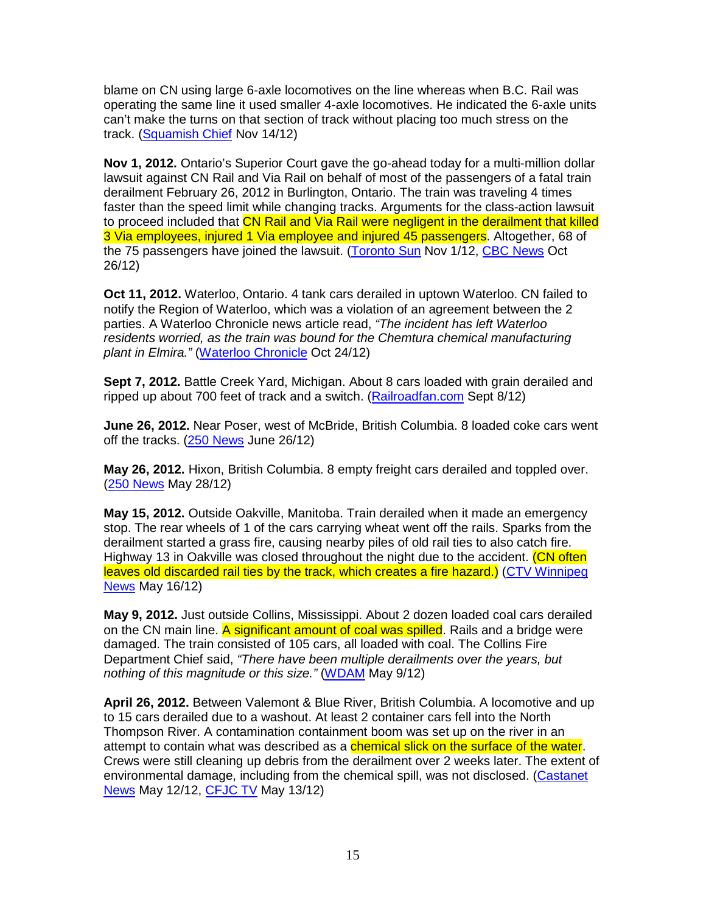blame on CN using large 6-axle locomotives on the line whereas when B.C. Rail was operating the same line it used smaller 4-axle locomotives. He indicated the 6-axle units can't make the turns on that section of track without placing too much stress on the track. (Squamish Chief Nov 14/12)

**Nov 1, 2012.** Ontario's Superior Court gave the go-ahead today for a multi-million dollar lawsuit against CN Rail and Via Rail on behalf of most of the passengers of a fatal train derailment February 26, 2012 in Burlington, Ontario. The train was traveling 4 times faster than the speed limit while changing tracks. Arguments for the class-action lawsuit to proceed included that CN Rail and Via Rail were negligent in the derailment that killed 3 Via employees, injured 1 Via employee and injured 45 passengers. Altogether, 68 of the 75 passengers have joined the lawsuit. (Toronto Sun Nov 1/12, CBC News Oct 26/12)

**Oct 11, 2012.** Waterloo, Ontario. 4 tank cars derailed in uptown Waterloo. CN failed to notify the Region of Waterloo, which was a violation of an agreement between the 2 parties. A Waterloo Chronicle news article read, "The incident has left Waterloo residents worried, as the train was bound for the Chemtura chemical manufacturing plant in Elmira." (Waterloo Chronicle Oct 24/12)

**Sept 7, 2012.** Battle Creek Yard, Michigan. About 8 cars loaded with grain derailed and ripped up about 700 feet of track and a switch. (Railroadfan.com Sept 8/12)

**June 26, 2012.** Near Poser, west of McBride, British Columbia. 8 loaded coke cars went off the tracks. (250 News June 26/12)

**May 26, 2012.** Hixon, British Columbia. 8 empty freight cars derailed and toppled over. (250 News May 28/12)

**May 15, 2012.** Outside Oakville, Manitoba. Train derailed when it made an emergency stop. The rear wheels of 1 of the cars carrying wheat went off the rails. Sparks from the derailment started a grass fire, causing nearby piles of old rail ties to also catch fire. Highway 13 in Oakville was closed throughout the night due to the accident. (CN often leaves old discarded rail ties by the track, which creates a fire hazard.) (CTV Winnipeg News May 16/12)

**May 9, 2012.** Just outside Collins, Mississippi. About 2 dozen loaded coal cars derailed on the CN main line. A significant amount of coal was spilled. Rails and a bridge were damaged. The train consisted of 105 cars, all loaded with coal. The Collins Fire Department Chief said, "There have been multiple derailments over the years, but nothing of this magnitude or this size." (WDAM May 9/12)

**April 26, 2012.** Between Valemont & Blue River, British Columbia. A locomotive and up to 15 cars derailed due to a washout. At least 2 container cars fell into the North Thompson River. A contamination containment boom was set up on the river in an attempt to contain what was described as a **chemical slick on the surface of the water**. Crews were still cleaning up debris from the derailment over 2 weeks later. The extent of environmental damage, including from the chemical spill, was not disclosed. (Castanet News May 12/12, CFJC TV May 13/12)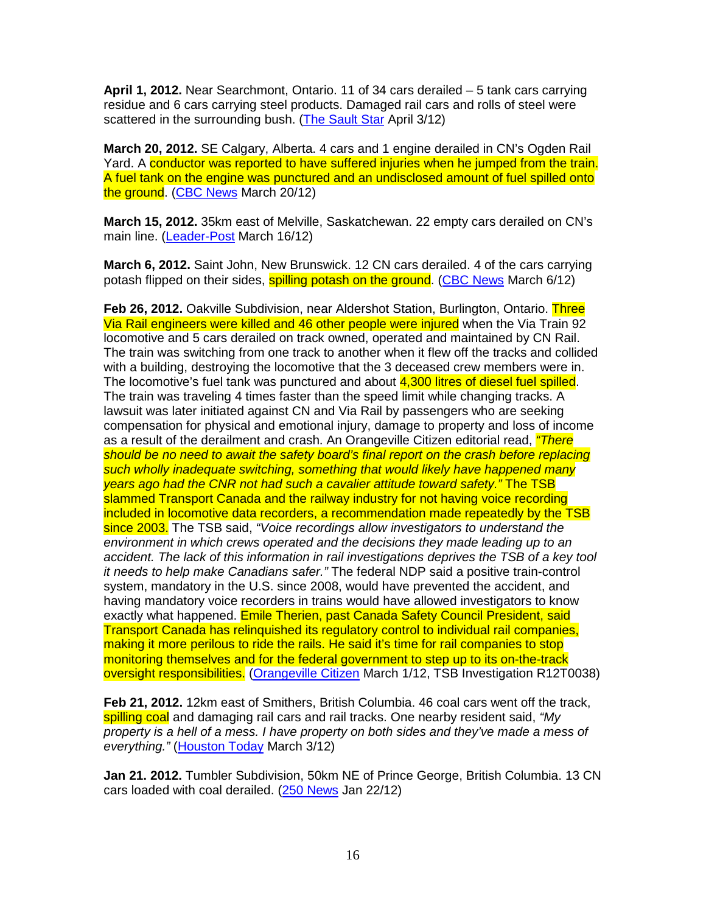**April 1, 2012.** Near Searchmont, Ontario. 11 of 34 cars derailed – 5 tank cars carrying residue and 6 cars carrying steel products. Damaged rail cars and rolls of steel were scattered in the surrounding bush. (The Sault Star April 3/12)

**March 20, 2012.** SE Calgary, Alberta. 4 cars and 1 engine derailed in CN's Ogden Rail Yard. A conductor was reported to have suffered injuries when he jumped from the train. A fuel tank on the engine was punctured and an undisclosed amount of fuel spilled onto the ground. (CBC News March 20/12)

**March 15, 2012.** 35km east of Melville, Saskatchewan. 22 empty cars derailed on CN's main line. (Leader-Post March 16/12)

**March 6, 2012.** Saint John, New Brunswick. 12 CN cars derailed. 4 of the cars carrying potash flipped on their sides, **spilling potash on the ground.** (CBC News March 6/12)

**Feb 26, 2012.** Oakville Subdivision, near Aldershot Station, Burlington, Ontario. Three Via Rail engineers were killed and 46 other people were injured when the Via Train 92 locomotive and 5 cars derailed on track owned, operated and maintained by CN Rail. The train was switching from one track to another when it flew off the tracks and collided with a building, destroying the locomotive that the 3 deceased crew members were in. The locomotive's fuel tank was punctured and about 4,300 litres of diesel fuel spilled. The train was traveling 4 times faster than the speed limit while changing tracks. A lawsuit was later initiated against CN and Via Rail by passengers who are seeking compensation for physical and emotional injury, damage to property and loss of income as a result of the derailment and crash. An Orangeville Citizen editorial read, *"There* should be no need to await the safety board's final report on the crash before replacing such wholly inadequate switching, something that would likely have happened many years ago had the CNR not had such a cavalier attitude toward safety." The TSB slammed Transport Canada and the railway industry for not having voice recording included in locomotive data recorders, a recommendation made repeatedly by the TSB since 2003. The TSB said, "Voice recordings allow investigators to understand the environment in which crews operated and the decisions they made leading up to an accident. The lack of this information in rail investigations deprives the TSB of a key tool it needs to help make Canadians safer." The federal NDP said a positive train-control system, mandatory in the U.S. since 2008, would have prevented the accident, and having mandatory voice recorders in trains would have allowed investigators to know exactly what happened. Emile Therien, past Canada Safety Council President, said Transport Canada has relinquished its regulatory control to individual rail companies, making it more perilous to ride the rails. He said it's time for rail companies to stop monitoring themselves and for the federal government to step up to its on-the-track oversight responsibilities. (Orangeville Citizen March 1/12, TSB Investigation R12T0038)

**Feb 21, 2012.** 12km east of Smithers, British Columbia. 46 coal cars went off the track, spilling coal and damaging rail cars and rail tracks. One nearby resident said, "My property is a hell of a mess. I have property on both sides and they've made a mess of everything." (Houston Today March 3/12)

**Jan 21. 2012.** Tumbler Subdivision, 50km NE of Prince George, British Columbia. 13 CN cars loaded with coal derailed. (250 News Jan 22/12)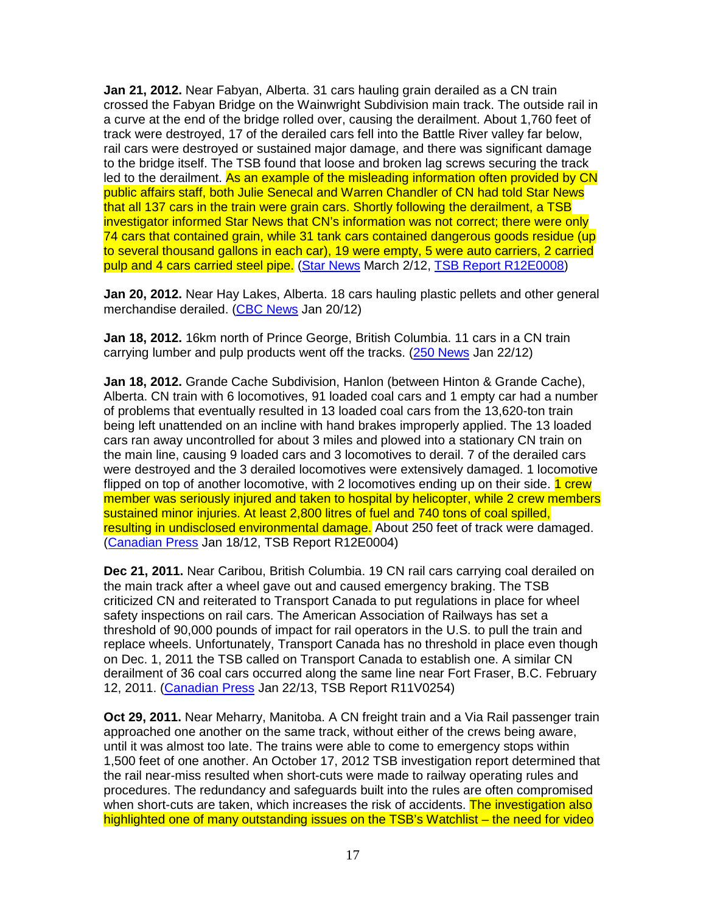**Jan 21, 2012.** Near Fabyan, Alberta. 31 cars hauling grain derailed as a CN train crossed the Fabyan Bridge on the Wainwright Subdivision main track. The outside rail in a curve at the end of the bridge rolled over, causing the derailment. About 1,760 feet of track were destroyed, 17 of the derailed cars fell into the Battle River valley far below, rail cars were destroyed or sustained major damage, and there was significant damage to the bridge itself. The TSB found that loose and broken lag screws securing the track led to the derailment. As an example of the misleading information often provided by CN public affairs staff, both Julie Senecal and Warren Chandler of CN had told Star News that all 137 cars in the train were grain cars. Shortly following the derailment, a TSB investigator informed Star News that CN's information was not correct; there were only 74 cars that contained grain, while 31 tank cars contained dangerous goods residue (up to several thousand gallons in each car), 19 were empty, 5 were auto carriers, 2 carried pulp and 4 cars carried steel pipe. (Star News March 2/12, TSB Report R12E0008)

**Jan 20, 2012.** Near Hay Lakes, Alberta. 18 cars hauling plastic pellets and other general merchandise derailed. (CBC News Jan 20/12)

**Jan 18, 2012.** 16km north of Prince George, British Columbia. 11 cars in a CN train carrying lumber and pulp products went off the tracks. (250 News Jan 22/12)

**Jan 18, 2012.** Grande Cache Subdivision, Hanlon (between Hinton & Grande Cache), Alberta. CN train with 6 locomotives, 91 loaded coal cars and 1 empty car had a number of problems that eventually resulted in 13 loaded coal cars from the 13,620-ton train being left unattended on an incline with hand brakes improperly applied. The 13 loaded cars ran away uncontrolled for about 3 miles and plowed into a stationary CN train on the main line, causing 9 loaded cars and 3 locomotives to derail. 7 of the derailed cars were destroyed and the 3 derailed locomotives were extensively damaged. 1 locomotive flipped on top of another locomotive, with 2 locomotives ending up on their side. 1 crew member was seriously injured and taken to hospital by helicopter, while 2 crew members sustained minor injuries. At least 2,800 litres of fuel and 740 tons of coal spilled, resulting in undisclosed environmental damage. About 250 feet of track were damaged. (Canadian Press Jan 18/12, TSB Report R12E0004)

**Dec 21, 2011.** Near Caribou, British Columbia. 19 CN rail cars carrying coal derailed on the main track after a wheel gave out and caused emergency braking. The TSB criticized CN and reiterated to Transport Canada to put regulations in place for wheel safety inspections on rail cars. The American Association of Railways has set a threshold of 90,000 pounds of impact for rail operators in the U.S. to pull the train and replace wheels. Unfortunately, Transport Canada has no threshold in place even though on Dec. 1, 2011 the TSB called on Transport Canada to establish one. A similar CN derailment of 36 coal cars occurred along the same line near Fort Fraser, B.C. February 12, 2011. (Canadian Press Jan 22/13, TSB Report R11V0254)

**Oct 29, 2011.** Near Meharry, Manitoba. A CN freight train and a Via Rail passenger train approached one another on the same track, without either of the crews being aware, until it was almost too late. The trains were able to come to emergency stops within 1,500 feet of one another. An October 17, 2012 TSB investigation report determined that the rail near-miss resulted when short-cuts were made to railway operating rules and procedures. The redundancy and safeguards built into the rules are often compromised when short-cuts are taken, which increases the risk of accidents. The investigation also highlighted one of many outstanding issues on the TSB's Watchlist – the need for video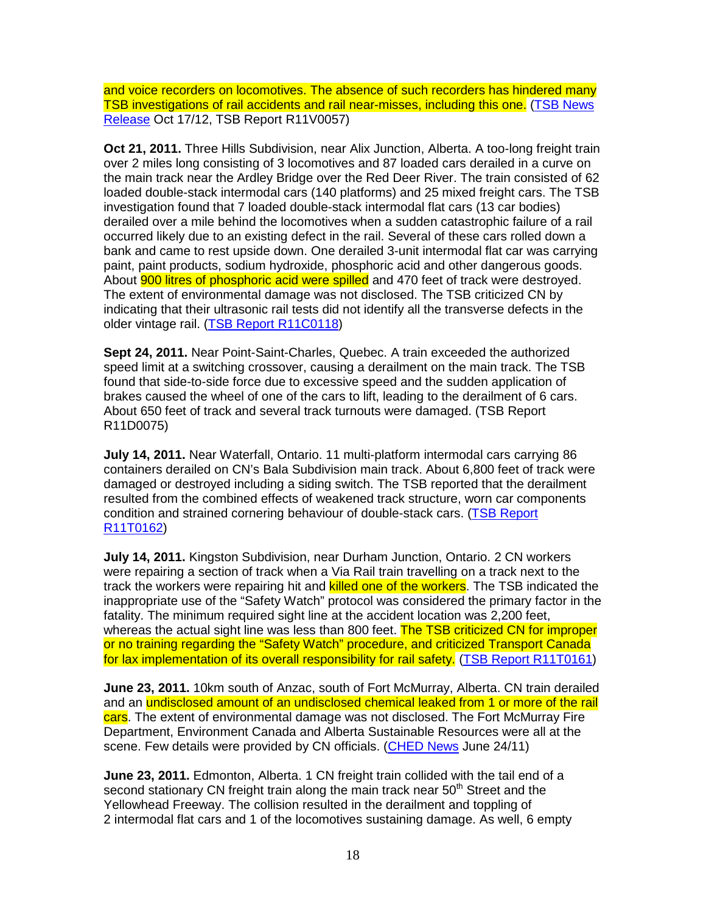and voice recorders on locomotives. The absence of such recorders has hindered many TSB investigations of rail accidents and rail near-misses, including this one. (TSB News Release Oct 17/12, TSB Report R11V0057)

**Oct 21, 2011.** Three Hills Subdivision, near Alix Junction, Alberta. A too-long freight train over 2 miles long consisting of 3 locomotives and 87 loaded cars derailed in a curve on the main track near the Ardley Bridge over the Red Deer River. The train consisted of 62 loaded double-stack intermodal cars (140 platforms) and 25 mixed freight cars. The TSB investigation found that 7 loaded double-stack intermodal flat cars (13 car bodies) derailed over a mile behind the locomotives when a sudden catastrophic failure of a rail occurred likely due to an existing defect in the rail. Several of these cars rolled down a bank and came to rest upside down. One derailed 3-unit intermodal flat car was carrying paint, paint products, sodium hydroxide, phosphoric acid and other dangerous goods. About **900 litres of phosphoric acid were spilled** and 470 feet of track were destroyed. The extent of environmental damage was not disclosed. The TSB criticized CN by indicating that their ultrasonic rail tests did not identify all the transverse defects in the older vintage rail. (TSB Report R11C0118)

**Sept 24, 2011.** Near Point-Saint-Charles, Quebec. A train exceeded the authorized speed limit at a switching crossover, causing a derailment on the main track. The TSB found that side-to-side force due to excessive speed and the sudden application of brakes caused the wheel of one of the cars to lift, leading to the derailment of 6 cars. About 650 feet of track and several track turnouts were damaged. (TSB Report R11D0075)

**July 14, 2011.** Near Waterfall, Ontario. 11 multi-platform intermodal cars carrying 86 containers derailed on CN's Bala Subdivision main track. About 6,800 feet of track were damaged or destroyed including a siding switch. The TSB reported that the derailment resulted from the combined effects of weakened track structure, worn car components condition and strained cornering behaviour of double-stack cars. (TSB Report R11T0162)

**July 14, 2011.** Kingston Subdivision, near Durham Junction, Ontario. 2 CN workers were repairing a section of track when a Via Rail train travelling on a track next to the track the workers were repairing hit and killed one of the workers. The TSB indicated the inappropriate use of the "Safety Watch" protocol was considered the primary factor in the fatality. The minimum required sight line at the accident location was 2,200 feet, whereas the actual sight line was less than 800 feet. The TSB criticized CN for improper or no training regarding the "Safety Watch" procedure, and criticized Transport Canada for lax implementation of its overall responsibility for rail safety. (TSB Report R11T0161)

**June 23, 2011.** 10km south of Anzac, south of Fort McMurray, Alberta. CN train derailed and an undisclosed amount of an undisclosed chemical leaked from 1 or more of the rail cars. The extent of environmental damage was not disclosed. The Fort McMurray Fire Department, Environment Canada and Alberta Sustainable Resources were all at the scene. Few details were provided by CN officials. (CHED News June 24/11)

**June 23, 2011.** Edmonton, Alberta. 1 CN freight train collided with the tail end of a second stationary CN freight train along the main track near 50<sup>th</sup> Street and the Yellowhead Freeway. The collision resulted in the derailment and toppling of 2 intermodal flat cars and 1 of the locomotives sustaining damage. As well, 6 empty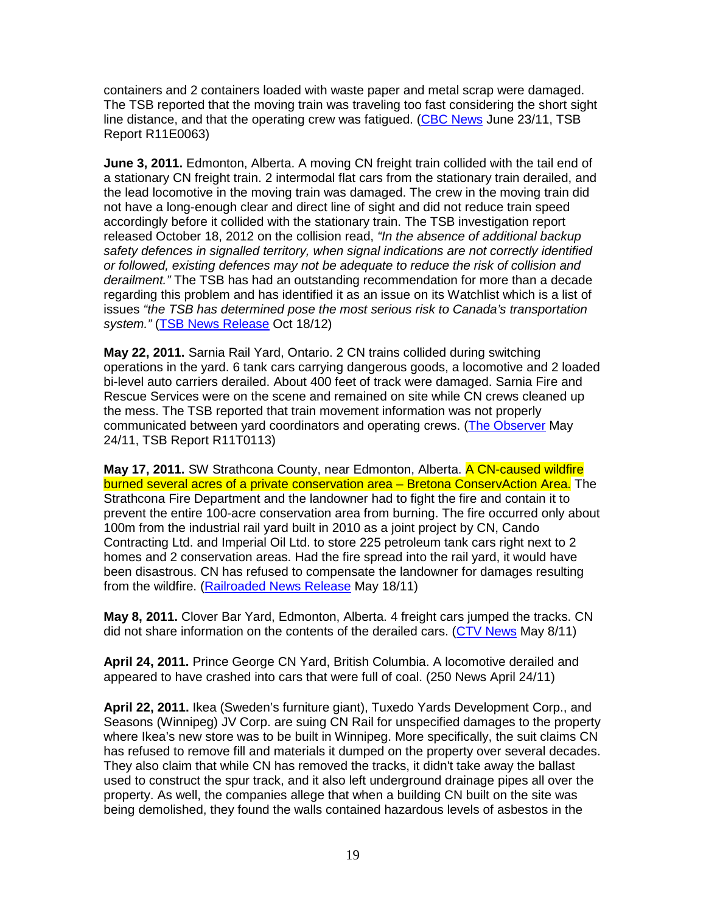containers and 2 containers loaded with waste paper and metal scrap were damaged. The TSB reported that the moving train was traveling too fast considering the short sight line distance, and that the operating crew was fatigued. (CBC News June 23/11, TSB Report R11E0063)

**June 3, 2011.** Edmonton, Alberta. A moving CN freight train collided with the tail end of a stationary CN freight train. 2 intermodal flat cars from the stationary train derailed, and the lead locomotive in the moving train was damaged. The crew in the moving train did not have a long-enough clear and direct line of sight and did not reduce train speed accordingly before it collided with the stationary train. The TSB investigation report released October 18, 2012 on the collision read, "In the absence of additional backup safety defences in signalled territory, when signal indications are not correctly identified or followed, existing defences may not be adequate to reduce the risk of collision and derailment." The TSB has had an outstanding recommendation for more than a decade regarding this problem and has identified it as an issue on its Watchlist which is a list of issues "the TSB has determined pose the most serious risk to Canada's transportation system." (TSB News Release Oct 18/12)

**May 22, 2011.** Sarnia Rail Yard, Ontario. 2 CN trains collided during switching operations in the yard. 6 tank cars carrying dangerous goods, a locomotive and 2 loaded bi-level auto carriers derailed. About 400 feet of track were damaged. Sarnia Fire and Rescue Services were on the scene and remained on site while CN crews cleaned up the mess. The TSB reported that train movement information was not properly communicated between yard coordinators and operating crews. (The Observer May 24/11, TSB Report R11T0113)

**May 17, 2011.** SW Strathcona County, near Edmonton, Alberta. A CN-caused wildfire burned several acres of a private conservation area - Bretona ConservAction Area. The Strathcona Fire Department and the landowner had to fight the fire and contain it to prevent the entire 100-acre conservation area from burning. The fire occurred only about 100m from the industrial rail yard built in 2010 as a joint project by CN, Cando Contracting Ltd. and Imperial Oil Ltd. to store 225 petroleum tank cars right next to 2 homes and 2 conservation areas. Had the fire spread into the rail yard, it would have been disastrous. CN has refused to compensate the landowner for damages resulting from the wildfire. (Railroaded News Release May 18/11)

**May 8, 2011.** Clover Bar Yard, Edmonton, Alberta. 4 freight cars jumped the tracks. CN did not share information on the contents of the derailed cars. (CTV News May 8/11)

**April 24, 2011.** Prince George CN Yard, British Columbia. A locomotive derailed and appeared to have crashed into cars that were full of coal. (250 News April 24/11)

**April 22, 2011.** Ikea (Sweden's furniture giant), Tuxedo Yards Development Corp., and Seasons (Winnipeg) JV Corp. are suing CN Rail for unspecified damages to the property where Ikea's new store was to be built in Winnipeg. More specifically, the suit claims CN has refused to remove fill and materials it dumped on the property over several decades. They also claim that while CN has removed the tracks, it didn't take away the ballast used to construct the spur track, and it also left underground drainage pipes all over the property. As well, the companies allege that when a building CN built on the site was being demolished, they found the walls contained hazardous levels of asbestos in the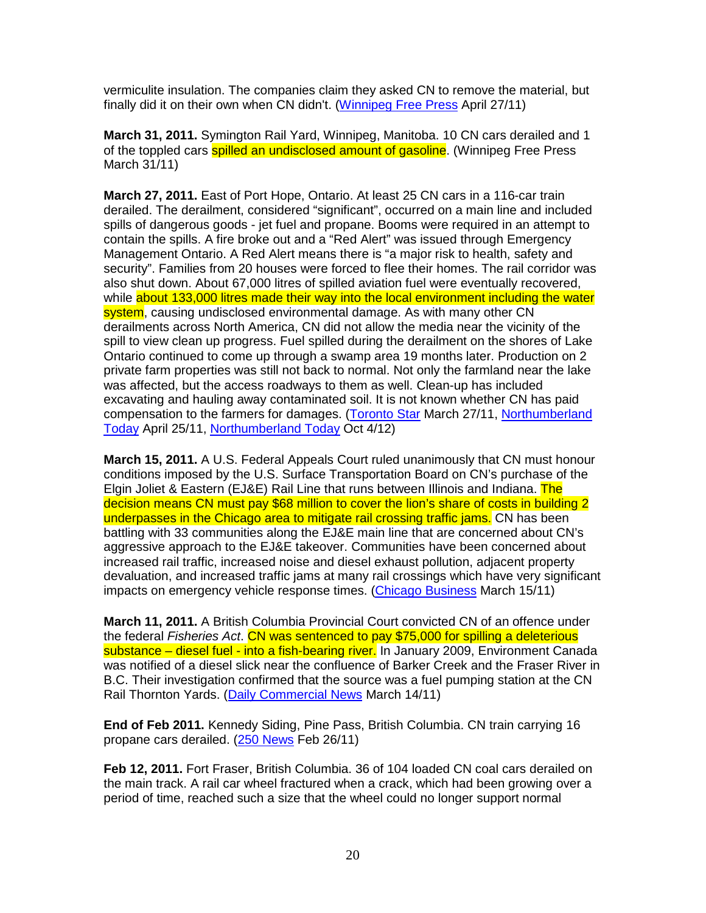vermiculite insulation. The companies claim they asked CN to remove the material, but finally did it on their own when CN didn't. (Winnipeg Free Press April 27/11)

**March 31, 2011.** Symington Rail Yard, Winnipeg, Manitoba. 10 CN cars derailed and 1 of the toppled cars **spilled an undisclosed amount of gasoline**. (Winnipeg Free Press March 31/11)

**March 27, 2011.** East of Port Hope, Ontario. At least 25 CN cars in a 116-car train derailed. The derailment, considered "significant", occurred on a main line and included spills of dangerous goods - jet fuel and propane. Booms were required in an attempt to contain the spills. A fire broke out and a "Red Alert" was issued through Emergency Management Ontario. A Red Alert means there is "a major risk to health, safety and security". Families from 20 houses were forced to flee their homes. The rail corridor was also shut down. About 67,000 litres of spilled aviation fuel were eventually recovered, while about 133,000 litres made their way into the local environment including the water system, causing undisclosed environmental damage. As with many other CN derailments across North America, CN did not allow the media near the vicinity of the spill to view clean up progress. Fuel spilled during the derailment on the shores of Lake Ontario continued to come up through a swamp area 19 months later. Production on 2 private farm properties was still not back to normal. Not only the farmland near the lake was affected, but the access roadways to them as well. Clean-up has included excavating and hauling away contaminated soil. It is not known whether CN has paid compensation to the farmers for damages. (Toronto Star March 27/11, Northumberland Today April 25/11, Northumberland Today Oct 4/12)

**March 15, 2011.** A U.S. Federal Appeals Court ruled unanimously that CN must honour conditions imposed by the U.S. Surface Transportation Board on CN's purchase of the Elgin Joliet & Eastern (EJ&E) Rail Line that runs between Illinois and Indiana. The decision means CN must pay \$68 million to cover the lion's share of costs in building 2 underpasses in the Chicago area to mitigate rail crossing traffic jams. CN has been battling with 33 communities along the EJ&E main line that are concerned about CN's aggressive approach to the EJ&E takeover. Communities have been concerned about increased rail traffic, increased noise and diesel exhaust pollution, adjacent property devaluation, and increased traffic jams at many rail crossings which have very significant impacts on emergency vehicle response times. (Chicago Business March 15/11)

**March 11, 2011.** A British Columbia Provincial Court convicted CN of an offence under the federal Fisheries Act. CN was sentenced to pay \$75,000 for spilling a deleterious substance – diesel fuel - into a fish-bearing river. In January 2009, Environment Canada was notified of a diesel slick near the confluence of Barker Creek and the Fraser River in B.C. Their investigation confirmed that the source was a fuel pumping station at the CN Rail Thornton Yards. (Daily Commercial News March 14/11)

**End of Feb 2011.** Kennedy Siding, Pine Pass, British Columbia. CN train carrying 16 propane cars derailed. (250 News Feb 26/11)

**Feb 12, 2011.** Fort Fraser, British Columbia. 36 of 104 loaded CN coal cars derailed on the main track. A rail car wheel fractured when a crack, which had been growing over a period of time, reached such a size that the wheel could no longer support normal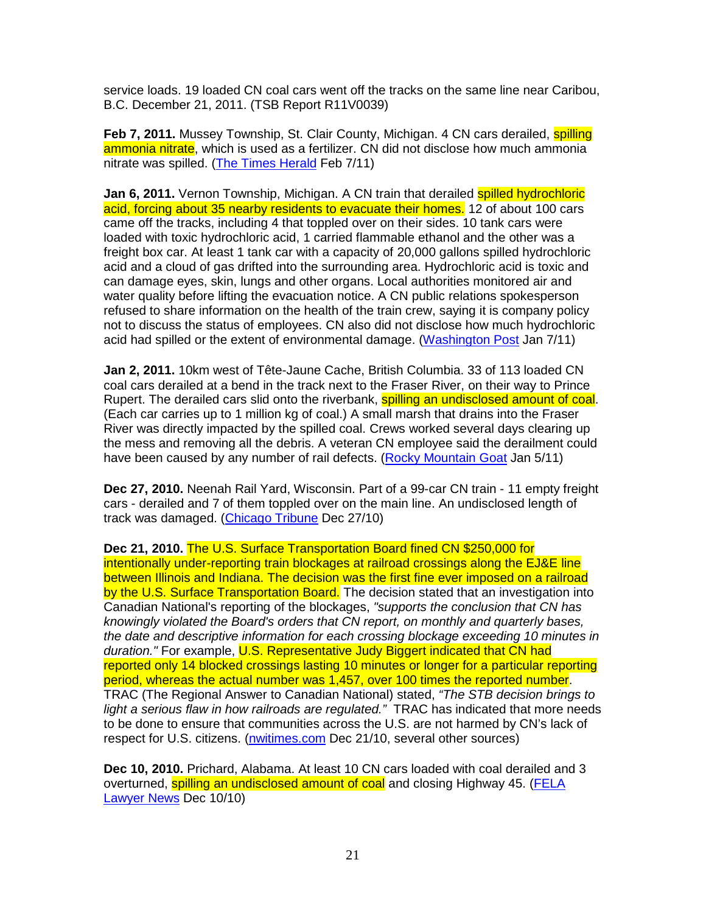service loads. 19 loaded CN coal cars went off the tracks on the same line near Caribou, B.C. December 21, 2011. (TSB Report R11V0039)

**Feb 7, 2011.** Mussey Township, St. Clair County, Michigan. 4 CN cars derailed, **spilling** ammonia nitrate, which is used as a fertilizer. CN did not disclose how much ammonia nitrate was spilled. (The Times Herald Feb 7/11)

**Jan 6, 2011.** Vernon Township, Michigan. A CN train that derailed spilled hydrochloric acid, forcing about 35 nearby residents to evacuate their homes. 12 of about 100 cars came off the tracks, including 4 that toppled over on their sides. 10 tank cars were loaded with toxic hydrochloric acid, 1 carried flammable ethanol and the other was a freight box car. At least 1 tank car with a capacity of 20,000 gallons spilled hydrochloric acid and a cloud of gas drifted into the surrounding area. Hydrochloric acid is toxic and can damage eyes, skin, lungs and other organs. Local authorities monitored air and water quality before lifting the evacuation notice. A CN public relations spokesperson refused to share information on the health of the train crew, saying it is company policy not to discuss the status of employees. CN also did not disclose how much hydrochloric acid had spilled or the extent of environmental damage. (Washington Post Jan 7/11)

**Jan 2, 2011.** 10km west of Tête-Jaune Cache, British Columbia. 33 of 113 loaded CN coal cars derailed at a bend in the track next to the Fraser River, on their way to Prince Rupert. The derailed cars slid onto the riverbank, spilling an undisclosed amount of coal. (Each car carries up to 1 million kg of coal.) A small marsh that drains into the Fraser River was directly impacted by the spilled coal. Crews worked several days clearing up the mess and removing all the debris. A veteran CN employee said the derailment could have been caused by any number of rail defects. (Rocky Mountain Goat Jan 5/11)

**Dec 27, 2010.** Neenah Rail Yard, Wisconsin. Part of a 99-car CN train - 11 empty freight cars - derailed and 7 of them toppled over on the main line. An undisclosed length of track was damaged. (Chicago Tribune Dec 27/10)

**Dec 21, 2010.** The U.S. Surface Transportation Board fined CN \$250,000 for intentionally under-reporting train blockages at railroad crossings along the EJ&E line between Illinois and Indiana. The decision was the first fine ever imposed on a railroad by the U.S. Surface Transportation Board. The decision stated that an investigation into Canadian National's reporting of the blockages, "supports the conclusion that CN has knowingly violated the Board's orders that CN report, on monthly and quarterly bases, the date and descriptive information for each crossing blockage exceeding 10 minutes in duration." For example, U.S. Representative Judy Biggert indicated that CN had reported only 14 blocked crossings lasting 10 minutes or longer for a particular reporting period, whereas the actual number was 1,457, over 100 times the reported number. TRAC (The Regional Answer to Canadian National) stated, "The STB decision brings to light a serious flaw in how railroads are regulated." TRAC has indicated that more needs to be done to ensure that communities across the U.S. are not harmed by CN's lack of respect for U.S. citizens. (nwitimes.com Dec 21/10, several other sources)

**Dec 10, 2010.** Prichard, Alabama. At least 10 CN cars loaded with coal derailed and 3 overturned, spilling an undisclosed amount of coal and closing Highway 45. (FELA Lawyer News Dec 10/10)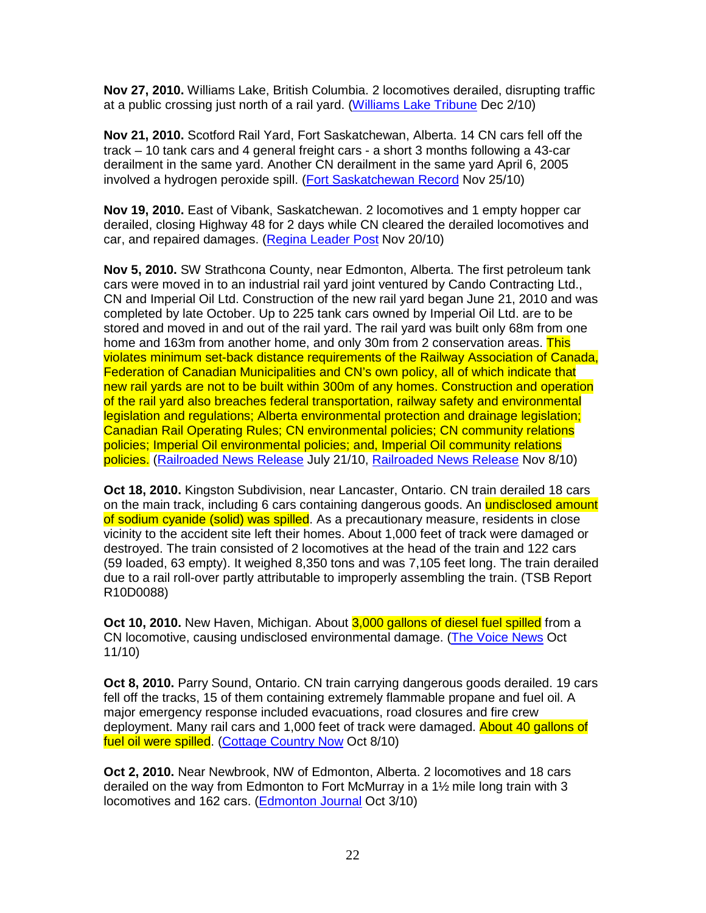**Nov 27, 2010.** Williams Lake, British Columbia. 2 locomotives derailed, disrupting traffic at a public crossing just north of a rail yard. (Williams Lake Tribune Dec 2/10)

**Nov 21, 2010.** Scotford Rail Yard, Fort Saskatchewan, Alberta. 14 CN cars fell off the track – 10 tank cars and 4 general freight cars - a short 3 months following a 43-car derailment in the same yard. Another CN derailment in the same yard April 6, 2005 involved a hydrogen peroxide spill. (Fort Saskatchewan Record Nov 25/10)

**Nov 19, 2010.** East of Vibank, Saskatchewan. 2 locomotives and 1 empty hopper car derailed, closing Highway 48 for 2 days while CN cleared the derailed locomotives and car, and repaired damages. (Regina Leader Post Nov 20/10)

**Nov 5, 2010.** SW Strathcona County, near Edmonton, Alberta. The first petroleum tank cars were moved in to an industrial rail yard joint ventured by Cando Contracting Ltd., CN and Imperial Oil Ltd. Construction of the new rail yard began June 21, 2010 and was completed by late October. Up to 225 tank cars owned by Imperial Oil Ltd. are to be stored and moved in and out of the rail yard. The rail yard was built only 68m from one home and 163m from another home, and only 30m from 2 conservation areas. This violates minimum set-back distance requirements of the Railway Association of Canada, Federation of Canadian Municipalities and CN's own policy, all of which indicate that new rail yards are not to be built within 300m of any homes. Construction and operation of the rail yard also breaches federal transportation, railway safety and environmental legislation and regulations; Alberta environmental protection and drainage legislation; Canadian Rail Operating Rules; CN environmental policies; CN community relations policies; Imperial Oil environmental policies; and, Imperial Oil community relations policies. (Railroaded News Release July 21/10, Railroaded News Release Nov 8/10)

**Oct 18, 2010.** Kingston Subdivision, near Lancaster, Ontario. CN train derailed 18 cars on the main track, including 6 cars containing dangerous goods. An undisclosed amount of sodium cyanide (solid) was spilled. As a precautionary measure, residents in close vicinity to the accident site left their homes. About 1,000 feet of track were damaged or destroyed. The train consisted of 2 locomotives at the head of the train and 122 cars (59 loaded, 63 empty). It weighed 8,350 tons and was 7,105 feet long. The train derailed due to a rail roll-over partly attributable to improperly assembling the train. (TSB Report R10D0088)

**Oct 10, 2010.** New Haven, Michigan. About 3,000 gallons of diesel fuel spilled from a CN locomotive, causing undisclosed environmental damage. (The Voice News Oct 11/10)

**Oct 8, 2010.** Parry Sound, Ontario. CN train carrying dangerous goods derailed. 19 cars fell off the tracks, 15 of them containing extremely flammable propane and fuel oil. A major emergency response included evacuations, road closures and fire crew deployment. Many rail cars and 1,000 feet of track were damaged. About 40 gallons of fuel oil were spilled. (Cottage Country Now Oct 8/10)

**Oct 2, 2010.** Near Newbrook, NW of Edmonton, Alberta. 2 locomotives and 18 cars derailed on the way from Edmonton to Fort McMurray in a 1½ mile long train with 3 locomotives and 162 cars. (Edmonton Journal Oct 3/10)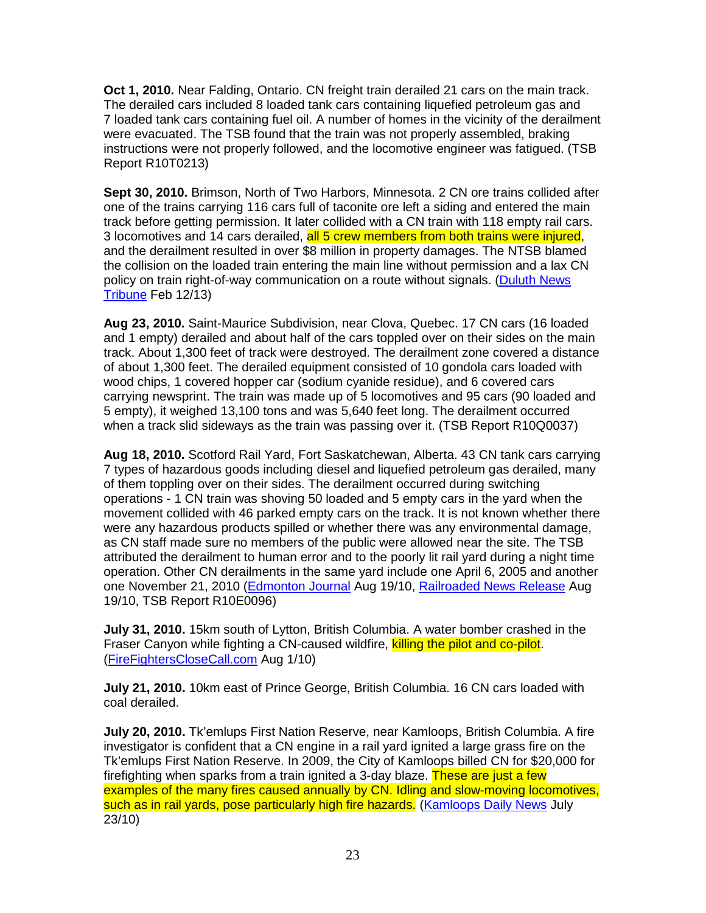**Oct 1, 2010.** Near Falding, Ontario. CN freight train derailed 21 cars on the main track. The derailed cars included 8 loaded tank cars containing liquefied petroleum gas and 7 loaded tank cars containing fuel oil. A number of homes in the vicinity of the derailment were evacuated. The TSB found that the train was not properly assembled, braking instructions were not properly followed, and the locomotive engineer was fatigued. (TSB Report R10T0213)

**Sept 30, 2010.** Brimson, North of Two Harbors, Minnesota. 2 CN ore trains collided after one of the trains carrying 116 cars full of taconite ore left a siding and entered the main track before getting permission. It later collided with a CN train with 118 empty rail cars. 3 locomotives and 14 cars derailed, all 5 crew members from both trains were injured, and the derailment resulted in over \$8 million in property damages. The NTSB blamed the collision on the loaded train entering the main line without permission and a lax CN policy on train right-of-way communication on a route without signals. (Duluth News Tribune Feb 12/13)

**Aug 23, 2010.** Saint-Maurice Subdivision, near Clova, Quebec. 17 CN cars (16 loaded and 1 empty) derailed and about half of the cars toppled over on their sides on the main track. About 1,300 feet of track were destroyed. The derailment zone covered a distance of about 1,300 feet. The derailed equipment consisted of 10 gondola cars loaded with wood chips, 1 covered hopper car (sodium cyanide residue), and 6 covered cars carrying newsprint. The train was made up of 5 locomotives and 95 cars (90 loaded and 5 empty), it weighed 13,100 tons and was 5,640 feet long. The derailment occurred when a track slid sideways as the train was passing over it. (TSB Report R10Q0037)

**Aug 18, 2010.** Scotford Rail Yard, Fort Saskatchewan, Alberta. 43 CN tank cars carrying 7 types of hazardous goods including diesel and liquefied petroleum gas derailed, many of them toppling over on their sides. The derailment occurred during switching operations - 1 CN train was shoving 50 loaded and 5 empty cars in the yard when the movement collided with 46 parked empty cars on the track. It is not known whether there were any hazardous products spilled or whether there was any environmental damage, as CN staff made sure no members of the public were allowed near the site. The TSB attributed the derailment to human error and to the poorly lit rail yard during a night time operation. Other CN derailments in the same yard include one April 6, 2005 and another one November 21, 2010 (Edmonton Journal Aug 19/10, Railroaded News Release Aug 19/10, TSB Report R10E0096)

**July 31, 2010.** 15km south of Lytton, British Columbia. A water bomber crashed in the Fraser Canyon while fighting a CN-caused wildfire, killing the pilot and co-pilot. (FireFightersCloseCall.com Aug 1/10)

**July 21, 2010.** 10km east of Prince George, British Columbia. 16 CN cars loaded with coal derailed.

**July 20, 2010.** Tk'emlups First Nation Reserve, near Kamloops, British Columbia. A fire investigator is confident that a CN engine in a rail yard ignited a large grass fire on the Tk'emlups First Nation Reserve. In 2009, the City of Kamloops billed CN for \$20,000 for firefighting when sparks from a train ignited a 3-day blaze. These are just a few examples of the many fires caused annually by CN. Idling and slow-moving locomotives, such as in rail yards, pose particularly high fire hazards. (Kamloops Daily News July 23/10)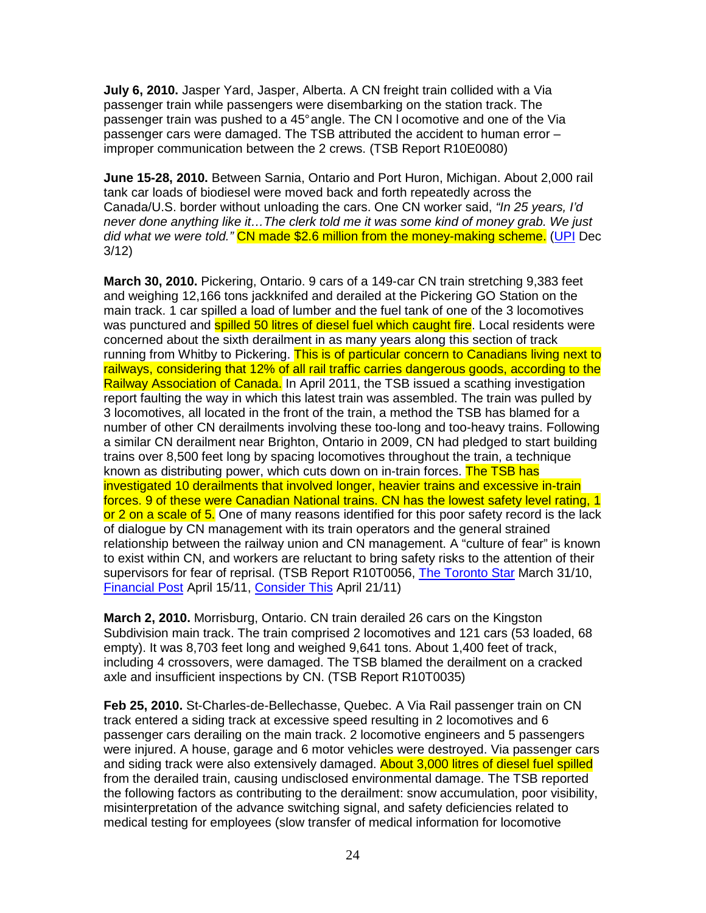**July 6, 2010.** Jasper Yard, Jasper, Alberta. A CN freight train collided with a Via passenger train while passengers were disembarking on the station track. The passenger train was pushed to a 45° angle. The CN l ocomotive and one of the Via passenger cars were damaged. The TSB attributed the accident to human error – improper communication between the 2 crews. (TSB Report R10E0080)

**June 15-28, 2010.** Between Sarnia, Ontario and Port Huron, Michigan. About 2,000 rail tank car loads of biodiesel were moved back and forth repeatedly across the Canada/U.S. border without unloading the cars. One CN worker said, "In 25 years, I'd never done anything like it…The clerk told me it was some kind of money grab. We just did what we were told." CN made \$2.6 million from the money-making scheme. (UPI Dec 3/12)

**March 30, 2010.** Pickering, Ontario. 9 cars of a 149-car CN train stretching 9,383 feet and weighing 12,166 tons jackknifed and derailed at the Pickering GO Station on the main track. 1 car spilled a load of lumber and the fuel tank of one of the 3 locomotives was punctured and **spilled 50 litres of diesel fuel which caught fire**. Local residents were concerned about the sixth derailment in as many years along this section of track running from Whitby to Pickering. This is of particular concern to Canadians living next to railways, considering that 12% of all rail traffic carries dangerous goods, according to the Railway Association of Canada. In April 2011, the TSB issued a scathing investigation report faulting the way in which this latest train was assembled. The train was pulled by 3 locomotives, all located in the front of the train, a method the TSB has blamed for a number of other CN derailments involving these too-long and too-heavy trains. Following a similar CN derailment near Brighton, Ontario in 2009, CN had pledged to start building trains over 8,500 feet long by spacing locomotives throughout the train, a technique known as distributing power, which cuts down on in-train forces. The TSB has investigated 10 derailments that involved longer, heavier trains and excessive in-train forces. 9 of these were Canadian National trains. CN has the lowest safety level rating, 1 or 2 on a scale of 5. One of many reasons identified for this poor safety record is the lack of dialogue by CN management with its train operators and the general strained relationship between the railway union and CN management. A "culture of fear" is known to exist within CN, and workers are reluctant to bring safety risks to the attention of their supervisors for fear of reprisal. (TSB Report R10T0056, The Toronto Star March 31/10, Financial Post April 15/11, Consider This April 21/11)

**March 2, 2010.** Morrisburg, Ontario. CN train derailed 26 cars on the Kingston Subdivision main track. The train comprised 2 locomotives and 121 cars (53 loaded, 68 empty). It was 8,703 feet long and weighed 9,641 tons. About 1,400 feet of track, including 4 crossovers, were damaged. The TSB blamed the derailment on a cracked axle and insufficient inspections by CN. (TSB Report R10T0035)

**Feb 25, 2010.** St-Charles-de-Bellechasse, Quebec. A Via Rail passenger train on CN track entered a siding track at excessive speed resulting in 2 locomotives and 6 passenger cars derailing on the main track. 2 locomotive engineers and 5 passengers were injured. A house, garage and 6 motor vehicles were destroyed. Via passenger cars and siding track were also extensively damaged. **About 3,000 litres of diesel fuel spilled** from the derailed train, causing undisclosed environmental damage. The TSB reported the following factors as contributing to the derailment: snow accumulation, poor visibility, misinterpretation of the advance switching signal, and safety deficiencies related to medical testing for employees (slow transfer of medical information for locomotive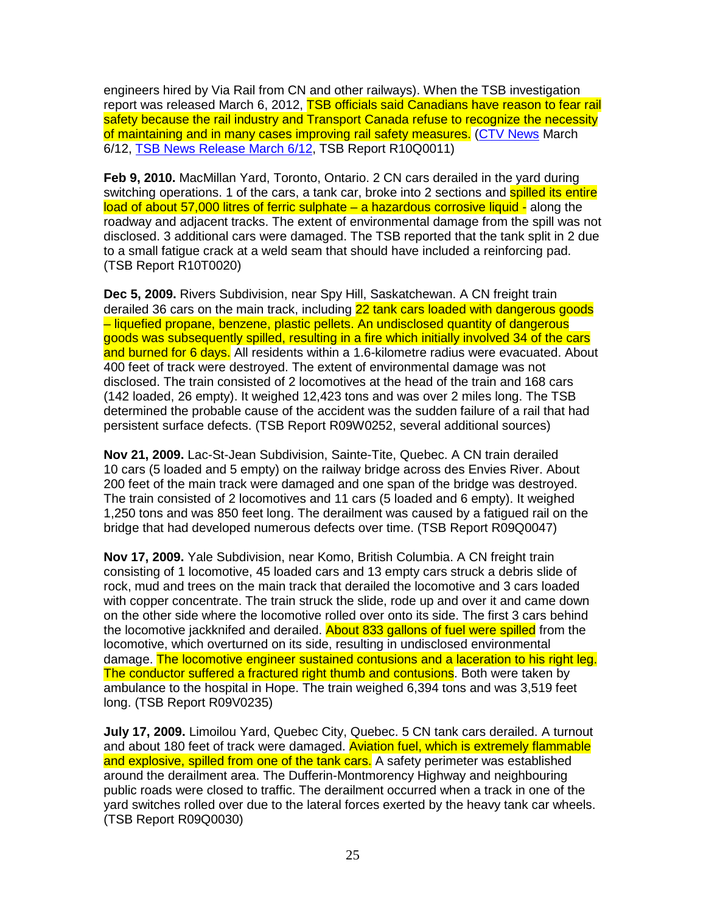engineers hired by Via Rail from CN and other railways). When the TSB investigation report was released March 6, 2012, TSB officials said Canadians have reason to fear rail safety because the rail industry and Transport Canada refuse to recognize the necessity of maintaining and in many cases improving rail safety measures. (CTV News March 6/12, TSB News Release March 6/12, TSB Report R10Q0011)

**Feb 9, 2010.** MacMillan Yard, Toronto, Ontario. 2 CN cars derailed in the yard during switching operations. 1 of the cars, a tank car, broke into 2 sections and **spilled its entire** load of about 57,000 litres of ferric sulphate - a hazardous corrosive liquid - along the roadway and adjacent tracks. The extent of environmental damage from the spill was not disclosed. 3 additional cars were damaged. The TSB reported that the tank split in 2 due to a small fatigue crack at a weld seam that should have included a reinforcing pad. (TSB Report R10T0020)

**Dec 5, 2009.** Rivers Subdivision, near Spy Hill, Saskatchewan. A CN freight train derailed 36 cars on the main track, including 22 tank cars loaded with dangerous goods – liquefied propane, benzene, plastic pellets. An undisclosed quantity of dangerous goods was subsequently spilled, resulting in a fire which initially involved 34 of the cars and burned for 6 days. All residents within a 1.6-kilometre radius were evacuated. About 400 feet of track were destroyed. The extent of environmental damage was not disclosed. The train consisted of 2 locomotives at the head of the train and 168 cars (142 loaded, 26 empty). It weighed 12,423 tons and was over 2 miles long. The TSB determined the probable cause of the accident was the sudden failure of a rail that had persistent surface defects. (TSB Report R09W0252, several additional sources)

**Nov 21, 2009.** Lac-St-Jean Subdivision, Sainte-Tite, Quebec. A CN train derailed 10 cars (5 loaded and 5 empty) on the railway bridge across des Envies River. About 200 feet of the main track were damaged and one span of the bridge was destroyed. The train consisted of 2 locomotives and 11 cars (5 loaded and 6 empty). It weighed 1,250 tons and was 850 feet long. The derailment was caused by a fatigued rail on the bridge that had developed numerous defects over time. (TSB Report R09Q0047)

**Nov 17, 2009.** Yale Subdivision, near Komo, British Columbia. A CN freight train consisting of 1 locomotive, 45 loaded cars and 13 empty cars struck a debris slide of rock, mud and trees on the main track that derailed the locomotive and 3 cars loaded with copper concentrate. The train struck the slide, rode up and over it and came down on the other side where the locomotive rolled over onto its side. The first 3 cars behind the locomotive jackknifed and derailed. About 833 gallons of fuel were spilled from the locomotive, which overturned on its side, resulting in undisclosed environmental damage. The locomotive engineer sustained contusions and a laceration to his right leg. The conductor suffered a fractured right thumb and contusions. Both were taken by ambulance to the hospital in Hope. The train weighed 6,394 tons and was 3,519 feet long. (TSB Report R09V0235)

**July 17, 2009.** Limoilou Yard, Quebec City, Quebec. 5 CN tank cars derailed. A turnout and about 180 feet of track were damaged. Aviation fuel, which is extremely flammable and explosive, spilled from one of the tank cars. A safety perimeter was established around the derailment area. The Dufferin-Montmorency Highway and neighbouring public roads were closed to traffic. The derailment occurred when a track in one of the yard switches rolled over due to the lateral forces exerted by the heavy tank car wheels. (TSB Report R09Q0030)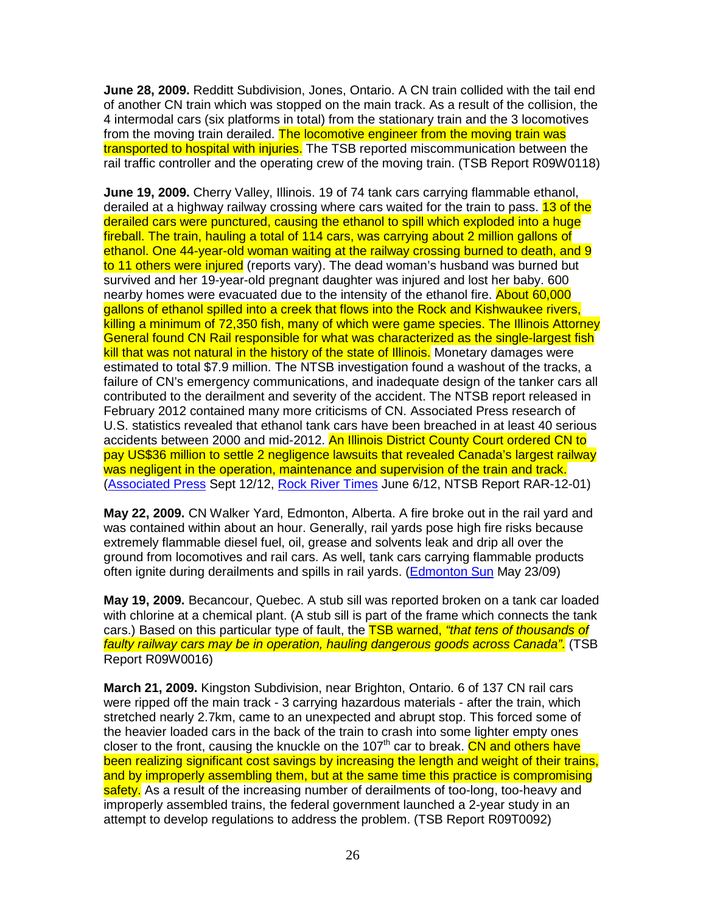**June 28, 2009.** Redditt Subdivision, Jones, Ontario. A CN train collided with the tail end of another CN train which was stopped on the main track. As a result of the collision, the 4 intermodal cars (six platforms in total) from the stationary train and the 3 locomotives from the moving train derailed. The locomotive engineer from the moving train was transported to hospital with injuries. The TSB reported miscommunication between the rail traffic controller and the operating crew of the moving train. (TSB Report R09W0118)

**June 19, 2009.** Cherry Valley, Illinois. 19 of 74 tank cars carrying flammable ethanol, derailed at a highway railway crossing where cars waited for the train to pass. 13 of the derailed cars were punctured, causing the ethanol to spill which exploded into a huge fireball. The train, hauling a total of 114 cars, was carrying about 2 million gallons of ethanol. One 44-year-old woman waiting at the railway crossing burned to death, and 9 to 11 others were injured (reports vary). The dead woman's husband was burned but survived and her 19-year-old pregnant daughter was injured and lost her baby. 600 nearby homes were evacuated due to the intensity of the ethanol fire. About 60,000 gallons of ethanol spilled into a creek that flows into the Rock and Kishwaukee rivers, killing a minimum of 72,350 fish, many of which were game species. The Illinois Attorney General found CN Rail responsible for what was characterized as the single-largest fish kill that was not natural in the history of the state of Illinois. Monetary damages were estimated to total \$7.9 million. The NTSB investigation found a washout of the tracks, a failure of CN's emergency communications, and inadequate design of the tanker cars all contributed to the derailment and severity of the accident. The NTSB report released in February 2012 contained many more criticisms of CN. Associated Press research of U.S. statistics revealed that ethanol tank cars have been breached in at least 40 serious accidents between 2000 and mid-2012. An Illinois District County Court ordered CN to pay US\$36 million to settle 2 negligence lawsuits that revealed Canada's largest railway was negligent in the operation, maintenance and supervision of the train and track. (Associated Press Sept 12/12, Rock River Times June 6/12, NTSB Report RAR-12-01)

**May 22, 2009.** CN Walker Yard, Edmonton, Alberta. A fire broke out in the rail yard and was contained within about an hour. Generally, rail yards pose high fire risks because extremely flammable diesel fuel, oil, grease and solvents leak and drip all over the ground from locomotives and rail cars. As well, tank cars carrying flammable products often ignite during derailments and spills in rail yards. (Edmonton Sun May 23/09)

**May 19, 2009.** Becancour, Quebec. A stub sill was reported broken on a tank car loaded with chlorine at a chemical plant. (A stub sill is part of the frame which connects the tank cars.) Based on this particular type of fault, the **TSB warned, "that tens of thousands of** faulty railway cars may be in operation, hauling dangerous goods across Canada". (TSB Report R09W0016)

**March 21, 2009.** Kingston Subdivision, near Brighton, Ontario. 6 of 137 CN rail cars were ripped off the main track - 3 carrying hazardous materials - after the train, which stretched nearly 2.7km, came to an unexpected and abrupt stop. This forced some of the heavier loaded cars in the back of the train to crash into some lighter empty ones closer to the front, causing the knuckle on the 107<sup>th</sup> car to break. CN and others have been realizing significant cost savings by increasing the length and weight of their trains, and by improperly assembling them, but at the same time this practice is compromising safety. As a result of the increasing number of derailments of too-long, too-heavy and improperly assembled trains, the federal government launched a 2-year study in an attempt to develop regulations to address the problem. (TSB Report R09T0092)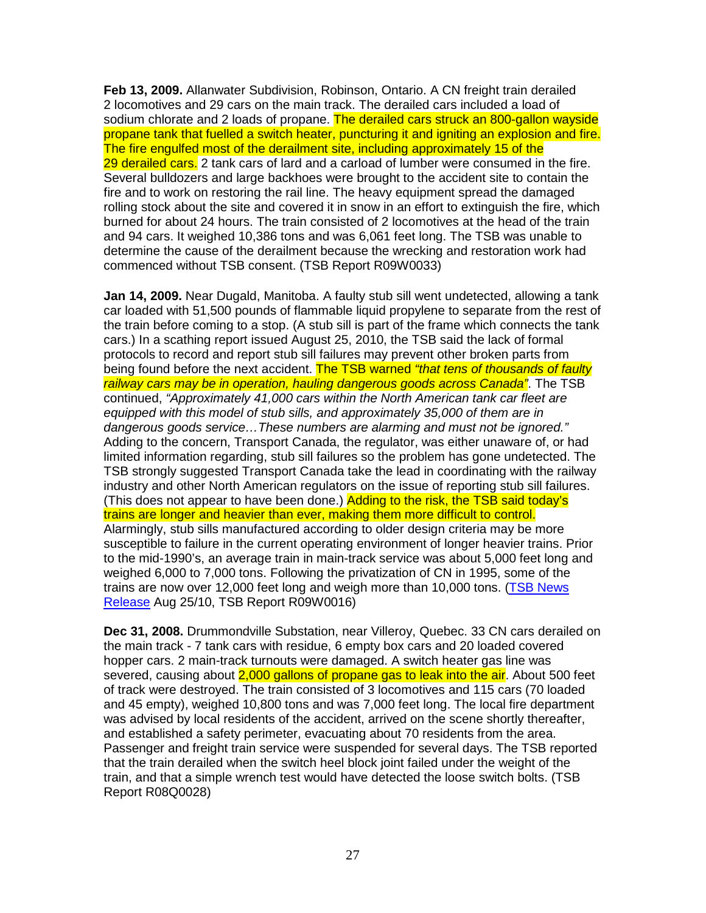**Feb 13, 2009.** Allanwater Subdivision, Robinson, Ontario. A CN freight train derailed 2 locomotives and 29 cars on the main track. The derailed cars included a load of sodium chlorate and 2 loads of propane. The derailed cars struck an 800-gallon wayside propane tank that fuelled a switch heater, puncturing it and igniting an explosion and fire. The fire engulfed most of the derailment site, including approximately 15 of the 29 derailed cars. 2 tank cars of lard and a carload of lumber were consumed in the fire. Several bulldozers and large backhoes were brought to the accident site to contain the fire and to work on restoring the rail line. The heavy equipment spread the damaged rolling stock about the site and covered it in snow in an effort to extinguish the fire, which burned for about 24 hours. The train consisted of 2 locomotives at the head of the train and 94 cars. It weighed 10,386 tons and was 6,061 feet long. The TSB was unable to determine the cause of the derailment because the wrecking and restoration work had commenced without TSB consent. (TSB Report R09W0033)

**Jan 14, 2009.** Near Dugald, Manitoba. A faulty stub sill went undetected, allowing a tank car loaded with 51,500 pounds of flammable liquid propylene to separate from the rest of the train before coming to a stop. (A stub sill is part of the frame which connects the tank cars.) In a scathing report issued August 25, 2010, the TSB said the lack of formal protocols to record and report stub sill failures may prevent other broken parts from being found before the next accident. The TSB warned "that tens of thousands of faulty railway cars may be in operation, hauling dangerous goods across Canada". The TSB continued, "Approximately 41,000 cars within the North American tank car fleet are equipped with this model of stub sills, and approximately 35,000 of them are in dangerous goods service…These numbers are alarming and must not be ignored." Adding to the concern, Transport Canada, the regulator, was either unaware of, or had limited information regarding, stub sill failures so the problem has gone undetected. The TSB strongly suggested Transport Canada take the lead in coordinating with the railway industry and other North American regulators on the issue of reporting stub sill failures. (This does not appear to have been done.) Adding to the risk, the TSB said today's trains are longer and heavier than ever, making them more difficult to control. Alarmingly, stub sills manufactured according to older design criteria may be more susceptible to failure in the current operating environment of longer heavier trains. Prior to the mid-1990's, an average train in main-track service was about 5,000 feet long and weighed 6,000 to 7,000 tons. Following the privatization of CN in 1995, some of the trains are now over 12,000 feet long and weigh more than 10,000 tons. (TSB News Release Aug 25/10, TSB Report R09W0016)

**Dec 31, 2008.** Drummondville Substation, near Villeroy, Quebec. 33 CN cars derailed on the main track - 7 tank cars with residue, 6 empty box cars and 20 loaded covered hopper cars. 2 main-track turnouts were damaged. A switch heater gas line was severed, causing about 2,000 gallons of propane gas to leak into the air. About 500 feet of track were destroyed. The train consisted of 3 locomotives and 115 cars (70 loaded and 45 empty), weighed 10,800 tons and was 7,000 feet long. The local fire department was advised by local residents of the accident, arrived on the scene shortly thereafter, and established a safety perimeter, evacuating about 70 residents from the area. Passenger and freight train service were suspended for several days. The TSB reported that the train derailed when the switch heel block joint failed under the weight of the train, and that a simple wrench test would have detected the loose switch bolts. (TSB Report R08Q0028)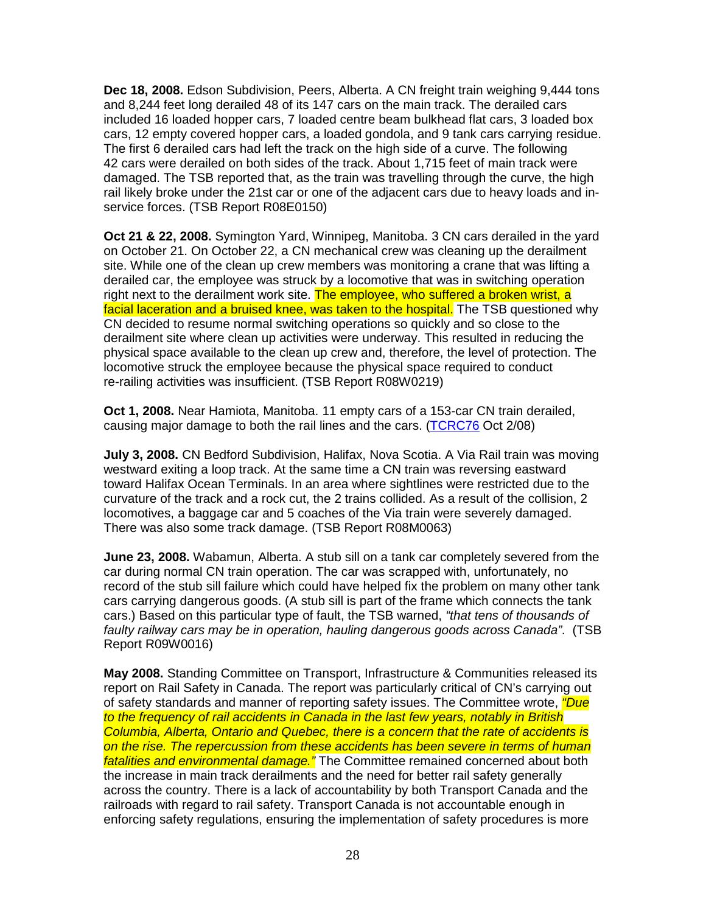**Dec 18, 2008.** Edson Subdivision, Peers, Alberta. A CN freight train weighing 9,444 tons and 8,244 feet long derailed 48 of its 147 cars on the main track. The derailed cars included 16 loaded hopper cars, 7 loaded centre beam bulkhead flat cars, 3 loaded box cars, 12 empty covered hopper cars, a loaded gondola, and 9 tank cars carrying residue. The first 6 derailed cars had left the track on the high side of a curve. The following 42 cars were derailed on both sides of the track. About 1,715 feet of main track were damaged. The TSB reported that, as the train was travelling through the curve, the high rail likely broke under the 21st car or one of the adjacent cars due to heavy loads and inservice forces. (TSB Report R08E0150)

**Oct 21 & 22, 2008.** Symington Yard, Winnipeg, Manitoba. 3 CN cars derailed in the yard on October 21. On October 22, a CN mechanical crew was cleaning up the derailment site. While one of the clean up crew members was monitoring a crane that was lifting a derailed car, the employee was struck by a locomotive that was in switching operation right next to the derailment work site. The employee, who suffered a broken wrist, a facial laceration and a bruised knee, was taken to the hospital. The TSB questioned why CN decided to resume normal switching operations so quickly and so close to the derailment site where clean up activities were underway. This resulted in reducing the physical space available to the clean up crew and, therefore, the level of protection. The locomotive struck the employee because the physical space required to conduct re-railing activities was insufficient. (TSB Report R08W0219)

**Oct 1, 2008.** Near Hamiota, Manitoba. 11 empty cars of a 153-car CN train derailed, causing major damage to both the rail lines and the cars. (TCRC76 Oct 2/08)

**July 3, 2008.** CN Bedford Subdivision, Halifax, Nova Scotia. A Via Rail train was moving westward exiting a loop track. At the same time a CN train was reversing eastward toward Halifax Ocean Terminals. In an area where sightlines were restricted due to the curvature of the track and a rock cut, the 2 trains collided. As a result of the collision, 2 locomotives, a baggage car and 5 coaches of the Via train were severely damaged. There was also some track damage. (TSB Report R08M0063)

**June 23, 2008.** Wabamun, Alberta. A stub sill on a tank car completely severed from the car during normal CN train operation. The car was scrapped with, unfortunately, no record of the stub sill failure which could have helped fix the problem on many other tank cars carrying dangerous goods. (A stub sill is part of the frame which connects the tank cars.) Based on this particular type of fault, the TSB warned, "that tens of thousands of faulty railway cars may be in operation, hauling dangerous goods across Canada". (TSB Report R09W0016)

**May 2008.** Standing Committee on Transport, Infrastructure & Communities released its report on Rail Safety in Canada. The report was particularly critical of CN's carrying out of safety standards and manner of reporting safety issues. The Committee wrote, *"Due* to the frequency of rail accidents in Canada in the last few years, notably in British Columbia, Alberta, Ontario and Quebec, there is a concern that the rate of accidents is on the rise. The repercussion from these accidents has been severe in terms of human fatalities and environmental damage." The Committee remained concerned about both the increase in main track derailments and the need for better rail safety generally across the country. There is a lack of accountability by both Transport Canada and the railroads with regard to rail safety. Transport Canada is not accountable enough in enforcing safety regulations, ensuring the implementation of safety procedures is more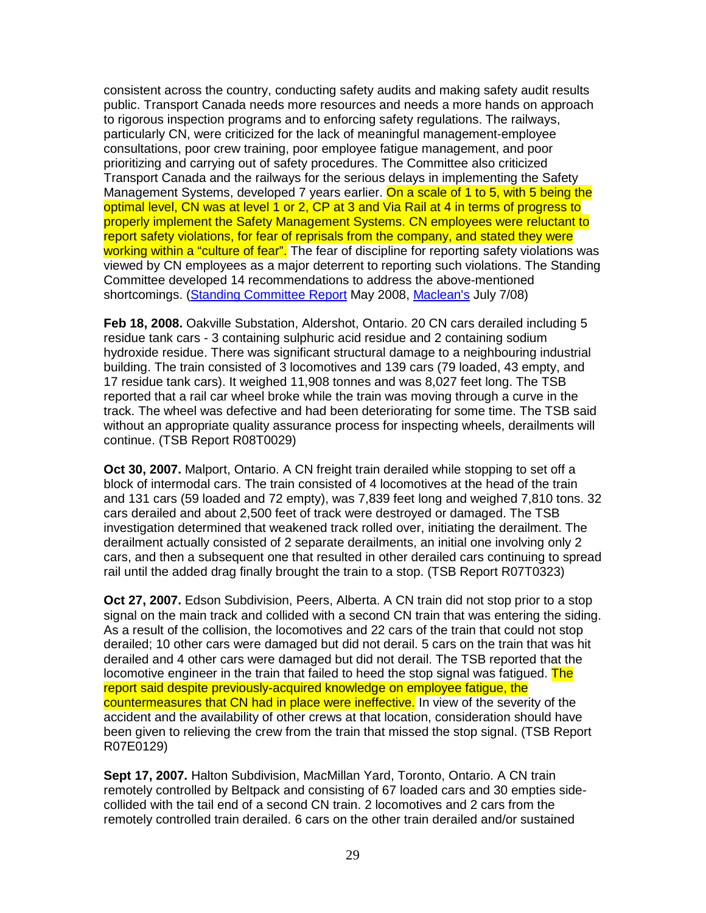consistent across the country, conducting safety audits and making safety audit results public. Transport Canada needs more resources and needs a more hands on approach to rigorous inspection programs and to enforcing safety regulations. The railways, particularly CN, were criticized for the lack of meaningful management-employee consultations, poor crew training, poor employee fatigue management, and poor prioritizing and carrying out of safety procedures. The Committee also criticized Transport Canada and the railways for the serious delays in implementing the Safety Management Systems, developed 7 years earlier. On a scale of 1 to 5, with 5 being the optimal level, CN was at level 1 or 2, CP at 3 and Via Rail at 4 in terms of progress to properly implement the Safety Management Systems. CN employees were reluctant to report safety violations, for fear of reprisals from the company, and stated they were working within a "culture of fear". The fear of discipline for reporting safety violations was viewed by CN employees as a major deterrent to reporting such violations. The Standing Committee developed 14 recommendations to address the above-mentioned shortcomings. (Standing Committee Report May 2008, Maclean's July 7/08)

**Feb 18, 2008.** Oakville Substation, Aldershot, Ontario. 20 CN cars derailed including 5 residue tank cars - 3 containing sulphuric acid residue and 2 containing sodium hydroxide residue. There was significant structural damage to a neighbouring industrial building. The train consisted of 3 locomotives and 139 cars (79 loaded, 43 empty, and 17 residue tank cars). It weighed 11,908 tonnes and was 8,027 feet long. The TSB reported that a rail car wheel broke while the train was moving through a curve in the track. The wheel was defective and had been deteriorating for some time. The TSB said without an appropriate quality assurance process for inspecting wheels, derailments will continue. (TSB Report R08T0029)

**Oct 30, 2007.** Malport, Ontario. A CN freight train derailed while stopping to set off a block of intermodal cars. The train consisted of 4 locomotives at the head of the train and 131 cars (59 loaded and 72 empty), was 7,839 feet long and weighed 7,810 tons. 32 cars derailed and about 2,500 feet of track were destroyed or damaged. The TSB investigation determined that weakened track rolled over, initiating the derailment. The derailment actually consisted of 2 separate derailments, an initial one involving only 2 cars, and then a subsequent one that resulted in other derailed cars continuing to spread rail until the added drag finally brought the train to a stop. (TSB Report R07T0323)

**Oct 27, 2007.** Edson Subdivision, Peers, Alberta. A CN train did not stop prior to a stop signal on the main track and collided with a second CN train that was entering the siding. As a result of the collision, the locomotives and 22 cars of the train that could not stop derailed; 10 other cars were damaged but did not derail. 5 cars on the train that was hit derailed and 4 other cars were damaged but did not derail. The TSB reported that the locomotive engineer in the train that failed to heed the stop signal was fatigued. The report said despite previously-acquired knowledge on employee fatigue, the countermeasures that CN had in place were ineffective. In view of the severity of the accident and the availability of other crews at that location, consideration should have been given to relieving the crew from the train that missed the stop signal. (TSB Report R07E0129)

**Sept 17, 2007.** Halton Subdivision, MacMillan Yard, Toronto, Ontario. A CN train remotely controlled by Beltpack and consisting of 67 loaded cars and 30 empties sidecollided with the tail end of a second CN train. 2 locomotives and 2 cars from the remotely controlled train derailed. 6 cars on the other train derailed and/or sustained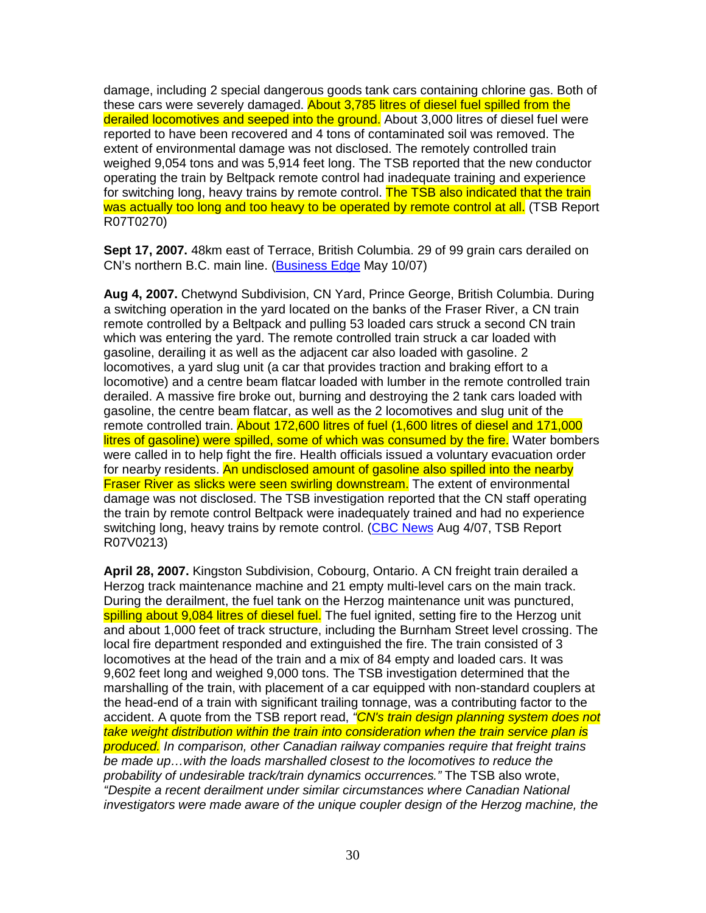damage, including 2 special dangerous goods tank cars containing chlorine gas. Both of these cars were severely damaged. About 3,785 litres of diesel fuel spilled from the derailed locomotives and seeped into the ground. About 3,000 litres of diesel fuel were reported to have been recovered and 4 tons of contaminated soil was removed. The extent of environmental damage was not disclosed. The remotely controlled train weighed 9,054 tons and was 5,914 feet long. The TSB reported that the new conductor operating the train by Beltpack remote control had inadequate training and experience for switching long, heavy trains by remote control. The TSB also indicated that the train was actually too long and too heavy to be operated by remote control at all. (TSB Report R07T0270)

**Sept 17, 2007.** 48km east of Terrace, British Columbia. 29 of 99 grain cars derailed on CN's northern B.C. main line. (Business Edge May 10/07)

**Aug 4, 2007.** Chetwynd Subdivision, CN Yard, Prince George, British Columbia. During a switching operation in the yard located on the banks of the Fraser River, a CN train remote controlled by a Beltpack and pulling 53 loaded cars struck a second CN train which was entering the yard. The remote controlled train struck a car loaded with gasoline, derailing it as well as the adjacent car also loaded with gasoline. 2 locomotives, a yard slug unit (a car that provides traction and braking effort to a locomotive) and a centre beam flatcar loaded with lumber in the remote controlled train derailed. A massive fire broke out, burning and destroying the 2 tank cars loaded with gasoline, the centre beam flatcar, as well as the 2 locomotives and slug unit of the remote controlled train. About 172,600 litres of fuel (1,600 litres of diesel and 171,000 litres of gasoline) were spilled, some of which was consumed by the fire. Water bombers were called in to help fight the fire. Health officials issued a voluntary evacuation order for nearby residents. An undisclosed amount of gasoline also spilled into the nearby **Fraser River as slicks were seen swirling downstream.** The extent of environmental damage was not disclosed. The TSB investigation reported that the CN staff operating the train by remote control Beltpack were inadequately trained and had no experience switching long, heavy trains by remote control. (CBC News Aug 4/07, TSB Report R07V0213)

**April 28, 2007.** Kingston Subdivision, Cobourg, Ontario. A CN freight train derailed a Herzog track maintenance machine and 21 empty multi-level cars on the main track. During the derailment, the fuel tank on the Herzog maintenance unit was punctured, spilling about 9,084 litres of diesel fuel. The fuel ignited, setting fire to the Herzog unit and about 1,000 feet of track structure, including the Burnham Street level crossing. The local fire department responded and extinguished the fire. The train consisted of 3 locomotives at the head of the train and a mix of 84 empty and loaded cars. It was 9,602 feet long and weighed 9,000 tons. The TSB investigation determined that the marshalling of the train, with placement of a car equipped with non-standard couplers at the head-end of a train with significant trailing tonnage, was a contributing factor to the accident. A quote from the TSB report read, "CN's train design planning system does not take weight distribution within the train into consideration when the train service plan is produced. In comparison, other Canadian railway companies require that freight trains be made up…with the loads marshalled closest to the locomotives to reduce the probability of undesirable track/train dynamics occurrences." The TSB also wrote, "Despite a recent derailment under similar circumstances where Canadian National investigators were made aware of the unique coupler design of the Herzog machine, the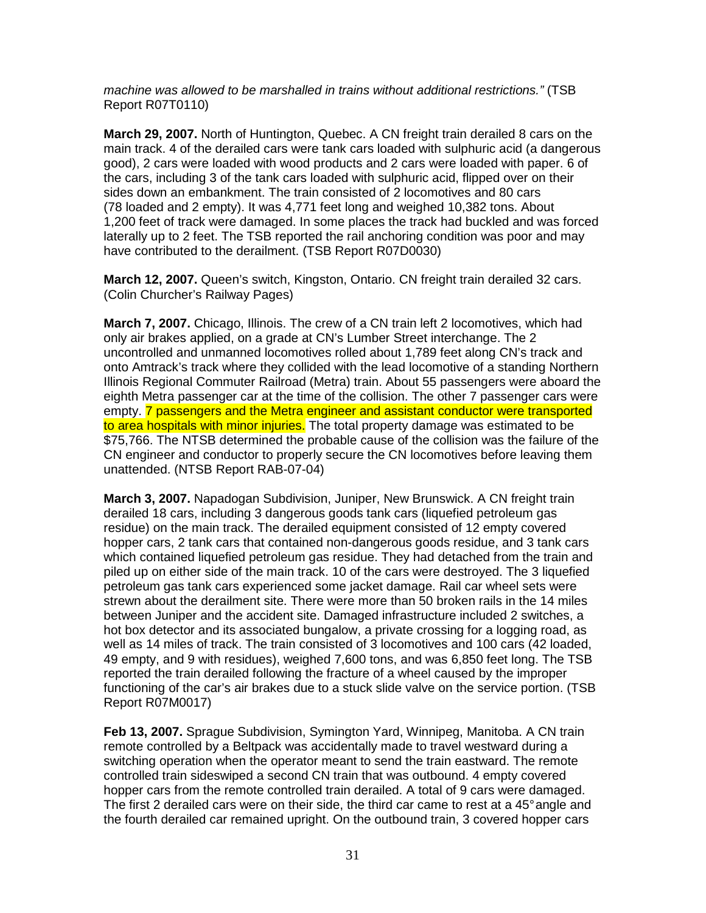machine was allowed to be marshalled in trains without additional restrictions." (TSB Report R07T0110)

**March 29, 2007.** North of Huntington, Quebec. A CN freight train derailed 8 cars on the main track. 4 of the derailed cars were tank cars loaded with sulphuric acid (a dangerous good), 2 cars were loaded with wood products and 2 cars were loaded with paper. 6 of the cars, including 3 of the tank cars loaded with sulphuric acid, flipped over on their sides down an embankment. The train consisted of 2 locomotives and 80 cars (78 loaded and 2 empty). It was 4,771 feet long and weighed 10,382 tons. About 1,200 feet of track were damaged. In some places the track had buckled and was forced laterally up to 2 feet. The TSB reported the rail anchoring condition was poor and may have contributed to the derailment. (TSB Report R07D0030)

**March 12, 2007.** Queen's switch, Kingston, Ontario. CN freight train derailed 32 cars. (Colin Churcher's Railway Pages)

**March 7, 2007.** Chicago, Illinois. The crew of a CN train left 2 locomotives, which had only air brakes applied, on a grade at CN's Lumber Street interchange. The 2 uncontrolled and unmanned locomotives rolled about 1,789 feet along CN's track and onto Amtrack's track where they collided with the lead locomotive of a standing Northern Illinois Regional Commuter Railroad (Metra) train. About 55 passengers were aboard the eighth Metra passenger car at the time of the collision. The other 7 passenger cars were empty. **7** passengers and the Metra engineer and assistant conductor were transported to area hospitals with minor injuries. The total property damage was estimated to be \$75,766. The NTSB determined the probable cause of the collision was the failure of the CN engineer and conductor to properly secure the CN locomotives before leaving them unattended. (NTSB Report RAB-07-04)

**March 3, 2007.** Napadogan Subdivision, Juniper, New Brunswick. A CN freight train derailed 18 cars, including 3 dangerous goods tank cars (liquefied petroleum gas residue) on the main track. The derailed equipment consisted of 12 empty covered hopper cars, 2 tank cars that contained non-dangerous goods residue, and 3 tank cars which contained liquefied petroleum gas residue. They had detached from the train and piled up on either side of the main track. 10 of the cars were destroyed. The 3 liquefied petroleum gas tank cars experienced some jacket damage. Rail car wheel sets were strewn about the derailment site. There were more than 50 broken rails in the 14 miles between Juniper and the accident site. Damaged infrastructure included 2 switches, a hot box detector and its associated bungalow, a private crossing for a logging road, as well as 14 miles of track. The train consisted of 3 locomotives and 100 cars (42 loaded, 49 empty, and 9 with residues), weighed 7,600 tons, and was 6,850 feet long. The TSB reported the train derailed following the fracture of a wheel caused by the improper functioning of the car's air brakes due to a stuck slide valve on the service portion. (TSB Report R07M0017)

**Feb 13, 2007.** Sprague Subdivision, Symington Yard, Winnipeg, Manitoba. A CN train remote controlled by a Beltpack was accidentally made to travel westward during a switching operation when the operator meant to send the train eastward. The remote controlled train sideswiped a second CN train that was outbound. 4 empty covered hopper cars from the remote controlled train derailed. A total of 9 cars were damaged. The first 2 derailed cars were on their side, the third car came to rest at a 45° angle and the fourth derailed car remained upright. On the outbound train, 3 covered hopper cars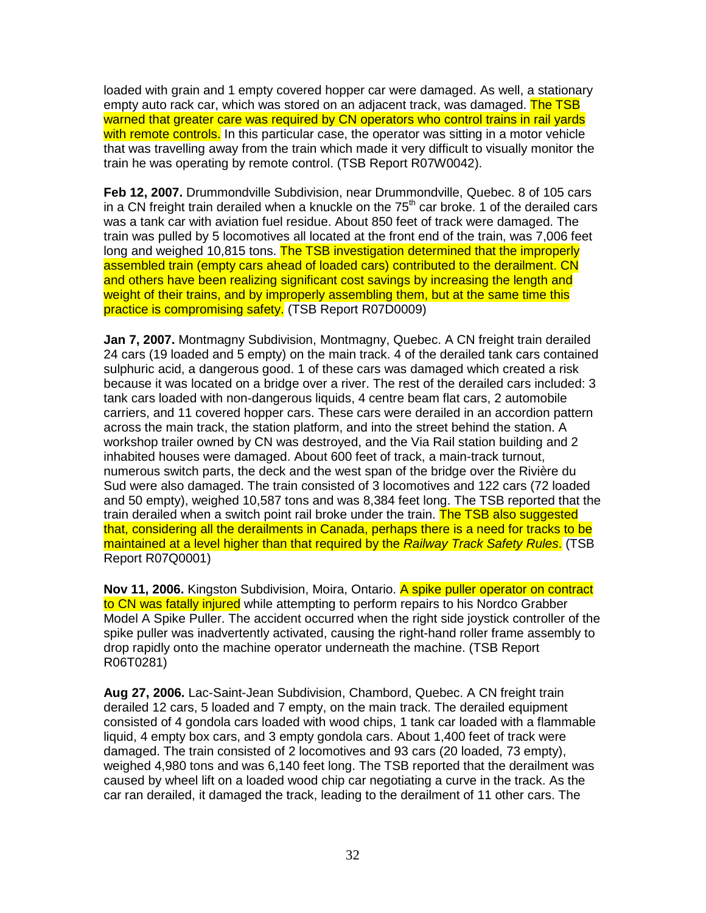loaded with grain and 1 empty covered hopper car were damaged. As well, a stationary empty auto rack car, which was stored on an adiacent track, was damaged. The TSB warned that greater care was required by CN operators who control trains in rail yards with remote controls. In this particular case, the operator was sitting in a motor vehicle that was travelling away from the train which made it very difficult to visually monitor the train he was operating by remote control. (TSB Report R07W0042).

**Feb 12, 2007.** Drummondville Subdivision, near Drummondville, Quebec. 8 of 105 cars in a CN freight train derailed when a knuckle on the  $75<sup>th</sup>$  car broke. 1 of the derailed cars was a tank car with aviation fuel residue. About 850 feet of track were damaged. The train was pulled by 5 locomotives all located at the front end of the train, was 7,006 feet long and weighed 10,815 tons. The TSB investigation determined that the improperly assembled train (empty cars ahead of loaded cars) contributed to the derailment. CN and others have been realizing significant cost savings by increasing the length and weight of their trains, and by improperly assembling them, but at the same time this practice is compromising safety. (TSB Report R07D0009)

**Jan 7, 2007.** Montmagny Subdivision, Montmagny, Quebec. A CN freight train derailed 24 cars (19 loaded and 5 empty) on the main track. 4 of the derailed tank cars contained sulphuric acid, a dangerous good. 1 of these cars was damaged which created a risk because it was located on a bridge over a river. The rest of the derailed cars included: 3 tank cars loaded with non-dangerous liquids, 4 centre beam flat cars, 2 automobile carriers, and 11 covered hopper cars. These cars were derailed in an accordion pattern across the main track, the station platform, and into the street behind the station. A workshop trailer owned by CN was destroyed, and the Via Rail station building and 2 inhabited houses were damaged. About 600 feet of track, a main-track turnout, numerous switch parts, the deck and the west span of the bridge over the Rivière du Sud were also damaged. The train consisted of 3 locomotives and 122 cars (72 loaded and 50 empty), weighed 10,587 tons and was 8,384 feet long. The TSB reported that the train derailed when a switch point rail broke under the train. The TSB also suggested that, considering all the derailments in Canada, perhaps there is a need for tracks to be maintained at a level higher than that required by the Railway Track Safety Rules. (TSB Report R07Q0001)

**Nov 11, 2006.** Kingston Subdivision, Moira, Ontario. A spike puller operator on contract to CN was fatally injured while attempting to perform repairs to his Nordco Grabber Model A Spike Puller. The accident occurred when the right side joystick controller of the spike puller was inadvertently activated, causing the right-hand roller frame assembly to drop rapidly onto the machine operator underneath the machine. (TSB Report R06T0281)

**Aug 27, 2006.** Lac-Saint-Jean Subdivision, Chambord, Quebec. A CN freight train derailed 12 cars, 5 loaded and 7 empty, on the main track. The derailed equipment consisted of 4 gondola cars loaded with wood chips, 1 tank car loaded with a flammable liquid, 4 empty box cars, and 3 empty gondola cars. About 1,400 feet of track were damaged. The train consisted of 2 locomotives and 93 cars (20 loaded, 73 empty), weighed 4,980 tons and was 6,140 feet long. The TSB reported that the derailment was caused by wheel lift on a loaded wood chip car negotiating a curve in the track. As the car ran derailed, it damaged the track, leading to the derailment of 11 other cars. The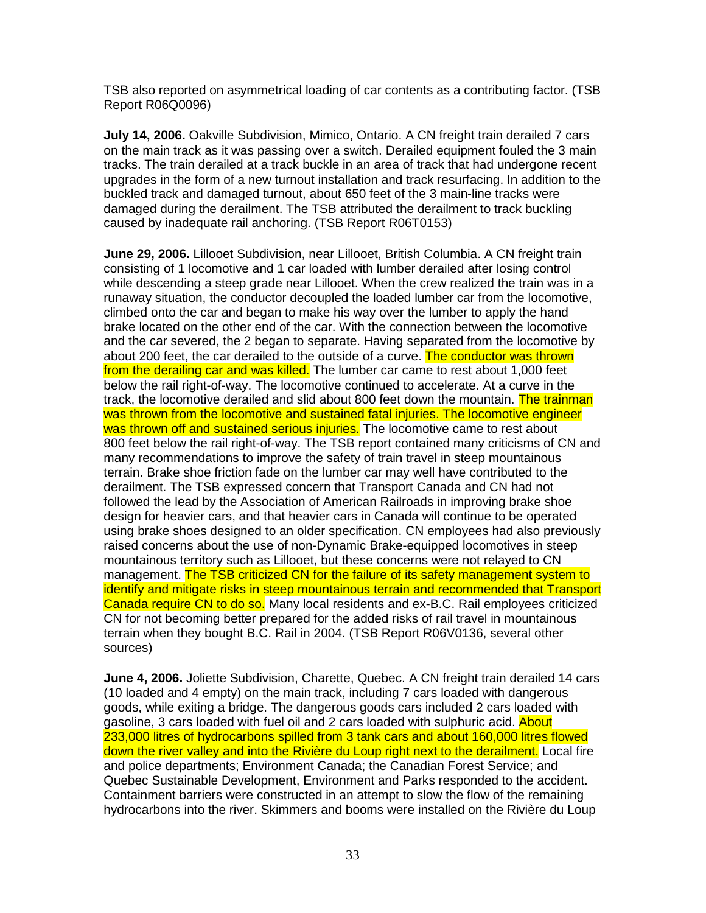TSB also reported on asymmetrical loading of car contents as a contributing factor. (TSB Report R06Q0096)

**July 14, 2006.** Oakville Subdivision, Mimico, Ontario. A CN freight train derailed 7 cars on the main track as it was passing over a switch. Derailed equipment fouled the 3 main tracks. The train derailed at a track buckle in an area of track that had undergone recent upgrades in the form of a new turnout installation and track resurfacing. In addition to the buckled track and damaged turnout, about 650 feet of the 3 main-line tracks were damaged during the derailment. The TSB attributed the derailment to track buckling caused by inadequate rail anchoring. (TSB Report R06T0153)

**June 29, 2006.** Lillooet Subdivision, near Lillooet, British Columbia. A CN freight train consisting of 1 locomotive and 1 car loaded with lumber derailed after losing control while descending a steep grade near Lillooet. When the crew realized the train was in a runaway situation, the conductor decoupled the loaded lumber car from the locomotive, climbed onto the car and began to make his way over the lumber to apply the hand brake located on the other end of the car. With the connection between the locomotive and the car severed, the 2 began to separate. Having separated from the locomotive by about 200 feet, the car derailed to the outside of a curve. The conductor was thrown from the derailing car and was killed. The lumber car came to rest about 1,000 feet below the rail right-of-way. The locomotive continued to accelerate. At a curve in the track, the locomotive derailed and slid about 800 feet down the mountain. The trainman was thrown from the locomotive and sustained fatal injuries. The locomotive engineer was thrown off and sustained serious injuries. The locomotive came to rest about 800 feet below the rail right-of-way. The TSB report contained many criticisms of CN and many recommendations to improve the safety of train travel in steep mountainous terrain. Brake shoe friction fade on the lumber car may well have contributed to the derailment. The TSB expressed concern that Transport Canada and CN had not followed the lead by the Association of American Railroads in improving brake shoe design for heavier cars, and that heavier cars in Canada will continue to be operated using brake shoes designed to an older specification. CN employees had also previously raised concerns about the use of non-Dynamic Brake-equipped locomotives in steep mountainous territory such as Lillooet, but these concerns were not relayed to CN management. The TSB criticized CN for the failure of its safety management system to identify and mitigate risks in steep mountainous terrain and recommended that Transport Canada require CN to do so. Many local residents and ex-B.C. Rail employees criticized CN for not becoming better prepared for the added risks of rail travel in mountainous terrain when they bought B.C. Rail in 2004. (TSB Report R06V0136, several other sources)

**June 4, 2006.** Joliette Subdivision, Charette, Quebec. A CN freight train derailed 14 cars (10 loaded and 4 empty) on the main track, including 7 cars loaded with dangerous goods, while exiting a bridge. The dangerous goods cars included 2 cars loaded with gasoline, 3 cars loaded with fuel oil and 2 cars loaded with sulphuric acid. About 233,000 litres of hydrocarbons spilled from 3 tank cars and about 160,000 litres flowed down the river valley and into the Rivière du Loup right next to the derailment. Local fire and police departments; Environment Canada; the Canadian Forest Service; and Quebec Sustainable Development, Environment and Parks responded to the accident. Containment barriers were constructed in an attempt to slow the flow of the remaining hydrocarbons into the river. Skimmers and booms were installed on the Rivière du Loup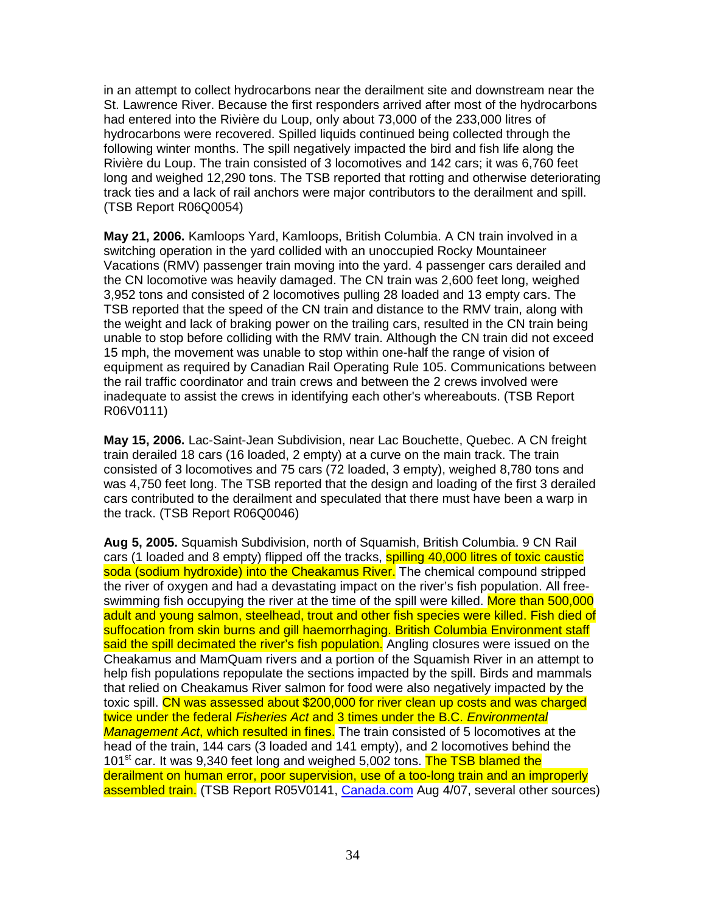in an attempt to collect hydrocarbons near the derailment site and downstream near the St. Lawrence River. Because the first responders arrived after most of the hydrocarbons had entered into the Rivière du Loup, only about 73,000 of the 233,000 litres of hydrocarbons were recovered. Spilled liquids continued being collected through the following winter months. The spill negatively impacted the bird and fish life along the Rivière du Loup. The train consisted of 3 locomotives and 142 cars; it was 6,760 feet long and weighed 12,290 tons. The TSB reported that rotting and otherwise deteriorating track ties and a lack of rail anchors were major contributors to the derailment and spill. (TSB Report R06Q0054)

**May 21, 2006.** Kamloops Yard, Kamloops, British Columbia. A CN train involved in a switching operation in the yard collided with an unoccupied Rocky Mountaineer Vacations (RMV) passenger train moving into the yard. 4 passenger cars derailed and the CN locomotive was heavily damaged. The CN train was 2,600 feet long, weighed 3,952 tons and consisted of 2 locomotives pulling 28 loaded and 13 empty cars. The TSB reported that the speed of the CN train and distance to the RMV train, along with the weight and lack of braking power on the trailing cars, resulted in the CN train being unable to stop before colliding with the RMV train. Although the CN train did not exceed 15 mph, the movement was unable to stop within one-half the range of vision of equipment as required by Canadian Rail Operating Rule 105. Communications between the rail traffic coordinator and train crews and between the 2 crews involved were inadequate to assist the crews in identifying each other's whereabouts. (TSB Report R06V0111)

**May 15, 2006.** Lac-Saint-Jean Subdivision, near Lac Bouchette, Quebec. A CN freight train derailed 18 cars (16 loaded, 2 empty) at a curve on the main track. The train consisted of 3 locomotives and 75 cars (72 loaded, 3 empty), weighed 8,780 tons and was 4,750 feet long. The TSB reported that the design and loading of the first 3 derailed cars contributed to the derailment and speculated that there must have been a warp in the track. (TSB Report R06Q0046)

**Aug 5, 2005.** Squamish Subdivision, north of Squamish, British Columbia. 9 CN Rail cars (1 loaded and 8 empty) flipped off the tracks, spilling 40,000 litres of toxic caustic soda (sodium hydroxide) into the Cheakamus River. The chemical compound stripped the river of oxygen and had a devastating impact on the river's fish population. All freeswimming fish occupying the river at the time of the spill were killed. More than 500,000 adult and young salmon, steelhead, trout and other fish species were killed. Fish died of suffocation from skin burns and gill haemorrhaging. British Columbia Environment staff said the spill decimated the river's fish population. Angling closures were issued on the Cheakamus and MamQuam rivers and a portion of the Squamish River in an attempt to help fish populations repopulate the sections impacted by the spill. Birds and mammals that relied on Cheakamus River salmon for food were also negatively impacted by the toxic spill. CN was assessed about \$200,000 for river clean up costs and was charged twice under the federal Fisheries Act and 3 times under the B.C. Environmental Management Act, which resulted in fines. The train consisted of 5 locomotives at the head of the train, 144 cars (3 loaded and 141 empty), and 2 locomotives behind the 101<sup>st</sup> car. It was 9,340 feet long and weighed 5,002 tons. The TSB blamed the derailment on human error, poor supervision, use of a too-long train and an improperly assembled train. (TSB Report R05V0141, Canada.com Aug 4/07, several other sources)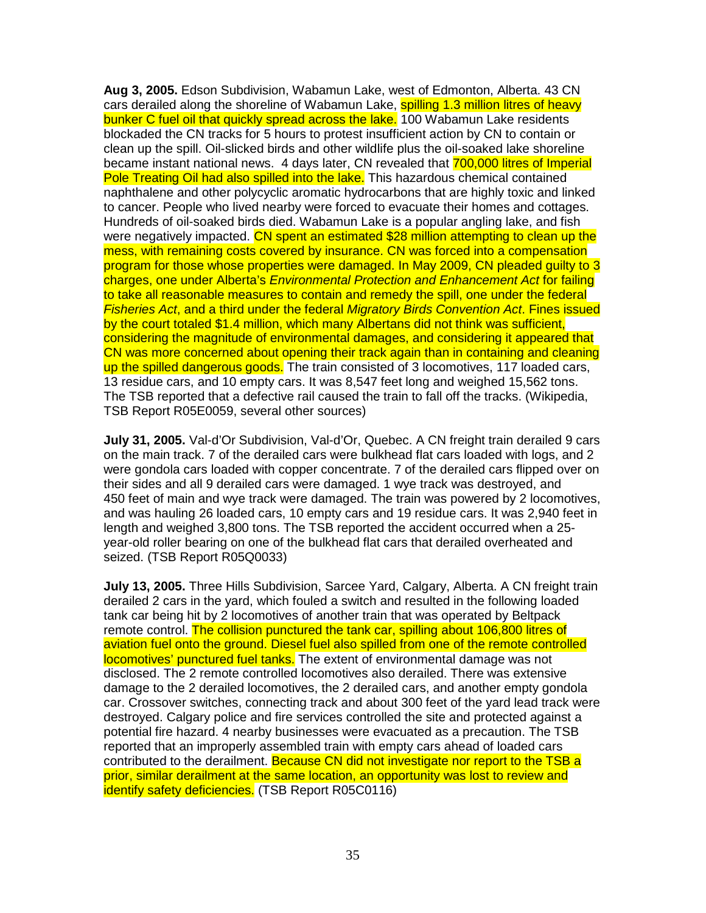**Aug 3, 2005.** Edson Subdivision, Wabamun Lake, west of Edmonton, Alberta. 43 CN cars derailed along the shoreline of Wabamun Lake, spilling 1.3 million litres of heavy bunker C fuel oil that quickly spread across the lake. 100 Wabamun Lake residents blockaded the CN tracks for 5 hours to protest insufficient action by CN to contain or clean up the spill. Oil-slicked birds and other wildlife plus the oil-soaked lake shoreline became instant national news. 4 days later, CN revealed that 700,000 litres of Imperial Pole Treating Oil had also spilled into the lake. This hazardous chemical contained naphthalene and other polycyclic aromatic hydrocarbons that are highly toxic and linked to cancer. People who lived nearby were forced to evacuate their homes and cottages. Hundreds of oil-soaked birds died. Wabamun Lake is a popular angling lake, and fish were negatively impacted. CN spent an estimated \$28 million attempting to clean up the mess, with remaining costs covered by insurance. CN was forced into a compensation program for those whose properties were damaged. In May 2009, CN pleaded guilty to 3 charges, one under Alberta's Environmental Protection and Enhancement Act for failing to take all reasonable measures to contain and remedy the spill, one under the federal Fisheries Act, and a third under the federal Migratory Birds Convention Act. Fines issued by the court totaled \$1.4 million, which many Albertans did not think was sufficient, considering the magnitude of environmental damages, and considering it appeared that CN was more concerned about opening their track again than in containing and cleaning up the spilled dangerous goods. The train consisted of 3 locomotives, 117 loaded cars, 13 residue cars, and 10 empty cars. It was 8,547 feet long and weighed 15,562 tons. The TSB reported that a defective rail caused the train to fall off the tracks. (Wikipedia, TSB Report R05E0059, several other sources)

**July 31, 2005.** Val-d'Or Subdivision, Val-d'Or, Quebec. A CN freight train derailed 9 cars on the main track. 7 of the derailed cars were bulkhead flat cars loaded with logs, and 2 were gondola cars loaded with copper concentrate. 7 of the derailed cars flipped over on their sides and all 9 derailed cars were damaged. 1 wye track was destroyed, and 450 feet of main and wye track were damaged. The train was powered by 2 locomotives, and was hauling 26 loaded cars, 10 empty cars and 19 residue cars. It was 2,940 feet in length and weighed 3,800 tons. The TSB reported the accident occurred when a 25 year-old roller bearing on one of the bulkhead flat cars that derailed overheated and seized. (TSB Report R05Q0033)

**July 13, 2005.** Three Hills Subdivision, Sarcee Yard, Calgary, Alberta. A CN freight train derailed 2 cars in the yard, which fouled a switch and resulted in the following loaded tank car being hit by 2 locomotives of another train that was operated by Beltpack remote control. The collision punctured the tank car, spilling about 106,800 litres of aviation fuel onto the ground. Diesel fuel also spilled from one of the remote controlled locomotives' punctured fuel tanks. The extent of environmental damage was not disclosed. The 2 remote controlled locomotives also derailed. There was extensive damage to the 2 derailed locomotives, the 2 derailed cars, and another empty gondola car. Crossover switches, connecting track and about 300 feet of the yard lead track were destroyed. Calgary police and fire services controlled the site and protected against a potential fire hazard. 4 nearby businesses were evacuated as a precaution. The TSB reported that an improperly assembled train with empty cars ahead of loaded cars contributed to the derailment. Because CN did not investigate nor report to the TSB a prior, similar derailment at the same location, an opportunity was lost to review and identify safety deficiencies. (TSB Report R05C0116)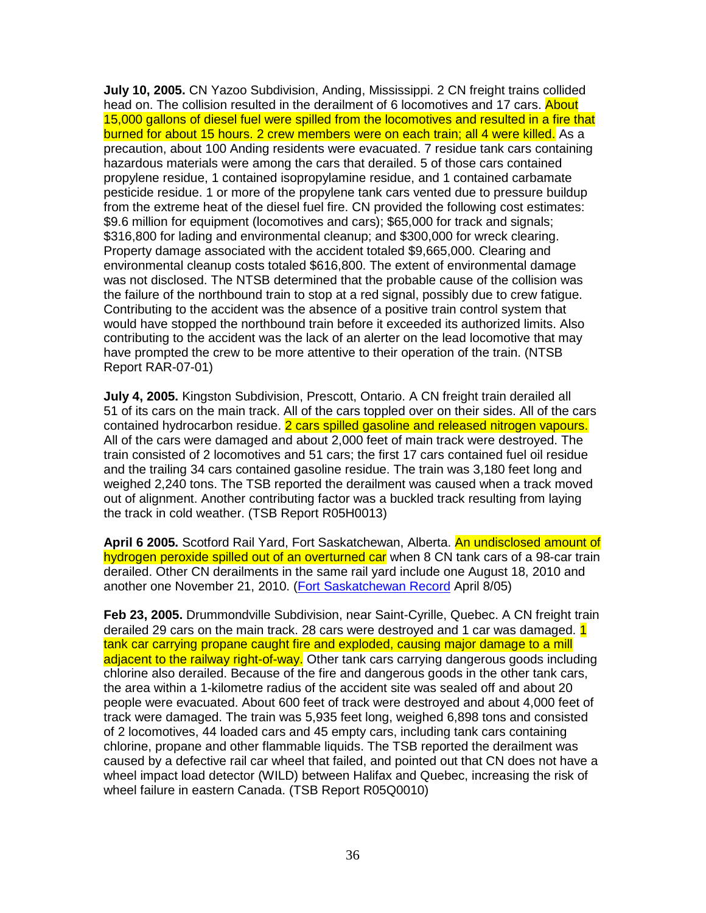**July 10, 2005.** CN Yazoo Subdivision, Anding, Mississippi. 2 CN freight trains collided head on. The collision resulted in the derailment of 6 locomotives and 17 cars. About 15,000 gallons of diesel fuel were spilled from the locomotives and resulted in a fire that burned for about 15 hours. 2 crew members were on each train; all 4 were killed. As a precaution, about 100 Anding residents were evacuated. 7 residue tank cars containing hazardous materials were among the cars that derailed. 5 of those cars contained propylene residue, 1 contained isopropylamine residue, and 1 contained carbamate pesticide residue. 1 or more of the propylene tank cars vented due to pressure buildup from the extreme heat of the diesel fuel fire. CN provided the following cost estimates: \$9.6 million for equipment (locomotives and cars); \$65,000 for track and signals; \$316,800 for lading and environmental cleanup; and \$300,000 for wreck clearing. Property damage associated with the accident totaled \$9,665,000. Clearing and environmental cleanup costs totaled \$616,800. The extent of environmental damage was not disclosed. The NTSB determined that the probable cause of the collision was the failure of the northbound train to stop at a red signal, possibly due to crew fatigue. Contributing to the accident was the absence of a positive train control system that would have stopped the northbound train before it exceeded its authorized limits. Also contributing to the accident was the lack of an alerter on the lead locomotive that may have prompted the crew to be more attentive to their operation of the train. (NTSB Report RAR-07-01)

**July 4, 2005.** Kingston Subdivision, Prescott, Ontario. A CN freight train derailed all 51 of its cars on the main track. All of the cars toppled over on their sides. All of the cars contained hydrocarbon residue. 2 cars spilled gasoline and released nitrogen vapours. All of the cars were damaged and about 2,000 feet of main track were destroyed. The train consisted of 2 locomotives and 51 cars; the first 17 cars contained fuel oil residue and the trailing 34 cars contained gasoline residue. The train was 3,180 feet long and weighed 2,240 tons. The TSB reported the derailment was caused when a track moved out of alignment. Another contributing factor was a buckled track resulting from laying the track in cold weather. (TSB Report R05H0013)

**April 6 2005.** Scotford Rail Yard, Fort Saskatchewan, Alberta. An undisclosed amount of hydrogen peroxide spilled out of an overturned car when 8 CN tank cars of a 98-car train derailed. Other CN derailments in the same rail yard include one August 18, 2010 and another one November 21, 2010. (Fort Saskatchewan Record April 8/05)

**Feb 23, 2005.** Drummondville Subdivision, near Saint-Cyrille, Quebec. A CN freight train derailed 29 cars on the main track. 28 cars were destroyed and 1 car was damaged. 1 tank car carrying propane caught fire and exploded, causing major damage to a mill adjacent to the railway right-of-way. Other tank cars carrying dangerous goods including chlorine also derailed. Because of the fire and dangerous goods in the other tank cars, the area within a 1-kilometre radius of the accident site was sealed off and about 20 people were evacuated. About 600 feet of track were destroyed and about 4,000 feet of track were damaged. The train was 5,935 feet long, weighed 6,898 tons and consisted of 2 locomotives, 44 loaded cars and 45 empty cars, including tank cars containing chlorine, propane and other flammable liquids. The TSB reported the derailment was caused by a defective rail car wheel that failed, and pointed out that CN does not have a wheel impact load detector (WILD) between Halifax and Quebec, increasing the risk of wheel failure in eastern Canada. (TSB Report R05Q0010)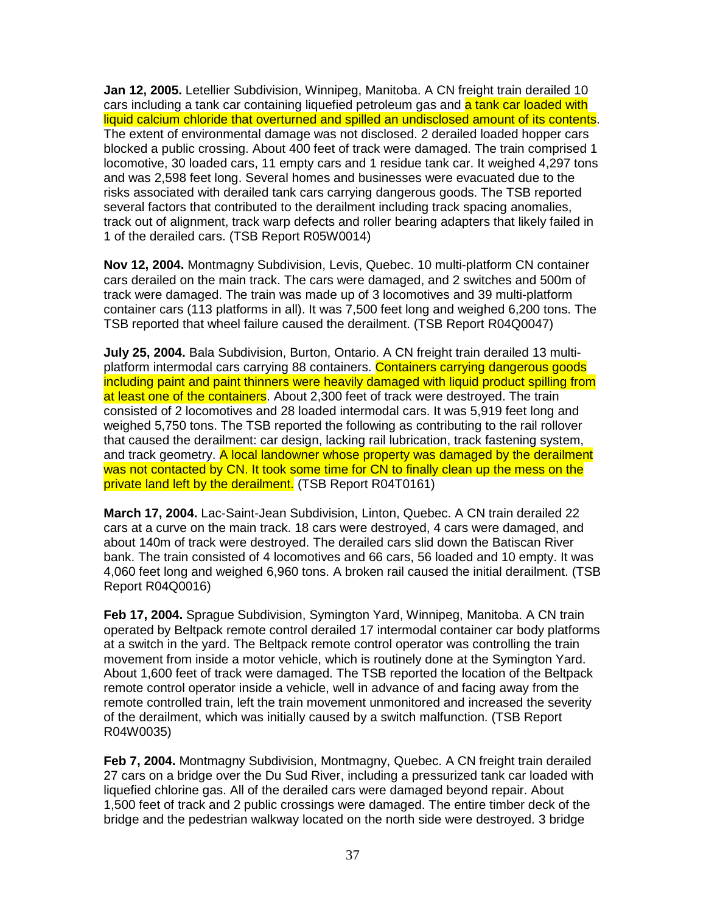**Jan 12, 2005.** Letellier Subdivision, Winnipeg, Manitoba. A CN freight train derailed 10 cars including a tank car containing liquefied petroleum gas and a tank car loaded with liquid calcium chloride that overturned and spilled an undisclosed amount of its contents. The extent of environmental damage was not disclosed. 2 derailed loaded hopper cars blocked a public crossing. About 400 feet of track were damaged. The train comprised 1 locomotive, 30 loaded cars, 11 empty cars and 1 residue tank car. It weighed 4,297 tons and was 2,598 feet long. Several homes and businesses were evacuated due to the risks associated with derailed tank cars carrying dangerous goods. The TSB reported several factors that contributed to the derailment including track spacing anomalies, track out of alignment, track warp defects and roller bearing adapters that likely failed in 1 of the derailed cars. (TSB Report R05W0014)

**Nov 12, 2004.** Montmagny Subdivision, Levis, Quebec. 10 multi-platform CN container cars derailed on the main track. The cars were damaged, and 2 switches and 500m of track were damaged. The train was made up of 3 locomotives and 39 multi-platform container cars (113 platforms in all). It was 7,500 feet long and weighed 6,200 tons. The TSB reported that wheel failure caused the derailment. (TSB Report R04Q0047)

**July 25, 2004.** Bala Subdivision, Burton, Ontario. A CN freight train derailed 13 multiplatform intermodal cars carrying 88 containers. Containers carrying dangerous goods including paint and paint thinners were heavily damaged with liquid product spilling from at least one of the containers. About 2,300 feet of track were destroyed. The train consisted of 2 locomotives and 28 loaded intermodal cars. It was 5,919 feet long and weighed 5,750 tons. The TSB reported the following as contributing to the rail rollover that caused the derailment: car design, lacking rail lubrication, track fastening system, and track geometry. A local landowner whose property was damaged by the derailment was not contacted by CN. It took some time for CN to finally clean up the mess on the private land left by the derailment. (TSB Report R04T0161)

**March 17, 2004.** Lac-Saint-Jean Subdivision, Linton, Quebec. A CN train derailed 22 cars at a curve on the main track. 18 cars were destroyed, 4 cars were damaged, and about 140m of track were destroyed. The derailed cars slid down the Batiscan River bank. The train consisted of 4 locomotives and 66 cars, 56 loaded and 10 empty. It was 4,060 feet long and weighed 6,960 tons. A broken rail caused the initial derailment. (TSB Report R04Q0016)

**Feb 17, 2004.** Sprague Subdivision, Symington Yard, Winnipeg, Manitoba. A CN train operated by Beltpack remote control derailed 17 intermodal container car body platforms at a switch in the yard. The Beltpack remote control operator was controlling the train movement from inside a motor vehicle, which is routinely done at the Symington Yard. About 1,600 feet of track were damaged. The TSB reported the location of the Beltpack remote control operator inside a vehicle, well in advance of and facing away from the remote controlled train, left the train movement unmonitored and increased the severity of the derailment, which was initially caused by a switch malfunction. (TSB Report R04W0035)

**Feb 7, 2004.** Montmagny Subdivision, Montmagny, Quebec. A CN freight train derailed 27 cars on a bridge over the Du Sud River, including a pressurized tank car loaded with liquefied chlorine gas. All of the derailed cars were damaged beyond repair. About 1,500 feet of track and 2 public crossings were damaged. The entire timber deck of the bridge and the pedestrian walkway located on the north side were destroyed. 3 bridge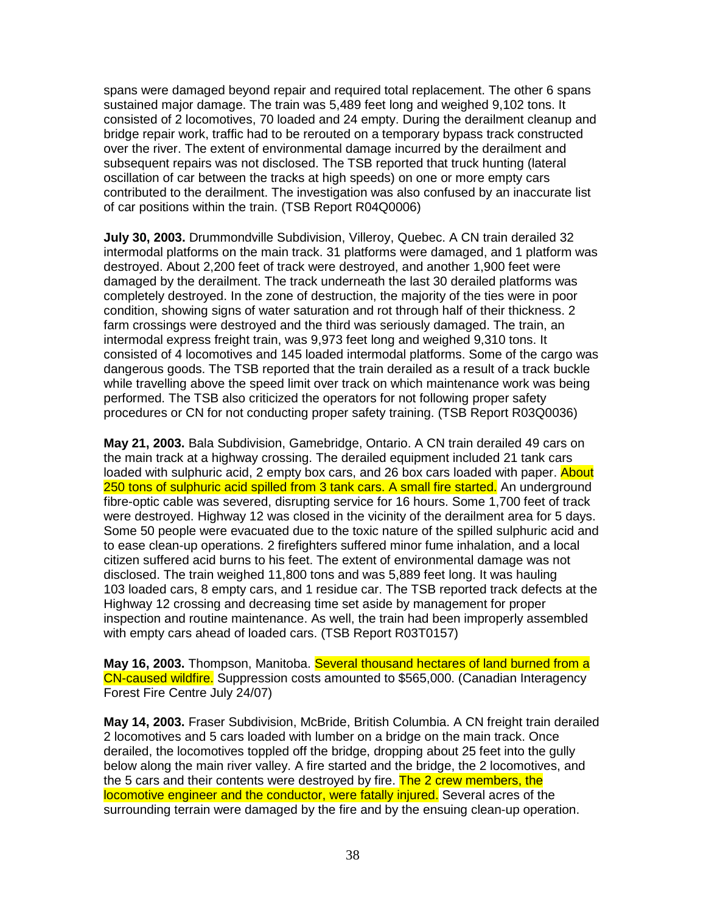spans were damaged beyond repair and required total replacement. The other 6 spans sustained major damage. The train was 5,489 feet long and weighed 9,102 tons. It consisted of 2 locomotives, 70 loaded and 24 empty. During the derailment cleanup and bridge repair work, traffic had to be rerouted on a temporary bypass track constructed over the river. The extent of environmental damage incurred by the derailment and subsequent repairs was not disclosed. The TSB reported that truck hunting (lateral oscillation of car between the tracks at high speeds) on one or more empty cars contributed to the derailment. The investigation was also confused by an inaccurate list of car positions within the train. (TSB Report R04Q0006)

**July 30, 2003.** Drummondville Subdivision, Villeroy, Quebec. A CN train derailed 32 intermodal platforms on the main track. 31 platforms were damaged, and 1 platform was destroyed. About 2,200 feet of track were destroyed, and another 1,900 feet were damaged by the derailment. The track underneath the last 30 derailed platforms was completely destroyed. In the zone of destruction, the majority of the ties were in poor condition, showing signs of water saturation and rot through half of their thickness. 2 farm crossings were destroyed and the third was seriously damaged. The train, an intermodal express freight train, was 9,973 feet long and weighed 9,310 tons. It consisted of 4 locomotives and 145 loaded intermodal platforms. Some of the cargo was dangerous goods. The TSB reported that the train derailed as a result of a track buckle while travelling above the speed limit over track on which maintenance work was being performed. The TSB also criticized the operators for not following proper safety procedures or CN for not conducting proper safety training. (TSB Report R03Q0036)

**May 21, 2003.** Bala Subdivision, Gamebridge, Ontario. A CN train derailed 49 cars on the main track at a highway crossing. The derailed equipment included 21 tank cars loaded with sulphuric acid, 2 empty box cars, and 26 box cars loaded with paper. About 250 tons of sulphuric acid spilled from 3 tank cars. A small fire started. An underground fibre-optic cable was severed, disrupting service for 16 hours. Some 1,700 feet of track were destroyed. Highway 12 was closed in the vicinity of the derailment area for 5 days. Some 50 people were evacuated due to the toxic nature of the spilled sulphuric acid and to ease clean-up operations. 2 firefighters suffered minor fume inhalation, and a local citizen suffered acid burns to his feet. The extent of environmental damage was not disclosed. The train weighed 11,800 tons and was 5,889 feet long. It was hauling 103 loaded cars, 8 empty cars, and 1 residue car. The TSB reported track defects at the Highway 12 crossing and decreasing time set aside by management for proper inspection and routine maintenance. As well, the train had been improperly assembled with empty cars ahead of loaded cars. (TSB Report R03T0157)

**May 16, 2003.** Thompson, Manitoba. Several thousand hectares of land burned from a CN-caused wildfire. Suppression costs amounted to \$565,000. (Canadian Interagency Forest Fire Centre July 24/07)

**May 14, 2003.** Fraser Subdivision, McBride, British Columbia. A CN freight train derailed 2 locomotives and 5 cars loaded with lumber on a bridge on the main track. Once derailed, the locomotives toppled off the bridge, dropping about 25 feet into the gully below along the main river valley. A fire started and the bridge, the 2 locomotives, and the 5 cars and their contents were destroyed by fire. The 2 crew members, the locomotive engineer and the conductor, were fatally injured. Several acres of the surrounding terrain were damaged by the fire and by the ensuing clean-up operation.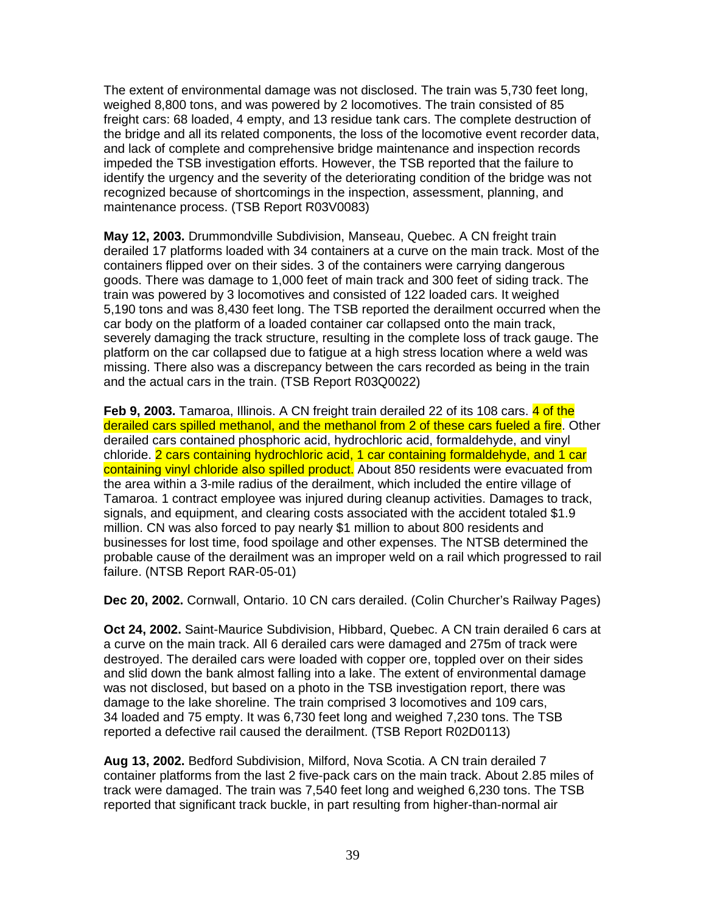The extent of environmental damage was not disclosed. The train was 5,730 feet long, weighed 8,800 tons, and was powered by 2 locomotives. The train consisted of 85 freight cars: 68 loaded, 4 empty, and 13 residue tank cars. The complete destruction of the bridge and all its related components, the loss of the locomotive event recorder data, and lack of complete and comprehensive bridge maintenance and inspection records impeded the TSB investigation efforts. However, the TSB reported that the failure to identify the urgency and the severity of the deteriorating condition of the bridge was not recognized because of shortcomings in the inspection, assessment, planning, and maintenance process. (TSB Report R03V0083)

**May 12, 2003.** Drummondville Subdivision, Manseau, Quebec. A CN freight train derailed 17 platforms loaded with 34 containers at a curve on the main track. Most of the containers flipped over on their sides. 3 of the containers were carrying dangerous goods. There was damage to 1,000 feet of main track and 300 feet of siding track. The train was powered by 3 locomotives and consisted of 122 loaded cars. It weighed 5,190 tons and was 8,430 feet long. The TSB reported the derailment occurred when the car body on the platform of a loaded container car collapsed onto the main track, severely damaging the track structure, resulting in the complete loss of track gauge. The platform on the car collapsed due to fatigue at a high stress location where a weld was missing. There also was a discrepancy between the cars recorded as being in the train and the actual cars in the train. (TSB Report R03Q0022)

**Feb 9, 2003.** Tamaroa, Illinois. A CN freight train derailed 22 of its 108 cars. 4 of the derailed cars spilled methanol, and the methanol from 2 of these cars fueled a fire. Other derailed cars contained phosphoric acid, hydrochloric acid, formaldehyde, and vinyl chloride. 2 cars containing hydrochloric acid, 1 car containing formaldehyde, and 1 car containing vinyl chloride also spilled product. About 850 residents were evacuated from the area within a 3-mile radius of the derailment, which included the entire village of Tamaroa. 1 contract employee was injured during cleanup activities. Damages to track, signals, and equipment, and clearing costs associated with the accident totaled \$1.9 million. CN was also forced to pay nearly \$1 million to about 800 residents and businesses for lost time, food spoilage and other expenses. The NTSB determined the probable cause of the derailment was an improper weld on a rail which progressed to rail failure. (NTSB Report RAR-05-01)

**Dec 20, 2002.** Cornwall, Ontario. 10 CN cars derailed. (Colin Churcher's Railway Pages)

**Oct 24, 2002.** Saint-Maurice Subdivision, Hibbard, Quebec. A CN train derailed 6 cars at a curve on the main track. All 6 derailed cars were damaged and 275m of track were destroyed. The derailed cars were loaded with copper ore, toppled over on their sides and slid down the bank almost falling into a lake. The extent of environmental damage was not disclosed, but based on a photo in the TSB investigation report, there was damage to the lake shoreline. The train comprised 3 locomotives and 109 cars, 34 loaded and 75 empty. It was 6,730 feet long and weighed 7,230 tons. The TSB reported a defective rail caused the derailment. (TSB Report R02D0113)

**Aug 13, 2002.** Bedford Subdivision, Milford, Nova Scotia. A CN train derailed 7 container platforms from the last 2 five-pack cars on the main track. About 2.85 miles of track were damaged. The train was 7,540 feet long and weighed 6,230 tons. The TSB reported that significant track buckle, in part resulting from higher-than-normal air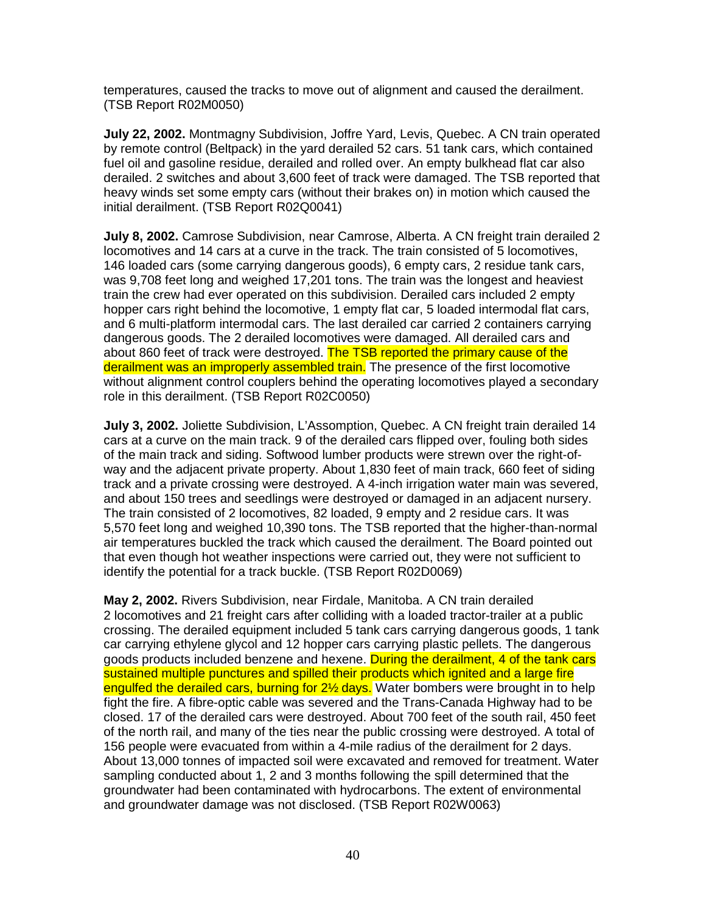temperatures, caused the tracks to move out of alignment and caused the derailment. (TSB Report R02M0050)

**July 22, 2002.** Montmagny Subdivision, Joffre Yard, Levis, Quebec. A CN train operated by remote control (Beltpack) in the yard derailed 52 cars. 51 tank cars, which contained fuel oil and gasoline residue, derailed and rolled over. An empty bulkhead flat car also derailed. 2 switches and about 3,600 feet of track were damaged. The TSB reported that heavy winds set some empty cars (without their brakes on) in motion which caused the initial derailment. (TSB Report R02Q0041)

**July 8, 2002.** Camrose Subdivision, near Camrose, Alberta. A CN freight train derailed 2 locomotives and 14 cars at a curve in the track. The train consisted of 5 locomotives, 146 loaded cars (some carrying dangerous goods), 6 empty cars, 2 residue tank cars, was 9,708 feet long and weighed 17,201 tons. The train was the longest and heaviest train the crew had ever operated on this subdivision. Derailed cars included 2 empty hopper cars right behind the locomotive, 1 empty flat car, 5 loaded intermodal flat cars, and 6 multi-platform intermodal cars. The last derailed car carried 2 containers carrying dangerous goods. The 2 derailed locomotives were damaged. All derailed cars and about 860 feet of track were destroyed. The TSB reported the primary cause of the derailment was an improperly assembled train. The presence of the first locomotive without alignment control couplers behind the operating locomotives played a secondary role in this derailment. (TSB Report R02C0050)

**July 3, 2002.** Joliette Subdivision, L'Assomption, Quebec. A CN freight train derailed 14 cars at a curve on the main track. 9 of the derailed cars flipped over, fouling both sides of the main track and siding. Softwood lumber products were strewn over the right-ofway and the adjacent private property. About 1,830 feet of main track, 660 feet of siding track and a private crossing were destroyed. A 4-inch irrigation water main was severed, and about 150 trees and seedlings were destroyed or damaged in an adjacent nursery. The train consisted of 2 locomotives, 82 loaded, 9 empty and 2 residue cars. It was 5,570 feet long and weighed 10,390 tons. The TSB reported that the higher-than-normal air temperatures buckled the track which caused the derailment. The Board pointed out that even though hot weather inspections were carried out, they were not sufficient to identify the potential for a track buckle. (TSB Report R02D0069)

**May 2, 2002.** Rivers Subdivision, near Firdale, Manitoba. A CN train derailed 2 locomotives and 21 freight cars after colliding with a loaded tractor-trailer at a public crossing. The derailed equipment included 5 tank cars carrying dangerous goods, 1 tank car carrying ethylene glycol and 12 hopper cars carrying plastic pellets. The dangerous goods products included benzene and hexene. During the derailment, 4 of the tank cars sustained multiple punctures and spilled their products which ignited and a large fire engulfed the derailed cars, burning for 2<sup>1/2</sup> days. Water bombers were brought in to help fight the fire. A fibre-optic cable was severed and the Trans-Canada Highway had to be closed. 17 of the derailed cars were destroyed. About 700 feet of the south rail, 450 feet of the north rail, and many of the ties near the public crossing were destroyed. A total of 156 people were evacuated from within a 4-mile radius of the derailment for 2 days. About 13,000 tonnes of impacted soil were excavated and removed for treatment. Water sampling conducted about 1, 2 and 3 months following the spill determined that the groundwater had been contaminated with hydrocarbons. The extent of environmental and groundwater damage was not disclosed. (TSB Report R02W0063)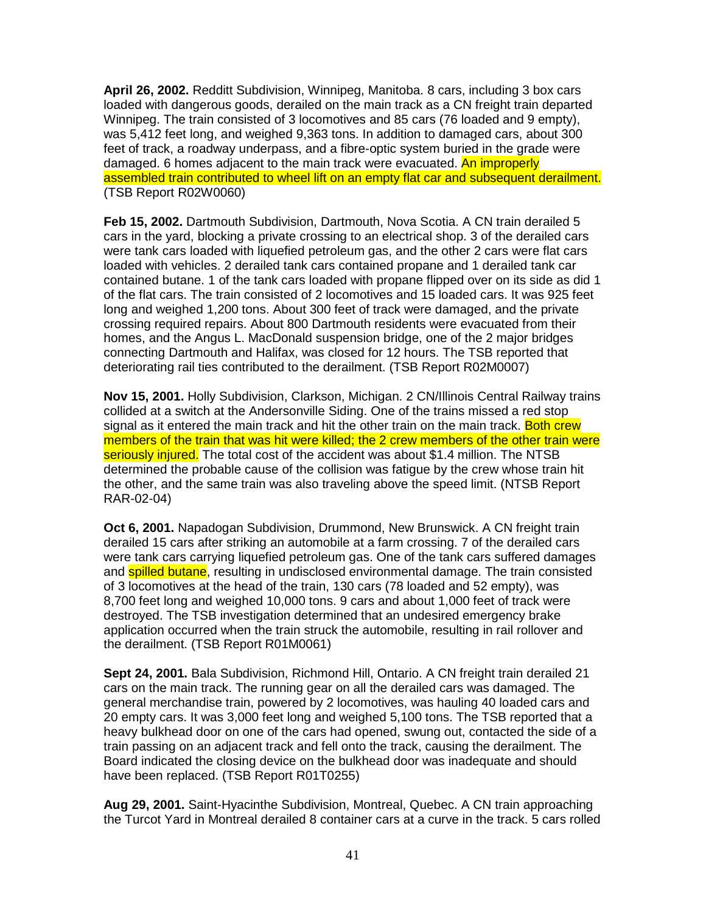**April 26, 2002.** Redditt Subdivision, Winnipeg, Manitoba. 8 cars, including 3 box cars loaded with dangerous goods, derailed on the main track as a CN freight train departed Winnipeg. The train consisted of 3 locomotives and 85 cars (76 loaded and 9 empty), was 5,412 feet long, and weighed 9,363 tons. In addition to damaged cars, about 300 feet of track, a roadway underpass, and a fibre-optic system buried in the grade were damaged. 6 homes adjacent to the main track were evacuated. An improperly assembled train contributed to wheel lift on an empty flat car and subsequent derailment. (TSB Report R02W0060)

**Feb 15, 2002.** Dartmouth Subdivision, Dartmouth, Nova Scotia. A CN train derailed 5 cars in the yard, blocking a private crossing to an electrical shop. 3 of the derailed cars were tank cars loaded with liquefied petroleum gas, and the other 2 cars were flat cars loaded with vehicles. 2 derailed tank cars contained propane and 1 derailed tank car contained butane. 1 of the tank cars loaded with propane flipped over on its side as did 1 of the flat cars. The train consisted of 2 locomotives and 15 loaded cars. It was 925 feet long and weighed 1,200 tons. About 300 feet of track were damaged, and the private crossing required repairs. About 800 Dartmouth residents were evacuated from their homes, and the Angus L. MacDonald suspension bridge, one of the 2 major bridges connecting Dartmouth and Halifax, was closed for 12 hours. The TSB reported that deteriorating rail ties contributed to the derailment. (TSB Report R02M0007)

**Nov 15, 2001.** Holly Subdivision, Clarkson, Michigan. 2 CN/Illinois Central Railway trains collided at a switch at the Andersonville Siding. One of the trains missed a red stop signal as it entered the main track and hit the other train on the main track. Both crew members of the train that was hit were killed; the 2 crew members of the other train were seriously injured. The total cost of the accident was about \$1.4 million. The NTSB determined the probable cause of the collision was fatigue by the crew whose train hit the other, and the same train was also traveling above the speed limit. (NTSB Report RAR-02-04)

**Oct 6, 2001.** Napadogan Subdivision, Drummond, New Brunswick. A CN freight train derailed 15 cars after striking an automobile at a farm crossing. 7 of the derailed cars were tank cars carrying liquefied petroleum gas. One of the tank cars suffered damages and **spilled butane**, resulting in undisclosed environmental damage. The train consisted of 3 locomotives at the head of the train, 130 cars (78 loaded and 52 empty), was 8,700 feet long and weighed 10,000 tons. 9 cars and about 1,000 feet of track were destroyed. The TSB investigation determined that an undesired emergency brake application occurred when the train struck the automobile, resulting in rail rollover and the derailment. (TSB Report R01M0061)

**Sept 24, 2001.** Bala Subdivision, Richmond Hill, Ontario. A CN freight train derailed 21 cars on the main track. The running gear on all the derailed cars was damaged. The general merchandise train, powered by 2 locomotives, was hauling 40 loaded cars and 20 empty cars. It was 3,000 feet long and weighed 5,100 tons. The TSB reported that a heavy bulkhead door on one of the cars had opened, swung out, contacted the side of a train passing on an adjacent track and fell onto the track, causing the derailment. The Board indicated the closing device on the bulkhead door was inadequate and should have been replaced. (TSB Report R01T0255)

**Aug 29, 2001.** Saint-Hyacinthe Subdivision, Montreal, Quebec. A CN train approaching the Turcot Yard in Montreal derailed 8 container cars at a curve in the track. 5 cars rolled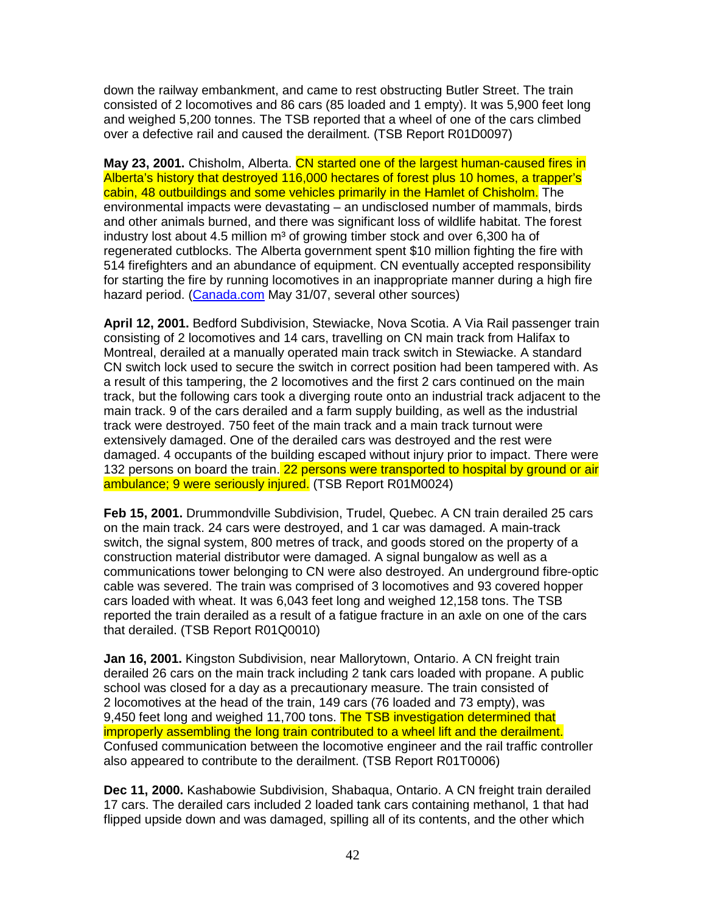down the railway embankment, and came to rest obstructing Butler Street. The train consisted of 2 locomotives and 86 cars (85 loaded and 1 empty). It was 5,900 feet long and weighed 5,200 tonnes. The TSB reported that a wheel of one of the cars climbed over a defective rail and caused the derailment. (TSB Report R01D0097)

**May 23, 2001.** Chisholm, Alberta. CN started one of the largest human-caused fires in Alberta's history that destroyed 116,000 hectares of forest plus 10 homes, a trapper's cabin, 48 outbuildings and some vehicles primarily in the Hamlet of Chisholm. The environmental impacts were devastating – an undisclosed number of mammals, birds and other animals burned, and there was significant loss of wildlife habitat. The forest industry lost about 4.5 million  $m<sup>3</sup>$  of growing timber stock and over 6,300 ha of regenerated cutblocks. The Alberta government spent \$10 million fighting the fire with 514 firefighters and an abundance of equipment. CN eventually accepted responsibility for starting the fire by running locomotives in an inappropriate manner during a high fire hazard period. (Canada.com May 31/07, several other sources)

**April 12, 2001.** Bedford Subdivision, Stewiacke, Nova Scotia. A Via Rail passenger train consisting of 2 locomotives and 14 cars, travelling on CN main track from Halifax to Montreal, derailed at a manually operated main track switch in Stewiacke. A standard CN switch lock used to secure the switch in correct position had been tampered with. As a result of this tampering, the 2 locomotives and the first 2 cars continued on the main track, but the following cars took a diverging route onto an industrial track adjacent to the main track. 9 of the cars derailed and a farm supply building, as well as the industrial track were destroyed. 750 feet of the main track and a main track turnout were extensively damaged. One of the derailed cars was destroyed and the rest were damaged. 4 occupants of the building escaped without injury prior to impact. There were 132 persons on board the train. 22 persons were transported to hospital by ground or air ambulance; 9 were seriously injured. (TSB Report R01M0024)

**Feb 15, 2001.** Drummondville Subdivision, Trudel, Quebec. A CN train derailed 25 cars on the main track. 24 cars were destroyed, and 1 car was damaged. A main-track switch, the signal system, 800 metres of track, and goods stored on the property of a construction material distributor were damaged. A signal bungalow as well as a communications tower belonging to CN were also destroyed. An underground fibre-optic cable was severed. The train was comprised of 3 locomotives and 93 covered hopper cars loaded with wheat. It was 6,043 feet long and weighed 12,158 tons. The TSB reported the train derailed as a result of a fatigue fracture in an axle on one of the cars that derailed. (TSB Report R01Q0010)

**Jan 16, 2001.** Kingston Subdivision, near Mallorytown, Ontario. A CN freight train derailed 26 cars on the main track including 2 tank cars loaded with propane. A public school was closed for a day as a precautionary measure. The train consisted of 2 locomotives at the head of the train, 149 cars (76 loaded and 73 empty), was 9,450 feet long and weighed 11,700 tons. The TSB investigation determined that improperly assembling the long train contributed to a wheel lift and the derailment. Confused communication between the locomotive engineer and the rail traffic controller also appeared to contribute to the derailment. (TSB Report R01T0006)

**Dec 11, 2000.** Kashabowie Subdivision, Shabaqua, Ontario. A CN freight train derailed 17 cars. The derailed cars included 2 loaded tank cars containing methanol, 1 that had flipped upside down and was damaged, spilling all of its contents, and the other which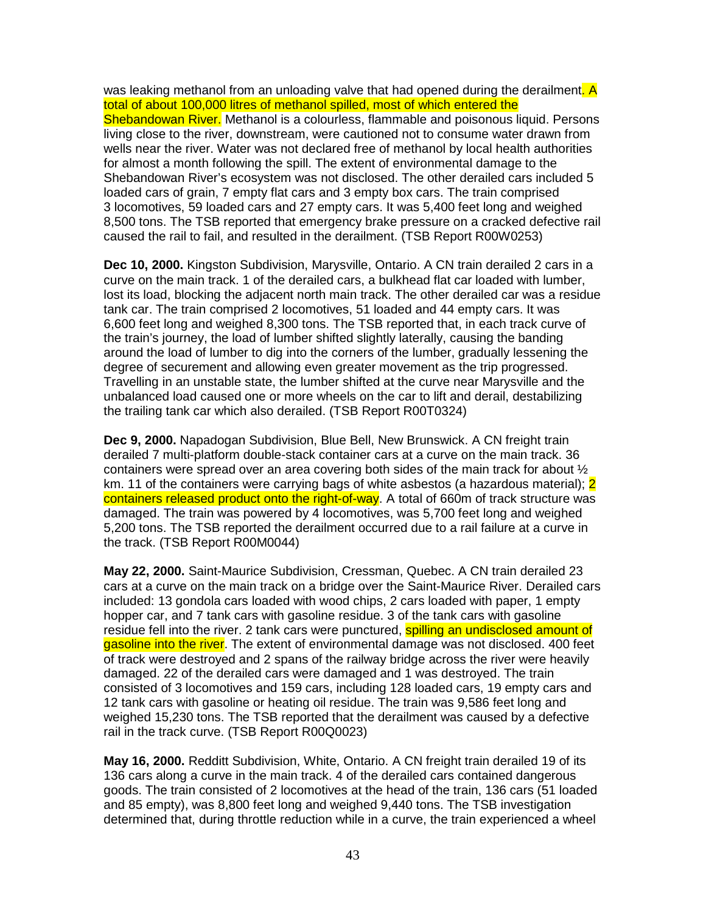was leaking methanol from an unloading valve that had opened during the derailment. A total of about 100,000 litres of methanol spilled, most of which entered the Shebandowan River. Methanol is a colourless, flammable and poisonous liquid. Persons living close to the river, downstream, were cautioned not to consume water drawn from wells near the river. Water was not declared free of methanol by local health authorities for almost a month following the spill. The extent of environmental damage to the Shebandowan River's ecosystem was not disclosed. The other derailed cars included 5 loaded cars of grain, 7 empty flat cars and 3 empty box cars. The train comprised 3 locomotives, 59 loaded cars and 27 empty cars. It was 5,400 feet long and weighed 8,500 tons. The TSB reported that emergency brake pressure on a cracked defective rail caused the rail to fail, and resulted in the derailment. (TSB Report R00W0253)

**Dec 10, 2000.** Kingston Subdivision, Marysville, Ontario. A CN train derailed 2 cars in a curve on the main track. 1 of the derailed cars, a bulkhead flat car loaded with lumber, lost its load, blocking the adjacent north main track. The other derailed car was a residue tank car. The train comprised 2 locomotives, 51 loaded and 44 empty cars. It was 6,600 feet long and weighed 8,300 tons. The TSB reported that, in each track curve of the train's journey, the load of lumber shifted slightly laterally, causing the banding around the load of lumber to dig into the corners of the lumber, gradually lessening the degree of securement and allowing even greater movement as the trip progressed. Travelling in an unstable state, the lumber shifted at the curve near Marysville and the unbalanced load caused one or more wheels on the car to lift and derail, destabilizing the trailing tank car which also derailed. (TSB Report R00T0324)

**Dec 9, 2000.** Napadogan Subdivision, Blue Bell, New Brunswick. A CN freight train derailed 7 multi-platform double-stack container cars at a curve on the main track. 36 containers were spread over an area covering both sides of the main track for about ½ km. 11 of the containers were carrying bags of white asbestos (a hazardous material): 2 containers released product onto the right-of-way. A total of 660m of track structure was damaged. The train was powered by 4 locomotives, was 5,700 feet long and weighed 5,200 tons. The TSB reported the derailment occurred due to a rail failure at a curve in the track. (TSB Report R00M0044)

**May 22, 2000.** Saint-Maurice Subdivision, Cressman, Quebec. A CN train derailed 23 cars at a curve on the main track on a bridge over the Saint-Maurice River. Derailed cars included: 13 gondola cars loaded with wood chips, 2 cars loaded with paper, 1 empty hopper car, and 7 tank cars with gasoline residue. 3 of the tank cars with gasoline residue fell into the river. 2 tank cars were punctured, **spilling an undisclosed amount of** gasoline into the river. The extent of environmental damage was not disclosed. 400 feet of track were destroyed and 2 spans of the railway bridge across the river were heavily damaged. 22 of the derailed cars were damaged and 1 was destroyed. The train consisted of 3 locomotives and 159 cars, including 128 loaded cars, 19 empty cars and 12 tank cars with gasoline or heating oil residue. The train was 9,586 feet long and weighed 15,230 tons. The TSB reported that the derailment was caused by a defective rail in the track curve. (TSB Report R00Q0023)

**May 16, 2000.** Redditt Subdivision, White, Ontario. A CN freight train derailed 19 of its 136 cars along a curve in the main track. 4 of the derailed cars contained dangerous goods. The train consisted of 2 locomotives at the head of the train, 136 cars (51 loaded and 85 empty), was 8,800 feet long and weighed 9,440 tons. The TSB investigation determined that, during throttle reduction while in a curve, the train experienced a wheel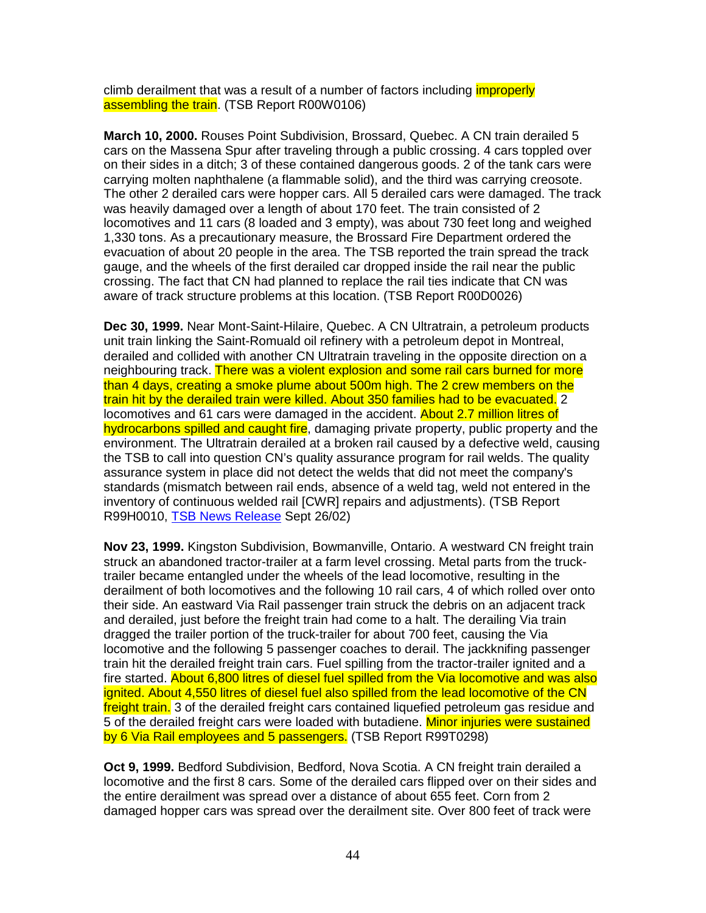climb derailment that was a result of a number of factors including *improperly* assembling the train. (TSB Report R00W0106)

**March 10, 2000.** Rouses Point Subdivision, Brossard, Quebec. A CN train derailed 5 cars on the Massena Spur after traveling through a public crossing. 4 cars toppled over on their sides in a ditch; 3 of these contained dangerous goods. 2 of the tank cars were carrying molten naphthalene (a flammable solid), and the third was carrying creosote. The other 2 derailed cars were hopper cars. All 5 derailed cars were damaged. The track was heavily damaged over a length of about 170 feet. The train consisted of 2 locomotives and 11 cars (8 loaded and 3 empty), was about 730 feet long and weighed 1,330 tons. As a precautionary measure, the Brossard Fire Department ordered the evacuation of about 20 people in the area. The TSB reported the train spread the track gauge, and the wheels of the first derailed car dropped inside the rail near the public crossing. The fact that CN had planned to replace the rail ties indicate that CN was aware of track structure problems at this location. (TSB Report R00D0026)

**Dec 30, 1999.** Near Mont-Saint-Hilaire, Quebec. A CN Ultratrain, a petroleum products unit train linking the Saint-Romuald oil refinery with a petroleum depot in Montreal, derailed and collided with another CN Ultratrain traveling in the opposite direction on a neighbouring track. There was a violent explosion and some rail cars burned for more than 4 days, creating a smoke plume about 500m high. The 2 crew members on the train hit by the derailed train were killed. About 350 families had to be evacuated. 2 locomotives and 61 cars were damaged in the accident. About 2.7 million litres of hydrocarbons spilled and caught fire, damaging private property, public property and the environment. The Ultratrain derailed at a broken rail caused by a defective weld, causing the TSB to call into question CN's quality assurance program for rail welds. The quality assurance system in place did not detect the welds that did not meet the company's standards (mismatch between rail ends, absence of a weld tag, weld not entered in the inventory of continuous welded rail [CWR] repairs and adjustments). (TSB Report R99H0010, TSB News Release Sept 26/02)

**Nov 23, 1999.** Kingston Subdivision, Bowmanville, Ontario. A westward CN freight train struck an abandoned tractor-trailer at a farm level crossing. Metal parts from the trucktrailer became entangled under the wheels of the lead locomotive, resulting in the derailment of both locomotives and the following 10 rail cars, 4 of which rolled over onto their side. An eastward Via Rail passenger train struck the debris on an adjacent track and derailed, just before the freight train had come to a halt. The derailing Via train dragged the trailer portion of the truck-trailer for about 700 feet, causing the Via locomotive and the following 5 passenger coaches to derail. The jackknifing passenger train hit the derailed freight train cars. Fuel spilling from the tractor-trailer ignited and a fire started. About 6,800 litres of diesel fuel spilled from the Via locomotive and was also ignited. About 4,550 litres of diesel fuel also spilled from the lead locomotive of the CN freight train. 3 of the derailed freight cars contained liquefied petroleum gas residue and 5 of the derailed freight cars were loaded with butadiene. Minor injuries were sustained by 6 Via Rail employees and 5 passengers. (TSB Report R99T0298)

**Oct 9, 1999.** Bedford Subdivision, Bedford, Nova Scotia. A CN freight train derailed a locomotive and the first 8 cars. Some of the derailed cars flipped over on their sides and the entire derailment was spread over a distance of about 655 feet. Corn from 2 damaged hopper cars was spread over the derailment site. Over 800 feet of track were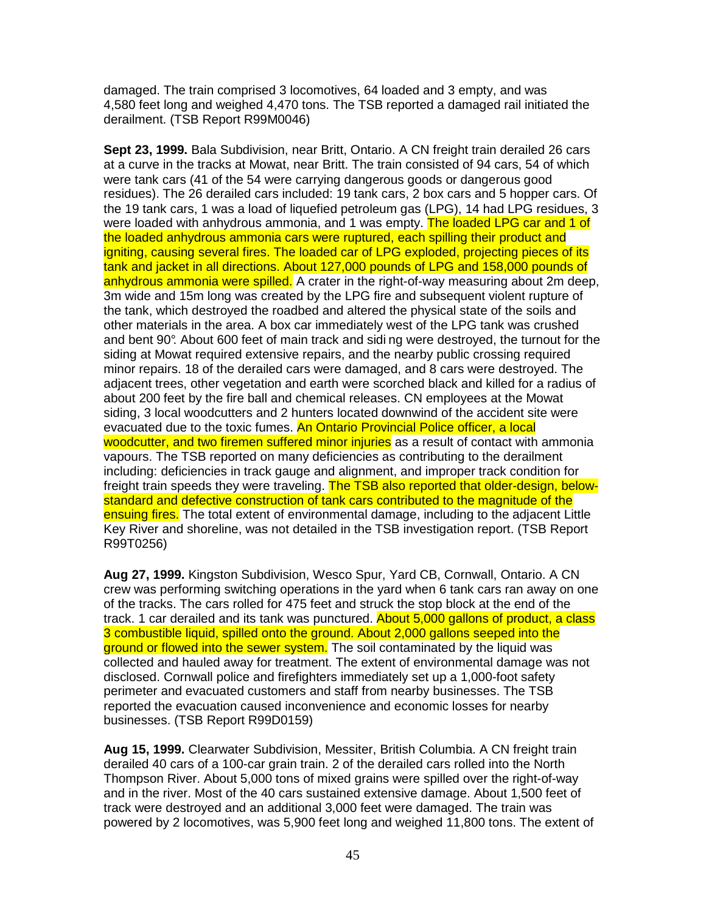damaged. The train comprised 3 locomotives, 64 loaded and 3 empty, and was 4,580 feet long and weighed 4,470 tons. The TSB reported a damaged rail initiated the derailment. (TSB Report R99M0046)

**Sept 23, 1999.** Bala Subdivision, near Britt, Ontario. A CN freight train derailed 26 cars at a curve in the tracks at Mowat, near Britt. The train consisted of 94 cars, 54 of which were tank cars (41 of the 54 were carrying dangerous goods or dangerous good residues). The 26 derailed cars included: 19 tank cars, 2 box cars and 5 hopper cars. Of the 19 tank cars, 1 was a load of liquefied petroleum gas (LPG), 14 had LPG residues, 3 were loaded with anhydrous ammonia, and 1 was empty. The loaded LPG car and 1 of the loaded anhydrous ammonia cars were ruptured, each spilling their product and igniting, causing several fires. The loaded car of LPG exploded, projecting pieces of its tank and jacket in all directions. About 127,000 pounds of LPG and 158,000 pounds of anhydrous ammonia were spilled. A crater in the right-of-way measuring about 2m deep, 3m wide and 15m long was created by the LPG fire and subsequent violent rupture of the tank, which destroyed the roadbed and altered the physical state of the soils and other materials in the area. A box car immediately west of the LPG tank was crushed and bent 90°. About 600 feet of main track and sidi ng were destroyed, the turnout for the siding at Mowat required extensive repairs, and the nearby public crossing required minor repairs. 18 of the derailed cars were damaged, and 8 cars were destroyed. The adjacent trees, other vegetation and earth were scorched black and killed for a radius of about 200 feet by the fire ball and chemical releases. CN employees at the Mowat siding, 3 local woodcutters and 2 hunters located downwind of the accident site were evacuated due to the toxic fumes. An Ontario Provincial Police officer, a local woodcutter, and two firemen suffered minor injuries as a result of contact with ammonia vapours. The TSB reported on many deficiencies as contributing to the derailment including: deficiencies in track gauge and alignment, and improper track condition for freight train speeds they were traveling. The TSB also reported that older-design, belowstandard and defective construction of tank cars contributed to the magnitude of the ensuing fires. The total extent of environmental damage, including to the adjacent Little Key River and shoreline, was not detailed in the TSB investigation report. (TSB Report R99T0256)

**Aug 27, 1999.** Kingston Subdivision, Wesco Spur, Yard CB, Cornwall, Ontario. A CN crew was performing switching operations in the yard when 6 tank cars ran away on one of the tracks. The cars rolled for 475 feet and struck the stop block at the end of the track. 1 car derailed and its tank was punctured. About 5,000 gallons of product, a class 3 combustible liquid, spilled onto the ground. About 2,000 gallons seeped into the ground or flowed into the sewer system. The soil contaminated by the liquid was collected and hauled away for treatment. The extent of environmental damage was not disclosed. Cornwall police and firefighters immediately set up a 1,000-foot safety perimeter and evacuated customers and staff from nearby businesses. The TSB reported the evacuation caused inconvenience and economic losses for nearby businesses. (TSB Report R99D0159)

**Aug 15, 1999.** Clearwater Subdivision, Messiter, British Columbia. A CN freight train derailed 40 cars of a 100-car grain train. 2 of the derailed cars rolled into the North Thompson River. About 5,000 tons of mixed grains were spilled over the right-of-way and in the river. Most of the 40 cars sustained extensive damage. About 1,500 feet of track were destroyed and an additional 3,000 feet were damaged. The train was powered by 2 locomotives, was 5,900 feet long and weighed 11,800 tons. The extent of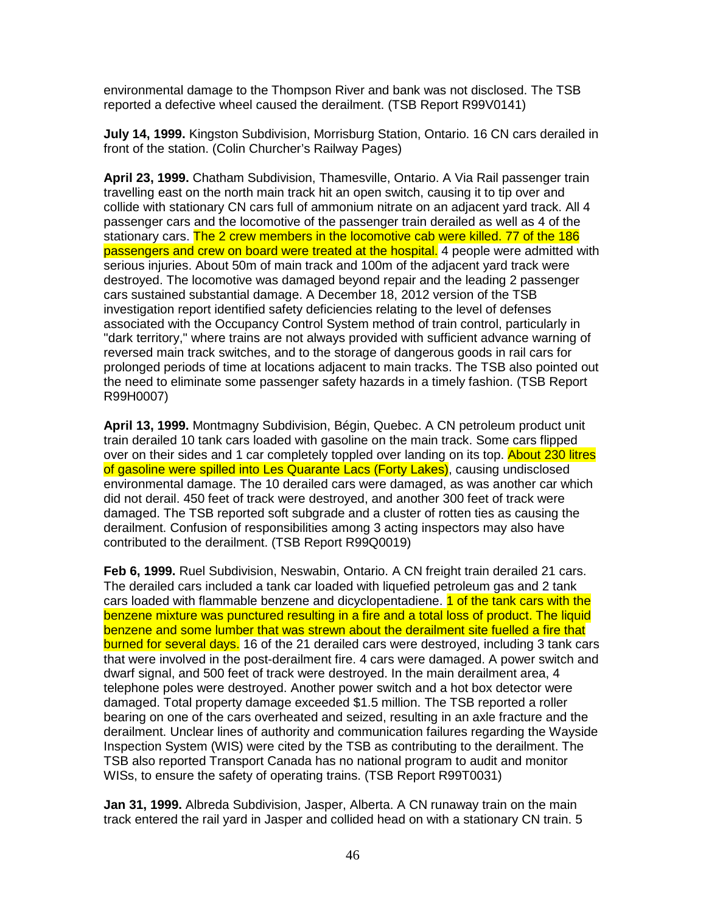environmental damage to the Thompson River and bank was not disclosed. The TSB reported a defective wheel caused the derailment. (TSB Report R99V0141)

**July 14, 1999.** Kingston Subdivision, Morrisburg Station, Ontario. 16 CN cars derailed in front of the station. (Colin Churcher's Railway Pages)

**April 23, 1999.** Chatham Subdivision, Thamesville, Ontario. A Via Rail passenger train travelling east on the north main track hit an open switch, causing it to tip over and collide with stationary CN cars full of ammonium nitrate on an adjacent yard track. All 4 passenger cars and the locomotive of the passenger train derailed as well as 4 of the stationary cars. The 2 crew members in the locomotive cab were killed. 77 of the 186 passengers and crew on board were treated at the hospital. 4 people were admitted with serious injuries. About 50m of main track and 100m of the adjacent yard track were destroyed. The locomotive was damaged beyond repair and the leading 2 passenger cars sustained substantial damage. A December 18, 2012 version of the TSB investigation report identified safety deficiencies relating to the level of defenses associated with the Occupancy Control System method of train control, particularly in "dark territory," where trains are not always provided with sufficient advance warning of reversed main track switches, and to the storage of dangerous goods in rail cars for prolonged periods of time at locations adjacent to main tracks. The TSB also pointed out the need to eliminate some passenger safety hazards in a timely fashion. (TSB Report R99H0007)

**April 13, 1999.** Montmagny Subdivision, Bégin, Quebec. A CN petroleum product unit train derailed 10 tank cars loaded with gasoline on the main track. Some cars flipped over on their sides and 1 car completely toppled over landing on its top. About 230 litres of gasoline were spilled into Les Quarante Lacs (Forty Lakes), causing undisclosed environmental damage. The 10 derailed cars were damaged, as was another car which did not derail. 450 feet of track were destroyed, and another 300 feet of track were damaged. The TSB reported soft subgrade and a cluster of rotten ties as causing the derailment. Confusion of responsibilities among 3 acting inspectors may also have contributed to the derailment. (TSB Report R99Q0019)

**Feb 6, 1999.** Ruel Subdivision, Neswabin, Ontario. A CN freight train derailed 21 cars. The derailed cars included a tank car loaded with liquefied petroleum gas and 2 tank cars loaded with flammable benzene and dicyclopentadiene. **1 of the tank cars with the** benzene mixture was punctured resulting in a fire and a total loss of product. The liquid benzene and some lumber that was strewn about the derailment site fuelled a fire that burned for several days. 16 of the 21 derailed cars were destroyed, including 3 tank cars that were involved in the post-derailment fire. 4 cars were damaged. A power switch and dwarf signal, and 500 feet of track were destroyed. In the main derailment area, 4 telephone poles were destroyed. Another power switch and a hot box detector were damaged. Total property damage exceeded \$1.5 million. The TSB reported a roller bearing on one of the cars overheated and seized, resulting in an axle fracture and the derailment. Unclear lines of authority and communication failures regarding the Wayside Inspection System (WIS) were cited by the TSB as contributing to the derailment. The TSB also reported Transport Canada has no national program to audit and monitor WISs, to ensure the safety of operating trains. (TSB Report R99T0031)

**Jan 31, 1999.** Albreda Subdivision, Jasper, Alberta. A CN runaway train on the main track entered the rail yard in Jasper and collided head on with a stationary CN train. 5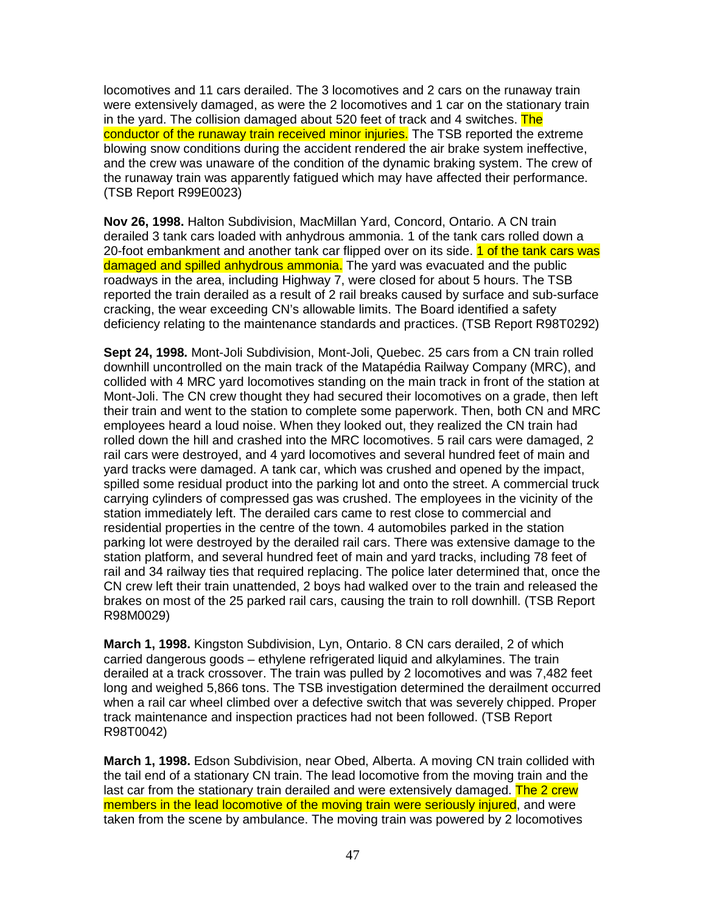locomotives and 11 cars derailed. The 3 locomotives and 2 cars on the runaway train were extensively damaged, as were the 2 locomotives and 1 car on the stationary train in the yard. The collision damaged about 520 feet of track and 4 switches. The conductor of the runaway train received minor injuries. The TSB reported the extreme blowing snow conditions during the accident rendered the air brake system ineffective, and the crew was unaware of the condition of the dynamic braking system. The crew of the runaway train was apparently fatigued which may have affected their performance. (TSB Report R99E0023)

**Nov 26, 1998.** Halton Subdivision, MacMillan Yard, Concord, Ontario. A CN train derailed 3 tank cars loaded with anhydrous ammonia. 1 of the tank cars rolled down a 20-foot embankment and another tank car flipped over on its side. 1 of the tank cars was damaged and spilled anhydrous ammonia. The yard was evacuated and the public roadways in the area, including Highway 7, were closed for about 5 hours. The TSB reported the train derailed as a result of 2 rail breaks caused by surface and sub-surface cracking, the wear exceeding CN's allowable limits. The Board identified a safety deficiency relating to the maintenance standards and practices. (TSB Report R98T0292)

**Sept 24, 1998.** Mont-Joli Subdivision, Mont-Joli, Quebec. 25 cars from a CN train rolled downhill uncontrolled on the main track of the Matapédia Railway Company (MRC), and collided with 4 MRC yard locomotives standing on the main track in front of the station at Mont-Joli. The CN crew thought they had secured their locomotives on a grade, then left their train and went to the station to complete some paperwork. Then, both CN and MRC employees heard a loud noise. When they looked out, they realized the CN train had rolled down the hill and crashed into the MRC locomotives. 5 rail cars were damaged, 2 rail cars were destroyed, and 4 yard locomotives and several hundred feet of main and yard tracks were damaged. A tank car, which was crushed and opened by the impact, spilled some residual product into the parking lot and onto the street. A commercial truck carrying cylinders of compressed gas was crushed. The employees in the vicinity of the station immediately left. The derailed cars came to rest close to commercial and residential properties in the centre of the town. 4 automobiles parked in the station parking lot were destroyed by the derailed rail cars. There was extensive damage to the station platform, and several hundred feet of main and yard tracks, including 78 feet of rail and 34 railway ties that required replacing. The police later determined that, once the CN crew left their train unattended, 2 boys had walked over to the train and released the brakes on most of the 25 parked rail cars, causing the train to roll downhill. (TSB Report R98M0029)

**March 1, 1998.** Kingston Subdivision, Lyn, Ontario. 8 CN cars derailed, 2 of which carried dangerous goods – ethylene refrigerated liquid and alkylamines. The train derailed at a track crossover. The train was pulled by 2 locomotives and was 7,482 feet long and weighed 5,866 tons. The TSB investigation determined the derailment occurred when a rail car wheel climbed over a defective switch that was severely chipped. Proper track maintenance and inspection practices had not been followed. (TSB Report R98T0042)

**March 1, 1998.** Edson Subdivision, near Obed, Alberta. A moving CN train collided with the tail end of a stationary CN train. The lead locomotive from the moving train and the last car from the stationary train derailed and were extensively damaged. The 2 crew members in the lead locomotive of the moving train were seriously injured, and were taken from the scene by ambulance. The moving train was powered by 2 locomotives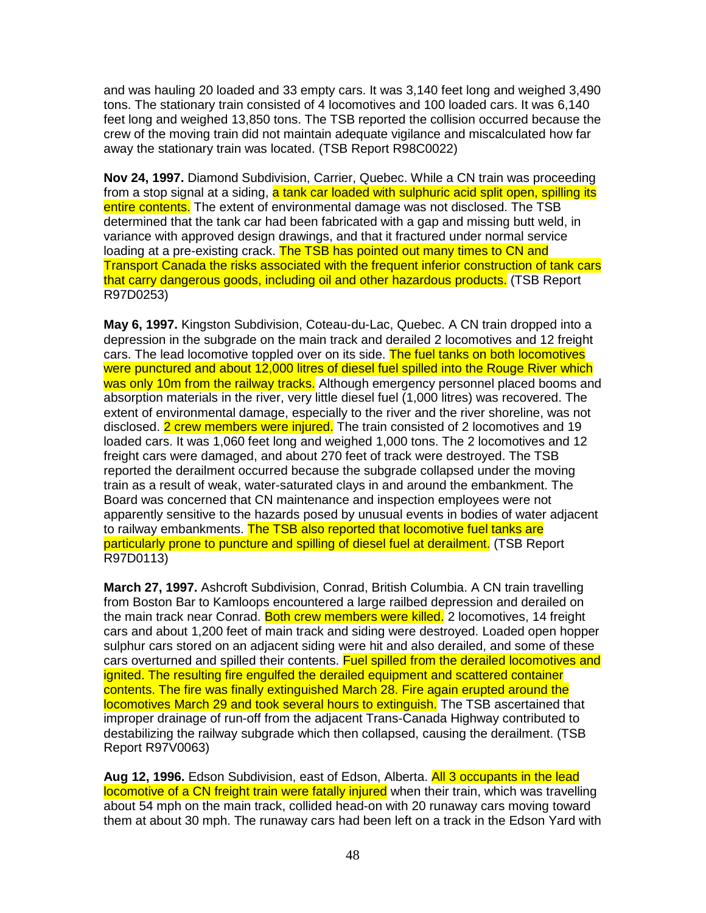and was hauling 20 loaded and 33 empty cars. It was 3,140 feet long and weighed 3,490 tons. The stationary train consisted of 4 locomotives and 100 loaded cars. It was 6,140 feet long and weighed 13,850 tons. The TSB reported the collision occurred because the crew of the moving train did not maintain adequate vigilance and miscalculated how far away the stationary train was located. (TSB Report R98C0022)

**Nov 24, 1997.** Diamond Subdivision, Carrier, Quebec. While a CN train was proceeding from a stop signal at a siding, a tank car loaded with sulphuric acid split open, spilling its entire contents. The extent of environmental damage was not disclosed. The TSB determined that the tank car had been fabricated with a gap and missing butt weld, in variance with approved design drawings, and that it fractured under normal service loading at a pre-existing crack. The TSB has pointed out many times to CN and Transport Canada the risks associated with the frequent inferior construction of tank cars that carry dangerous goods, including oil and other hazardous products. (TSB Report R97D0253)

**May 6, 1997.** Kingston Subdivision, Coteau-du-Lac, Quebec. A CN train dropped into a depression in the subgrade on the main track and derailed 2 locomotives and 12 freight cars. The lead locomotive toppled over on its side. The fuel tanks on both locomotives were punctured and about 12,000 litres of diesel fuel spilled into the Rouge River which was only 10m from the railway tracks. Although emergency personnel placed booms and absorption materials in the river, very little diesel fuel (1,000 litres) was recovered. The extent of environmental damage, especially to the river and the river shoreline, was not disclosed. 2 crew members were injured. The train consisted of 2 locomotives and 19 loaded cars. It was 1,060 feet long and weighed 1,000 tons. The 2 locomotives and 12 freight cars were damaged, and about 270 feet of track were destroyed. The TSB reported the derailment occurred because the subgrade collapsed under the moving train as a result of weak, water-saturated clays in and around the embankment. The Board was concerned that CN maintenance and inspection employees were not apparently sensitive to the hazards posed by unusual events in bodies of water adjacent to railway embankments. The TSB also reported that locomotive fuel tanks are particularly prone to puncture and spilling of diesel fuel at derailment. (TSB Report R97D0113)

**March 27, 1997.** Ashcroft Subdivision, Conrad, British Columbia. A CN train travelling from Boston Bar to Kamloops encountered a large railbed depression and derailed on the main track near Conrad. Both crew members were killed. 2 locomotives, 14 freight cars and about 1,200 feet of main track and siding were destroyed. Loaded open hopper sulphur cars stored on an adjacent siding were hit and also derailed, and some of these cars overturned and spilled their contents. Fuel spilled from the derailed locomotives and ignited. The resulting fire engulfed the derailed equipment and scattered container contents. The fire was finally extinguished March 28. Fire again erupted around the locomotives March 29 and took several hours to extinguish. The TSB ascertained that improper drainage of run-off from the adjacent Trans-Canada Highway contributed to destabilizing the railway subgrade which then collapsed, causing the derailment. (TSB Report R97V0063)

**Aug 12, 1996.** Edson Subdivision, east of Edson, Alberta. All 3 occupants in the lead locomotive of a CN freight train were fatally injured when their train, which was travelling about 54 mph on the main track, collided head-on with 20 runaway cars moving toward them at about 30 mph. The runaway cars had been left on a track in the Edson Yard with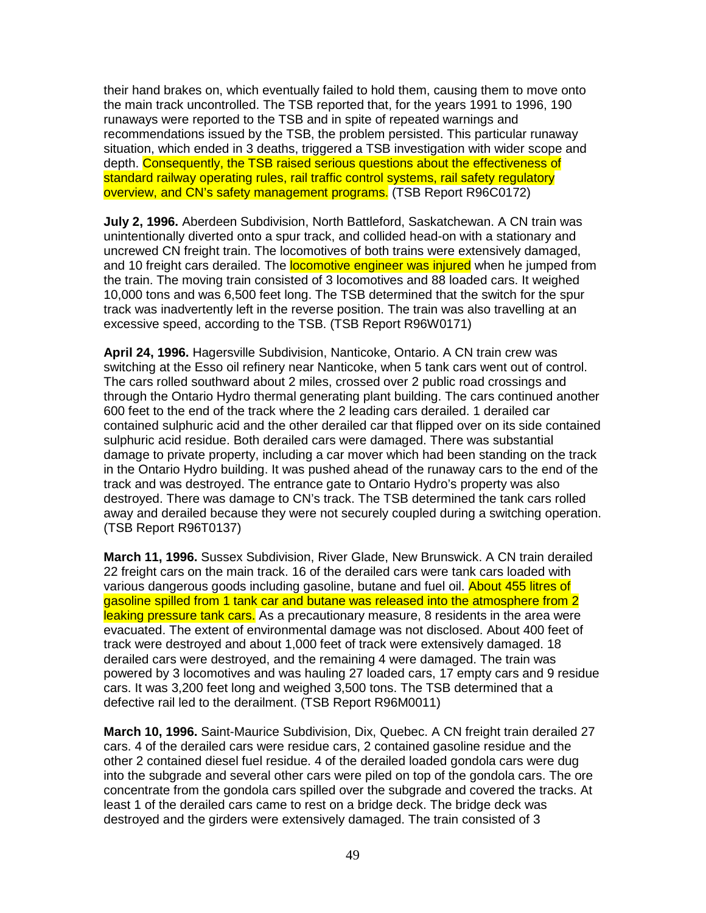their hand brakes on, which eventually failed to hold them, causing them to move onto the main track uncontrolled. The TSB reported that, for the years 1991 to 1996, 190 runaways were reported to the TSB and in spite of repeated warnings and recommendations issued by the TSB, the problem persisted. This particular runaway situation, which ended in 3 deaths, triggered a TSB investigation with wider scope and depth. Consequently, the TSB raised serious questions about the effectiveness of standard railway operating rules, rail traffic control systems, rail safety regulatory overview, and CN's safety management programs. (TSB Report R96C0172)

**July 2, 1996.** Aberdeen Subdivision, North Battleford, Saskatchewan. A CN train was unintentionally diverted onto a spur track, and collided head-on with a stationary and uncrewed CN freight train. The locomotives of both trains were extensively damaged, and 10 freight cars derailed. The **locomotive engineer was injured** when he jumped from the train. The moving train consisted of 3 locomotives and 88 loaded cars. It weighed 10,000 tons and was 6,500 feet long. The TSB determined that the switch for the spur track was inadvertently left in the reverse position. The train was also travelling at an excessive speed, according to the TSB. (TSB Report R96W0171)

**April 24, 1996.** Hagersville Subdivision, Nanticoke, Ontario. A CN train crew was switching at the Esso oil refinery near Nanticoke, when 5 tank cars went out of control. The cars rolled southward about 2 miles, crossed over 2 public road crossings and through the Ontario Hydro thermal generating plant building. The cars continued another 600 feet to the end of the track where the 2 leading cars derailed. 1 derailed car contained sulphuric acid and the other derailed car that flipped over on its side contained sulphuric acid residue. Both derailed cars were damaged. There was substantial damage to private property, including a car mover which had been standing on the track in the Ontario Hydro building. It was pushed ahead of the runaway cars to the end of the track and was destroyed. The entrance gate to Ontario Hydro's property was also destroyed. There was damage to CN's track. The TSB determined the tank cars rolled away and derailed because they were not securely coupled during a switching operation. (TSB Report R96T0137)

**March 11, 1996.** Sussex Subdivision, River Glade, New Brunswick. A CN train derailed 22 freight cars on the main track. 16 of the derailed cars were tank cars loaded with various dangerous goods including gasoline, butane and fuel oil. About 455 litres of gasoline spilled from 1 tank car and butane was released into the atmosphere from 2 leaking pressure tank cars. As a precautionary measure, 8 residents in the area were evacuated. The extent of environmental damage was not disclosed. About 400 feet of track were destroyed and about 1,000 feet of track were extensively damaged. 18 derailed cars were destroyed, and the remaining 4 were damaged. The train was powered by 3 locomotives and was hauling 27 loaded cars, 17 empty cars and 9 residue cars. It was 3,200 feet long and weighed 3,500 tons. The TSB determined that a defective rail led to the derailment. (TSB Report R96M0011)

**March 10, 1996.** Saint-Maurice Subdivision, Dix, Quebec. A CN freight train derailed 27 cars. 4 of the derailed cars were residue cars, 2 contained gasoline residue and the other 2 contained diesel fuel residue. 4 of the derailed loaded gondola cars were dug into the subgrade and several other cars were piled on top of the gondola cars. The ore concentrate from the gondola cars spilled over the subgrade and covered the tracks. At least 1 of the derailed cars came to rest on a bridge deck. The bridge deck was destroyed and the girders were extensively damaged. The train consisted of 3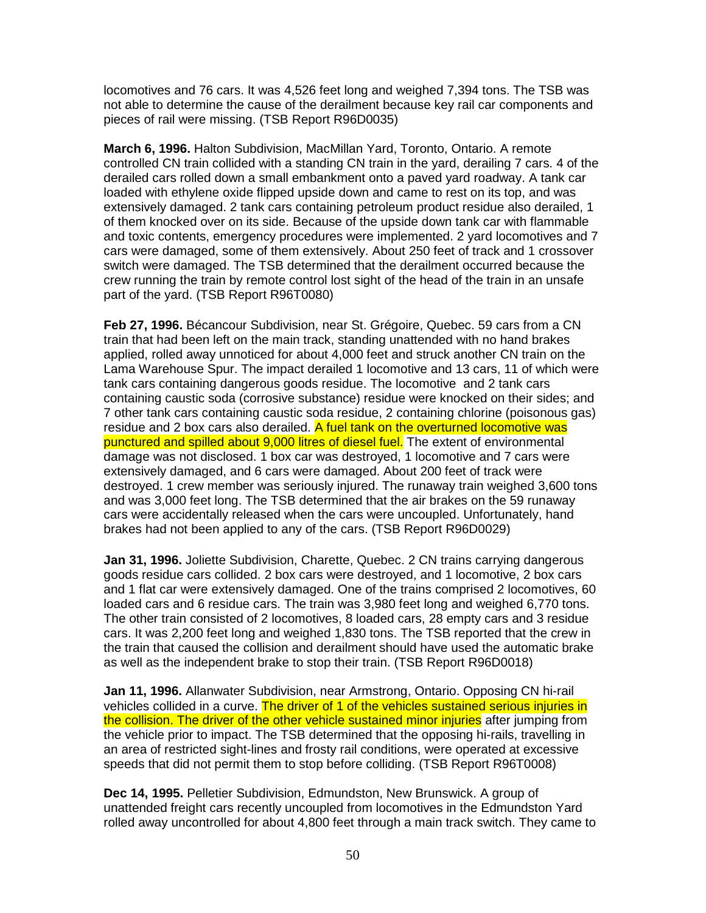locomotives and 76 cars. It was 4,526 feet long and weighed 7,394 tons. The TSB was not able to determine the cause of the derailment because key rail car components and pieces of rail were missing. (TSB Report R96D0035)

**March 6, 1996.** Halton Subdivision, MacMillan Yard, Toronto, Ontario. A remote controlled CN train collided with a standing CN train in the yard, derailing 7 cars. 4 of the derailed cars rolled down a small embankment onto a paved yard roadway. A tank car loaded with ethylene oxide flipped upside down and came to rest on its top, and was extensively damaged. 2 tank cars containing petroleum product residue also derailed, 1 of them knocked over on its side. Because of the upside down tank car with flammable and toxic contents, emergency procedures were implemented. 2 yard locomotives and 7 cars were damaged, some of them extensively. About 250 feet of track and 1 crossover switch were damaged. The TSB determined that the derailment occurred because the crew running the train by remote control lost sight of the head of the train in an unsafe part of the yard. (TSB Report R96T0080)

**Feb 27, 1996.** Bécancour Subdivision, near St. Grégoire, Quebec. 59 cars from a CN train that had been left on the main track, standing unattended with no hand brakes applied, rolled away unnoticed for about 4,000 feet and struck another CN train on the Lama Warehouse Spur. The impact derailed 1 locomotive and 13 cars, 11 of which were tank cars containing dangerous goods residue. The locomotive and 2 tank cars containing caustic soda (corrosive substance) residue were knocked on their sides; and 7 other tank cars containing caustic soda residue, 2 containing chlorine (poisonous gas) residue and 2 box cars also derailed. A fuel tank on the overturned locomotive was punctured and spilled about 9,000 litres of diesel fuel. The extent of environmental damage was not disclosed. 1 box car was destroyed, 1 locomotive and 7 cars were extensively damaged, and 6 cars were damaged. About 200 feet of track were destroyed. 1 crew member was seriously injured. The runaway train weighed 3,600 tons and was 3,000 feet long. The TSB determined that the air brakes on the 59 runaway cars were accidentally released when the cars were uncoupled. Unfortunately, hand brakes had not been applied to any of the cars. (TSB Report R96D0029)

**Jan 31, 1996.** Joliette Subdivision, Charette, Quebec. 2 CN trains carrying dangerous goods residue cars collided. 2 box cars were destroyed, and 1 locomotive, 2 box cars and 1 flat car were extensively damaged. One of the trains comprised 2 locomotives, 60 loaded cars and 6 residue cars. The train was 3,980 feet long and weighed 6,770 tons. The other train consisted of 2 locomotives, 8 loaded cars, 28 empty cars and 3 residue cars. It was 2,200 feet long and weighed 1,830 tons. The TSB reported that the crew in the train that caused the collision and derailment should have used the automatic brake as well as the independent brake to stop their train. (TSB Report R96D0018)

**Jan 11, 1996.** Allanwater Subdivision, near Armstrong, Ontario. Opposing CN hi-rail vehicles collided in a curve. The driver of 1 of the vehicles sustained serious injuries in the collision. The driver of the other vehicle sustained minor injuries after jumping from the vehicle prior to impact. The TSB determined that the opposing hi-rails, travelling in an area of restricted sight-lines and frosty rail conditions, were operated at excessive speeds that did not permit them to stop before colliding. (TSB Report R96T0008)

**Dec 14, 1995.** Pelletier Subdivision, Edmundston, New Brunswick. A group of unattended freight cars recently uncoupled from locomotives in the Edmundston Yard rolled away uncontrolled for about 4,800 feet through a main track switch. They came to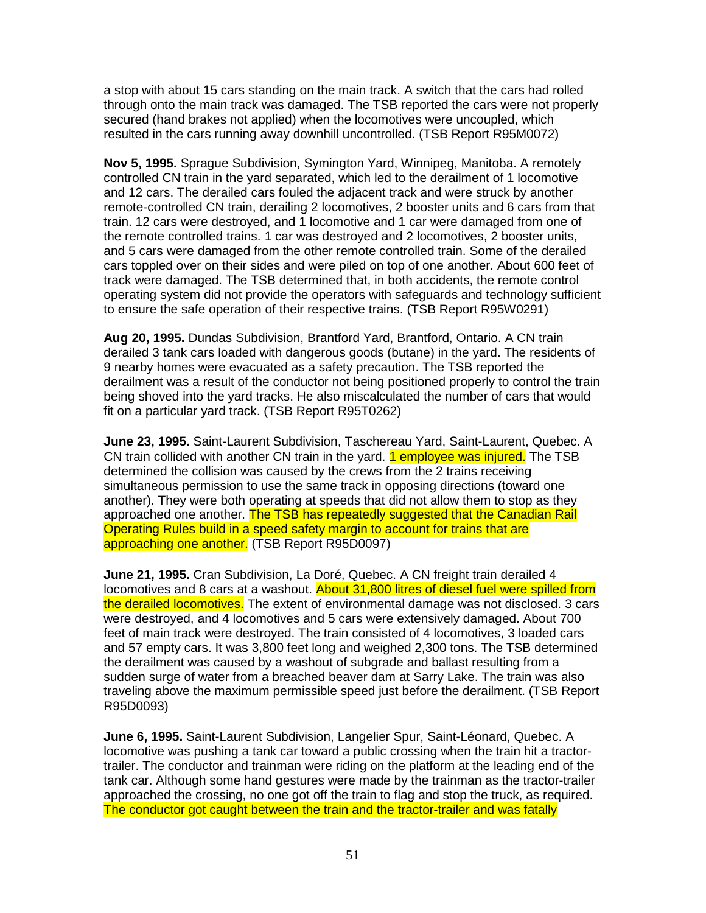a stop with about 15 cars standing on the main track. A switch that the cars had rolled through onto the main track was damaged. The TSB reported the cars were not properly secured (hand brakes not applied) when the locomotives were uncoupled, which resulted in the cars running away downhill uncontrolled. (TSB Report R95M0072)

**Nov 5, 1995.** Sprague Subdivision, Symington Yard, Winnipeg, Manitoba. A remotely controlled CN train in the yard separated, which led to the derailment of 1 locomotive and 12 cars. The derailed cars fouled the adjacent track and were struck by another remote-controlled CN train, derailing 2 locomotives, 2 booster units and 6 cars from that train. 12 cars were destroyed, and 1 locomotive and 1 car were damaged from one of the remote controlled trains. 1 car was destroyed and 2 locomotives, 2 booster units, and 5 cars were damaged from the other remote controlled train. Some of the derailed cars toppled over on their sides and were piled on top of one another. About 600 feet of track were damaged. The TSB determined that, in both accidents, the remote control operating system did not provide the operators with safeguards and technology sufficient to ensure the safe operation of their respective trains. (TSB Report R95W0291)

**Aug 20, 1995.** Dundas Subdivision, Brantford Yard, Brantford, Ontario. A CN train derailed 3 tank cars loaded with dangerous goods (butane) in the yard. The residents of 9 nearby homes were evacuated as a safety precaution. The TSB reported the derailment was a result of the conductor not being positioned properly to control the train being shoved into the yard tracks. He also miscalculated the number of cars that would fit on a particular yard track. (TSB Report R95T0262)

**June 23, 1995.** Saint-Laurent Subdivision, Taschereau Yard, Saint-Laurent, Quebec. A CN train collided with another CN train in the yard. **1 employee was injured.** The TSB determined the collision was caused by the crews from the 2 trains receiving simultaneous permission to use the same track in opposing directions (toward one another). They were both operating at speeds that did not allow them to stop as they approached one another. The TSB has repeatedly suggested that the Canadian Rail Operating Rules build in a speed safety margin to account for trains that are approaching one another. (TSB Report R95D0097)

**June 21, 1995.** Cran Subdivision, La Doré, Quebec. A CN freight train derailed 4 locomotives and 8 cars at a washout. About 31,800 litres of diesel fuel were spilled from the derailed locomotives. The extent of environmental damage was not disclosed. 3 cars were destroyed, and 4 locomotives and 5 cars were extensively damaged. About 700 feet of main track were destroyed. The train consisted of 4 locomotives, 3 loaded cars and 57 empty cars. It was 3,800 feet long and weighed 2,300 tons. The TSB determined the derailment was caused by a washout of subgrade and ballast resulting from a sudden surge of water from a breached beaver dam at Sarry Lake. The train was also traveling above the maximum permissible speed just before the derailment. (TSB Report R95D0093)

**June 6, 1995.** Saint-Laurent Subdivision, Langelier Spur, Saint-Léonard, Quebec. A locomotive was pushing a tank car toward a public crossing when the train hit a tractortrailer. The conductor and trainman were riding on the platform at the leading end of the tank car. Although some hand gestures were made by the trainman as the tractor-trailer approached the crossing, no one got off the train to flag and stop the truck, as required. The conductor got caught between the train and the tractor-trailer and was fatally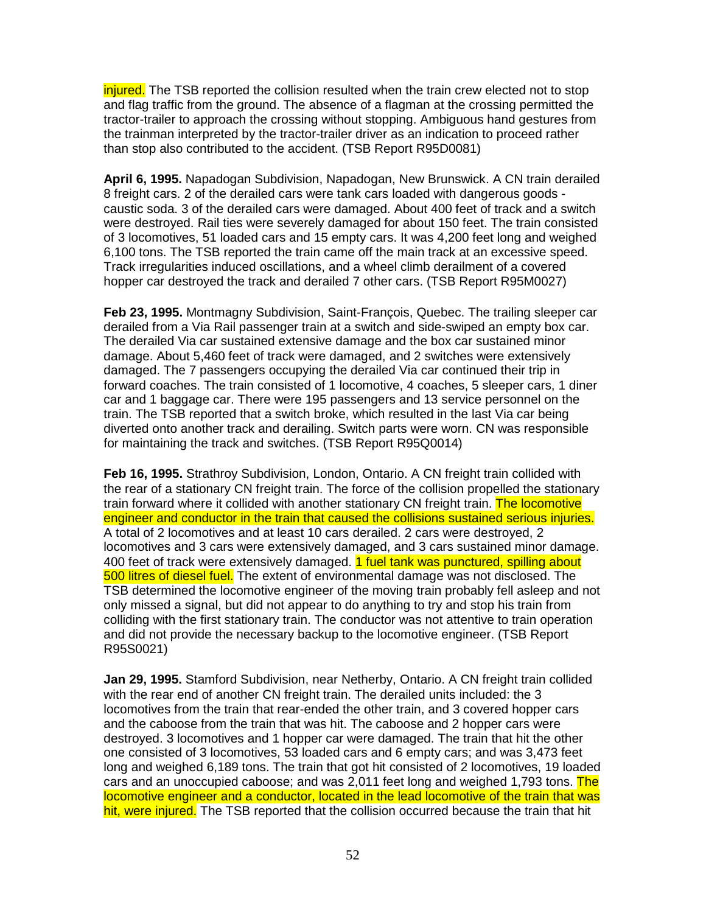injured. The TSB reported the collision resulted when the train crew elected not to stop and flag traffic from the ground. The absence of a flagman at the crossing permitted the tractor-trailer to approach the crossing without stopping. Ambiguous hand gestures from the trainman interpreted by the tractor-trailer driver as an indication to proceed rather than stop also contributed to the accident. (TSB Report R95D0081)

**April 6, 1995.** Napadogan Subdivision, Napadogan, New Brunswick. A CN train derailed 8 freight cars. 2 of the derailed cars were tank cars loaded with dangerous goods caustic soda. 3 of the derailed cars were damaged. About 400 feet of track and a switch were destroyed. Rail ties were severely damaged for about 150 feet. The train consisted of 3 locomotives, 51 loaded cars and 15 empty cars. It was 4,200 feet long and weighed 6,100 tons. The TSB reported the train came off the main track at an excessive speed. Track irregularities induced oscillations, and a wheel climb derailment of a covered hopper car destroyed the track and derailed 7 other cars. (TSB Report R95M0027)

**Feb 23, 1995.** Montmagny Subdivision, Saint-François, Quebec. The trailing sleeper car derailed from a Via Rail passenger train at a switch and side-swiped an empty box car. The derailed Via car sustained extensive damage and the box car sustained minor damage. About 5,460 feet of track were damaged, and 2 switches were extensively damaged. The 7 passengers occupying the derailed Via car continued their trip in forward coaches. The train consisted of 1 locomotive, 4 coaches, 5 sleeper cars, 1 diner car and 1 baggage car. There were 195 passengers and 13 service personnel on the train. The TSB reported that a switch broke, which resulted in the last Via car being diverted onto another track and derailing. Switch parts were worn. CN was responsible for maintaining the track and switches. (TSB Report R95Q0014)

**Feb 16, 1995.** Strathroy Subdivision, London, Ontario. A CN freight train collided with the rear of a stationary CN freight train. The force of the collision propelled the stationary train forward where it collided with another stationary CN freight train. The locomotive engineer and conductor in the train that caused the collisions sustained serious injuries. A total of 2 locomotives and at least 10 cars derailed. 2 cars were destroyed, 2 locomotives and 3 cars were extensively damaged, and 3 cars sustained minor damage. 400 feet of track were extensively damaged. 1 fuel tank was punctured, spilling about 500 litres of diesel fuel. The extent of environmental damage was not disclosed. The TSB determined the locomotive engineer of the moving train probably fell asleep and not only missed a signal, but did not appear to do anything to try and stop his train from colliding with the first stationary train. The conductor was not attentive to train operation and did not provide the necessary backup to the locomotive engineer. (TSB Report R95S0021)

**Jan 29, 1995.** Stamford Subdivision, near Netherby, Ontario. A CN freight train collided with the rear end of another CN freight train. The derailed units included: the 3 locomotives from the train that rear-ended the other train, and 3 covered hopper cars and the caboose from the train that was hit. The caboose and 2 hopper cars were destroyed. 3 locomotives and 1 hopper car were damaged. The train that hit the other one consisted of 3 locomotives, 53 loaded cars and 6 empty cars; and was 3,473 feet long and weighed 6,189 tons. The train that got hit consisted of 2 locomotives, 19 loaded cars and an unoccupied caboose; and was 2,011 feet long and weighed 1,793 tons. The locomotive engineer and a conductor, located in the lead locomotive of the train that was hit, were injured. The TSB reported that the collision occurred because the train that hit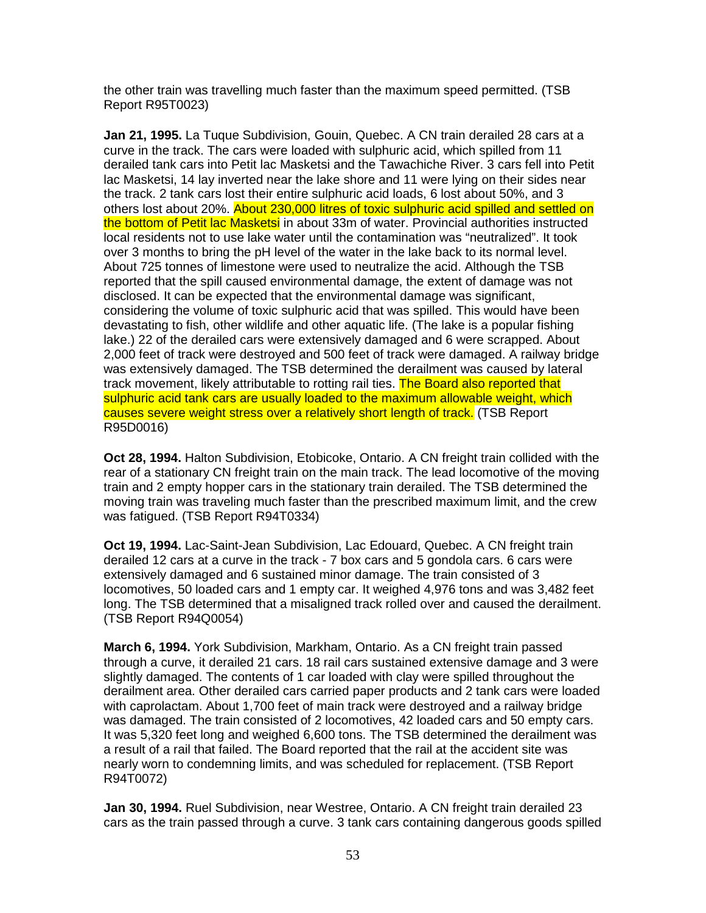the other train was travelling much faster than the maximum speed permitted. (TSB Report R95T0023)

**Jan 21, 1995.** La Tuque Subdivision, Gouin, Quebec. A CN train derailed 28 cars at a curve in the track. The cars were loaded with sulphuric acid, which spilled from 11 derailed tank cars into Petit lac Masketsi and the Tawachiche River. 3 cars fell into Petit lac Masketsi, 14 lay inverted near the lake shore and 11 were lying on their sides near the track. 2 tank cars lost their entire sulphuric acid loads, 6 lost about 50%, and 3 others lost about 20%. About 230,000 litres of toxic sulphuric acid spilled and settled on the bottom of Petit lac Masketsi in about 33m of water. Provincial authorities instructed local residents not to use lake water until the contamination was "neutralized". It took over 3 months to bring the pH level of the water in the lake back to its normal level. About 725 tonnes of limestone were used to neutralize the acid. Although the TSB reported that the spill caused environmental damage, the extent of damage was not disclosed. It can be expected that the environmental damage was significant, considering the volume of toxic sulphuric acid that was spilled. This would have been devastating to fish, other wildlife and other aquatic life. (The lake is a popular fishing lake.) 22 of the derailed cars were extensively damaged and 6 were scrapped. About 2,000 feet of track were destroyed and 500 feet of track were damaged. A railway bridge was extensively damaged. The TSB determined the derailment was caused by lateral track movement, likely attributable to rotting rail ties. The Board also reported that sulphuric acid tank cars are usually loaded to the maximum allowable weight, which causes severe weight stress over a relatively short length of track. (TSB Report R95D0016)

**Oct 28, 1994.** Halton Subdivision, Etobicoke, Ontario. A CN freight train collided with the rear of a stationary CN freight train on the main track. The lead locomotive of the moving train and 2 empty hopper cars in the stationary train derailed. The TSB determined the moving train was traveling much faster than the prescribed maximum limit, and the crew was fatigued. (TSB Report R94T0334)

**Oct 19, 1994.** Lac-Saint-Jean Subdivision, Lac Edouard, Quebec. A CN freight train derailed 12 cars at a curve in the track - 7 box cars and 5 gondola cars. 6 cars were extensively damaged and 6 sustained minor damage. The train consisted of 3 locomotives, 50 loaded cars and 1 empty car. It weighed 4,976 tons and was 3,482 feet long. The TSB determined that a misaligned track rolled over and caused the derailment. (TSB Report R94Q0054)

**March 6, 1994.** York Subdivision, Markham, Ontario. As a CN freight train passed through a curve, it derailed 21 cars. 18 rail cars sustained extensive damage and 3 were slightly damaged. The contents of 1 car loaded with clay were spilled throughout the derailment area. Other derailed cars carried paper products and 2 tank cars were loaded with caprolactam. About 1,700 feet of main track were destroyed and a railway bridge was damaged. The train consisted of 2 locomotives, 42 loaded cars and 50 empty cars. It was 5,320 feet long and weighed 6,600 tons. The TSB determined the derailment was a result of a rail that failed. The Board reported that the rail at the accident site was nearly worn to condemning limits, and was scheduled for replacement. (TSB Report R94T0072)

**Jan 30, 1994.** Ruel Subdivision, near Westree, Ontario. A CN freight train derailed 23 cars as the train passed through a curve. 3 tank cars containing dangerous goods spilled